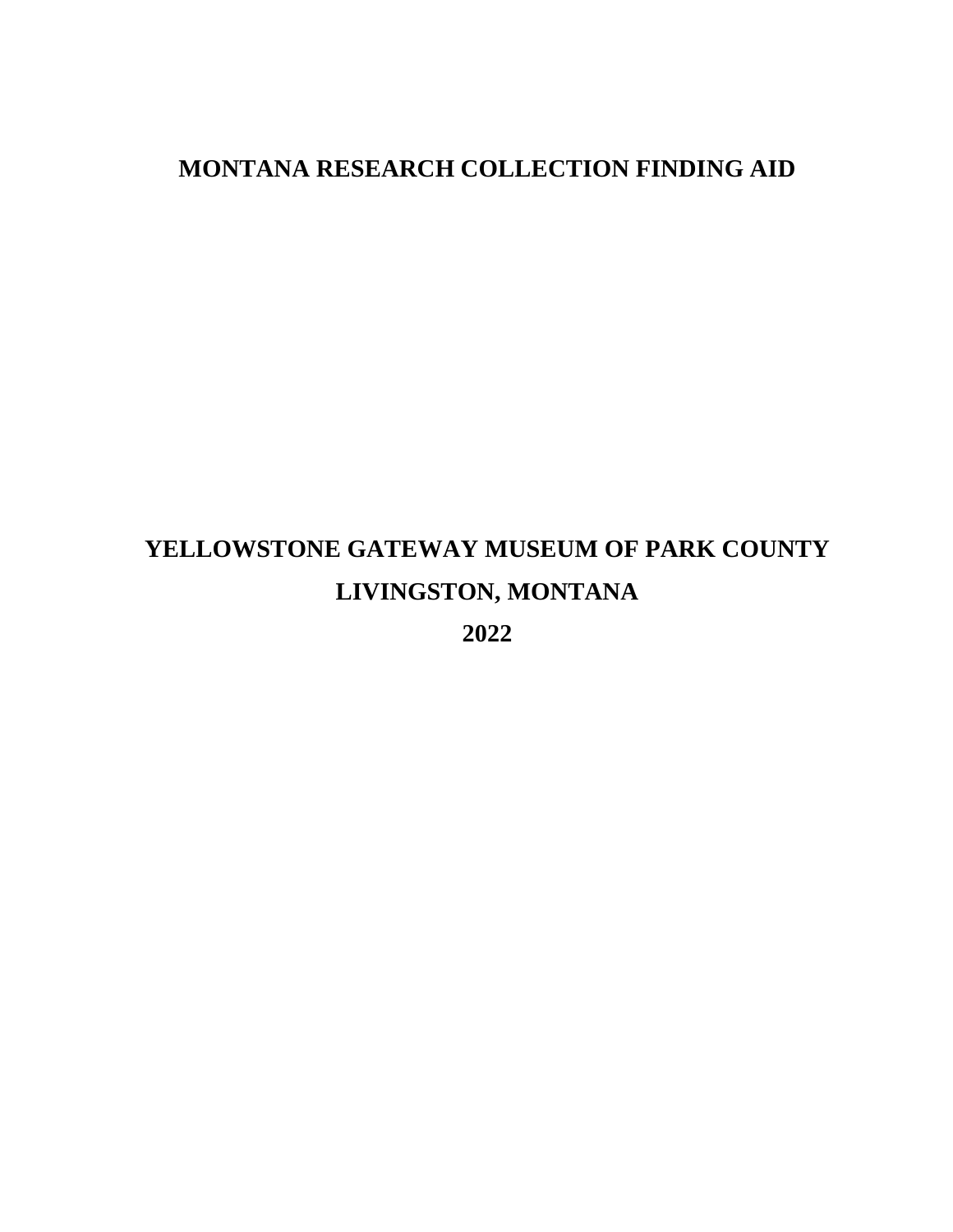## **MONTANA RESEARCH COLLECTION FINDING AID**

# **YELLOWSTONE GATEWAY MUSEUM OF PARK COUNTY LIVINGSTON, MONTANA**

**2022**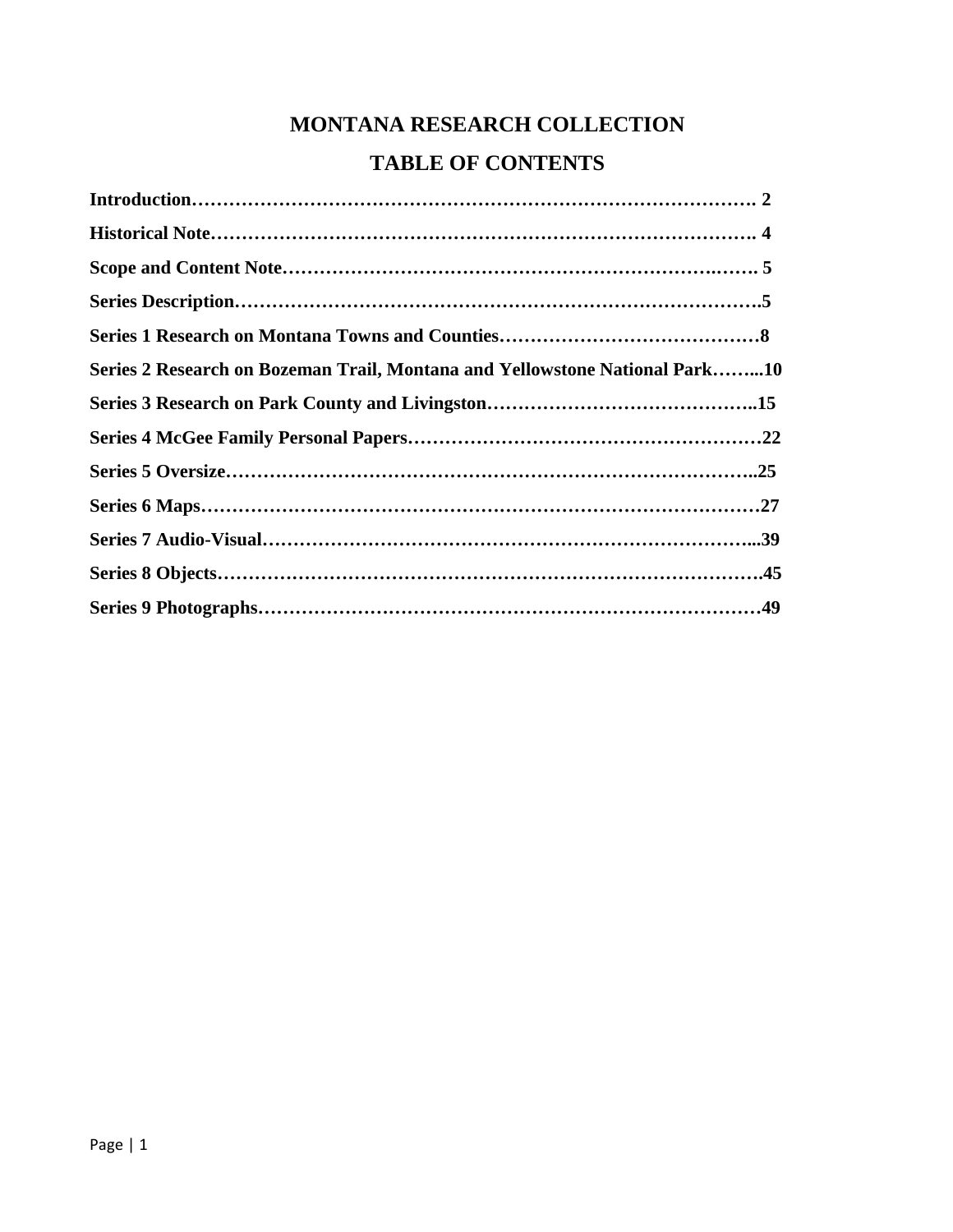# **MONTANA RESEARCH COLLECTION TABLE OF CONTENTS**

| Series 2 Research on Bozeman Trail, Montana and Yellowstone National Park10 |  |
|-----------------------------------------------------------------------------|--|
|                                                                             |  |
|                                                                             |  |
|                                                                             |  |
|                                                                             |  |
|                                                                             |  |
|                                                                             |  |
|                                                                             |  |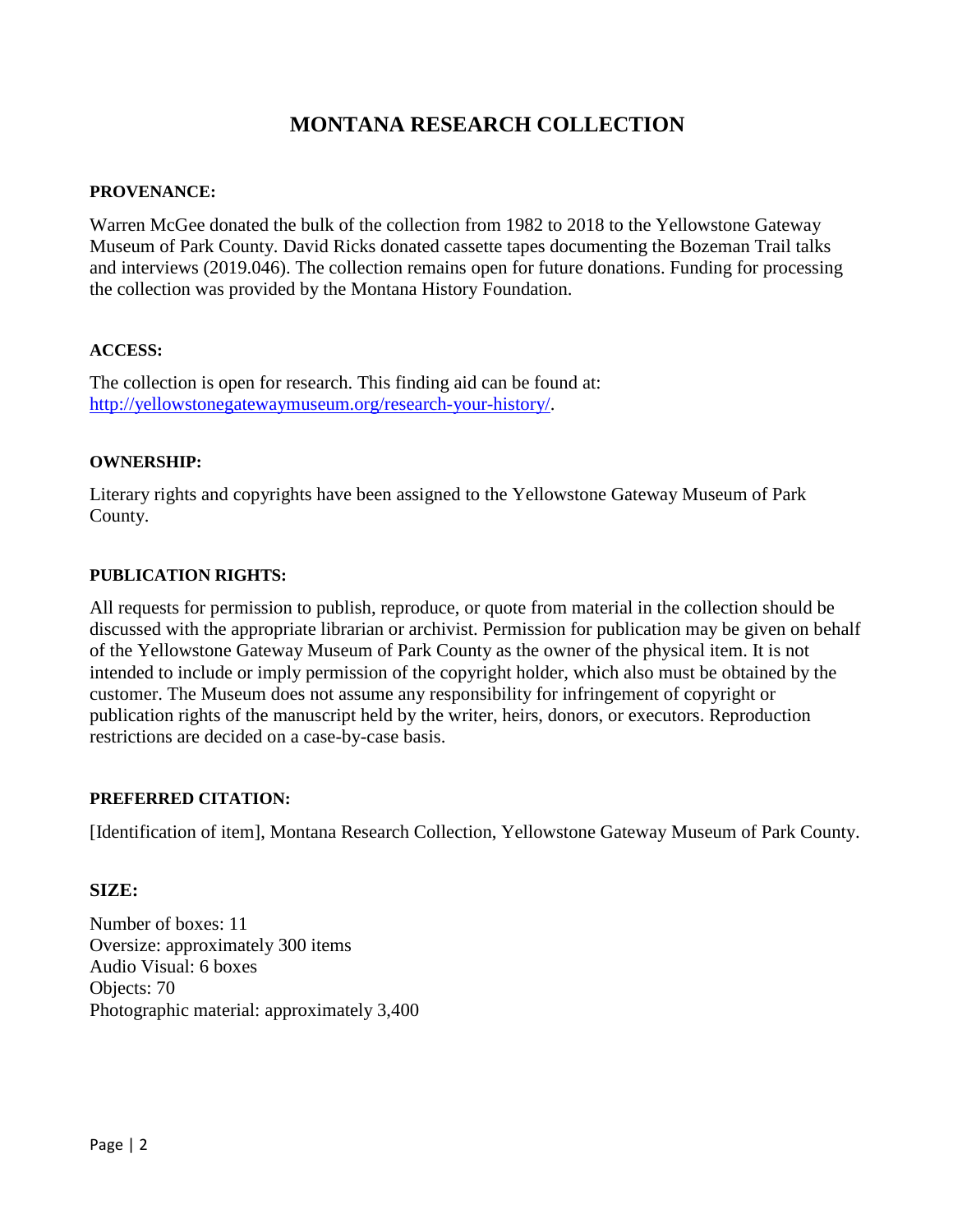## **MONTANA RESEARCH COLLECTION**

### **PROVENANCE:**

Warren McGee donated the bulk of the collection from 1982 to 2018 to the Yellowstone Gateway Museum of Park County. David Ricks donated cassette tapes documenting the Bozeman Trail talks and interviews (2019.046). The collection remains open for future donations. Funding for processing the collection was provided by the Montana History Foundation.

### **ACCESS:**

The collection is open for research. This finding aid can be found at: [http://yellowstonegatewaymuseum.org/research-your-history/.](http://yellowstonegatewaymuseum.org/research-your-history/)

#### **OWNERSHIP:**

Literary rights and copyrights have been assigned to the Yellowstone Gateway Museum of Park County.

#### **PUBLICATION RIGHTS:**

All requests for permission to publish, reproduce, or quote from material in the collection should be discussed with the appropriate librarian or archivist. Permission for publication may be given on behalf of the Yellowstone Gateway Museum of Park County as the owner of the physical item. It is not intended to include or imply permission of the copyright holder, which also must be obtained by the customer. The Museum does not assume any responsibility for infringement of copyright or publication rights of the manuscript held by the writer, heirs, donors, or executors. Reproduction restrictions are decided on a case-by-case basis.

#### **PREFERRED CITATION:**

[Identification of item], Montana Research Collection, Yellowstone Gateway Museum of Park County.

#### **SIZE:**

Number of boxes: 11 Oversize: approximately 300 items Audio Visual: 6 boxes Objects: 70 Photographic material: approximately 3,400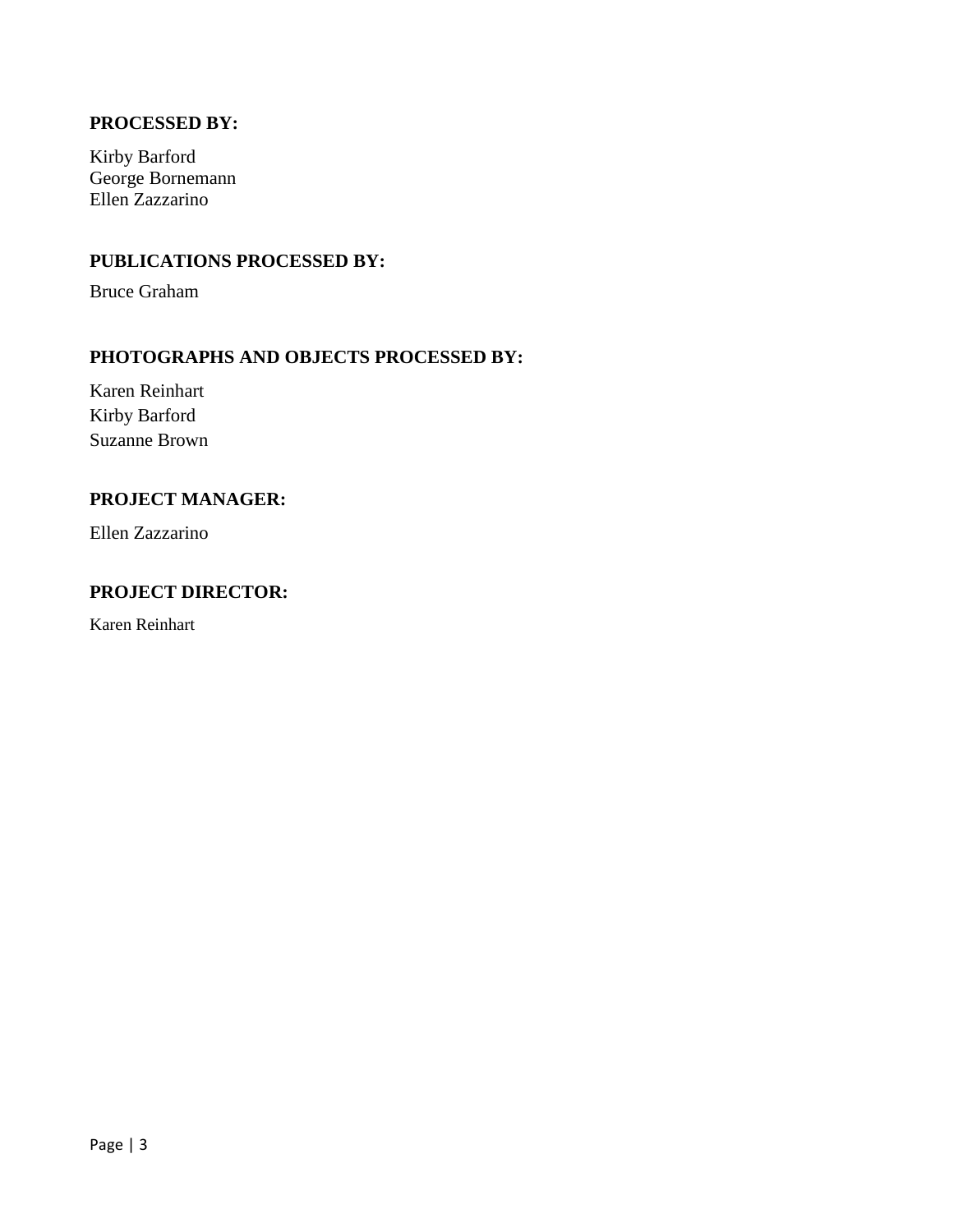## **PROCESSED BY:**

Kirby Barford George Bornemann Ellen Zazzarino

## **PUBLICATIONS PROCESSED BY:**

Bruce Graham

## **PHOTOGRAPHS AND OBJECTS PROCESSED BY:**

Karen Reinhart Kirby Barford Suzanne Brown

## **PROJECT MANAGER:**

Ellen Zazzarino

## **PROJECT DIRECTOR:**

Karen Reinhart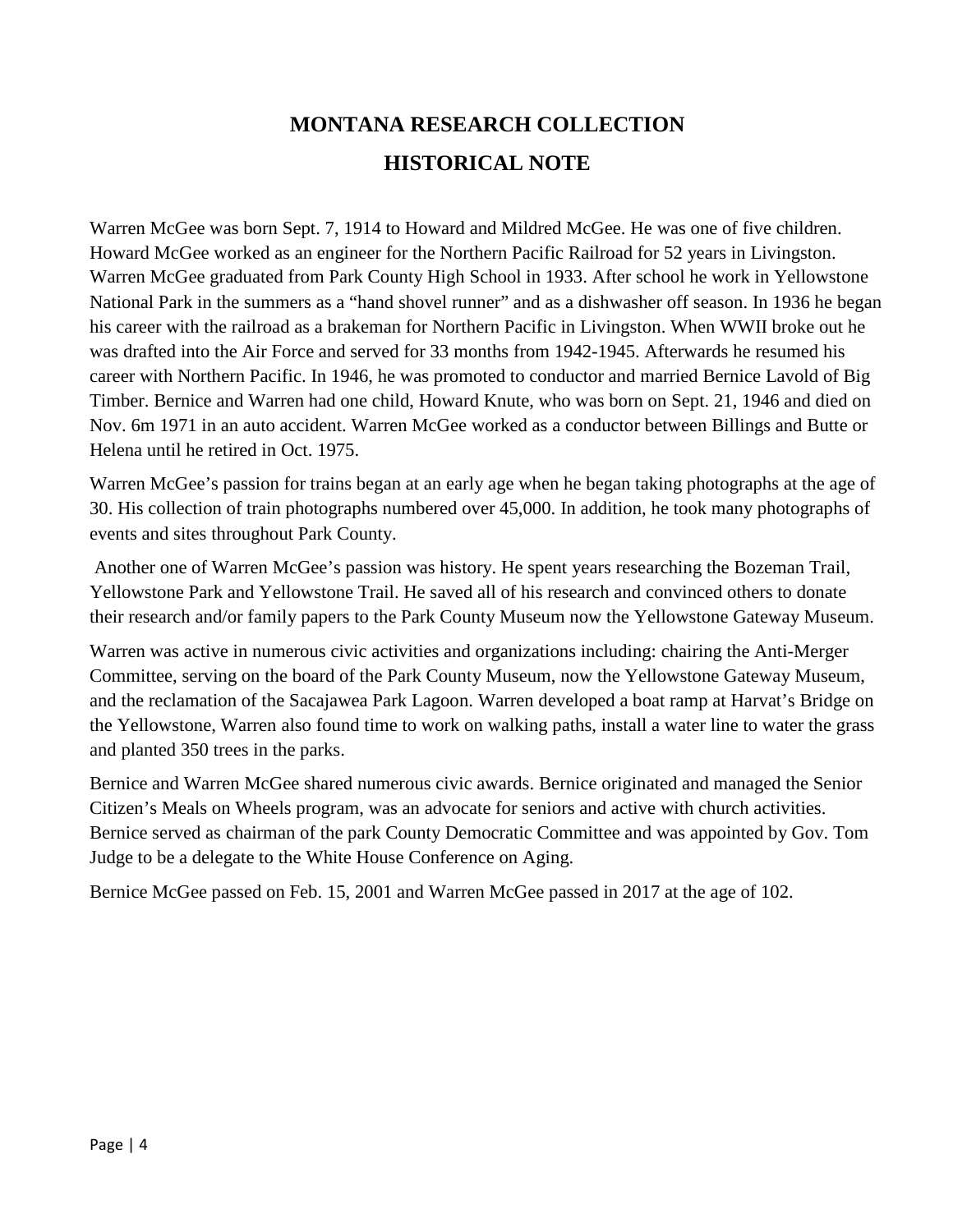# **MONTANA RESEARCH COLLECTION HISTORICAL NOTE**

Warren McGee was born Sept. 7, 1914 to Howard and Mildred McGee. He was one of five children. Howard McGee worked as an engineer for the Northern Pacific Railroad for 52 years in Livingston. Warren McGee graduated from Park County High School in 1933. After school he work in Yellowstone National Park in the summers as a "hand shovel runner" and as a dishwasher off season. In 1936 he began his career with the railroad as a brakeman for Northern Pacific in Livingston. When WWII broke out he was drafted into the Air Force and served for 33 months from 1942-1945. Afterwards he resumed his career with Northern Pacific. In 1946, he was promoted to conductor and married Bernice Lavold of Big Timber. Bernice and Warren had one child, Howard Knute, who was born on Sept. 21, 1946 and died on Nov. 6m 1971 in an auto accident. Warren McGee worked as a conductor between Billings and Butte or Helena until he retired in Oct. 1975.

Warren McGee's passion for trains began at an early age when he began taking photographs at the age of 30. His collection of train photographs numbered over 45,000. In addition, he took many photographs of events and sites throughout Park County.

Another one of Warren McGee's passion was history. He spent years researching the Bozeman Trail, Yellowstone Park and Yellowstone Trail. He saved all of his research and convinced others to donate their research and/or family papers to the Park County Museum now the Yellowstone Gateway Museum.

Warren was active in numerous civic activities and organizations including: chairing the Anti-Merger Committee, serving on the board of the Park County Museum, now the Yellowstone Gateway Museum, and the reclamation of the Sacajawea Park Lagoon. Warren developed a boat ramp at Harvat's Bridge on the Yellowstone, Warren also found time to work on walking paths, install a water line to water the grass and planted 350 trees in the parks.

Bernice and Warren McGee shared numerous civic awards. Bernice originated and managed the Senior Citizen's Meals on Wheels program, was an advocate for seniors and active with church activities. Bernice served as chairman of the park County Democratic Committee and was appointed by Gov. Tom Judge to be a delegate to the White House Conference on Aging.

Bernice McGee passed on Feb. 15, 2001 and Warren McGee passed in 2017 at the age of 102.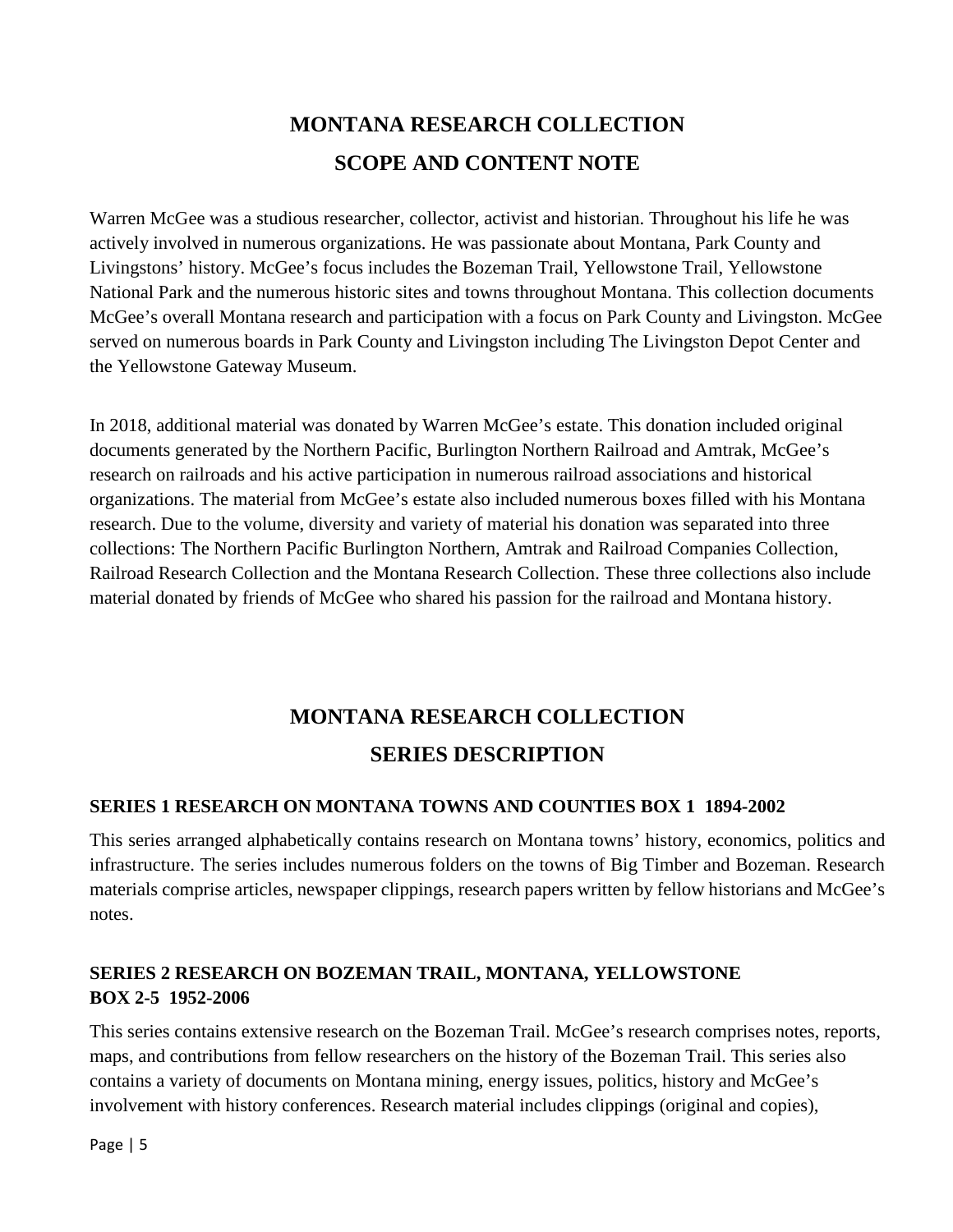# **MONTANA RESEARCH COLLECTION SCOPE AND CONTENT NOTE**

Warren McGee was a studious researcher, collector, activist and historian. Throughout his life he was actively involved in numerous organizations. He was passionate about Montana, Park County and Livingstons' history. McGee's focus includes the Bozeman Trail, Yellowstone Trail, Yellowstone National Park and the numerous historic sites and towns throughout Montana. This collection documents McGee's overall Montana research and participation with a focus on Park County and Livingston. McGee served on numerous boards in Park County and Livingston including The Livingston Depot Center and the Yellowstone Gateway Museum.

In 2018, additional material was donated by Warren McGee's estate. This donation included original documents generated by the Northern Pacific, Burlington Northern Railroad and Amtrak, McGee's research on railroads and his active participation in numerous railroad associations and historical organizations. The material from McGee's estate also included numerous boxes filled with his Montana research. Due to the volume, diversity and variety of material his donation was separated into three collections: The Northern Pacific Burlington Northern, Amtrak and Railroad Companies Collection, Railroad Research Collection and the Montana Research Collection. These three collections also include material donated by friends of McGee who shared his passion for the railroad and Montana history.

# **MONTANA RESEARCH COLLECTION SERIES DESCRIPTION**

## **SERIES 1 RESEARCH ON MONTANA TOWNS AND COUNTIES BOX 1 1894-2002**

This series arranged alphabetically contains research on Montana towns' history, economics, politics and infrastructure. The series includes numerous folders on the towns of Big Timber and Bozeman. Research materials comprise articles, newspaper clippings, research papers written by fellow historians and McGee's notes.

## **SERIES 2 RESEARCH ON BOZEMAN TRAIL, MONTANA, YELLOWSTONE BOX 2-5 1952-2006**

This series contains extensive research on the Bozeman Trail. McGee's research comprises notes, reports, maps, and contributions from fellow researchers on the history of the Bozeman Trail. This series also contains a variety of documents on Montana mining, energy issues, politics, history and McGee's involvement with history conferences. Research material includes clippings (original and copies),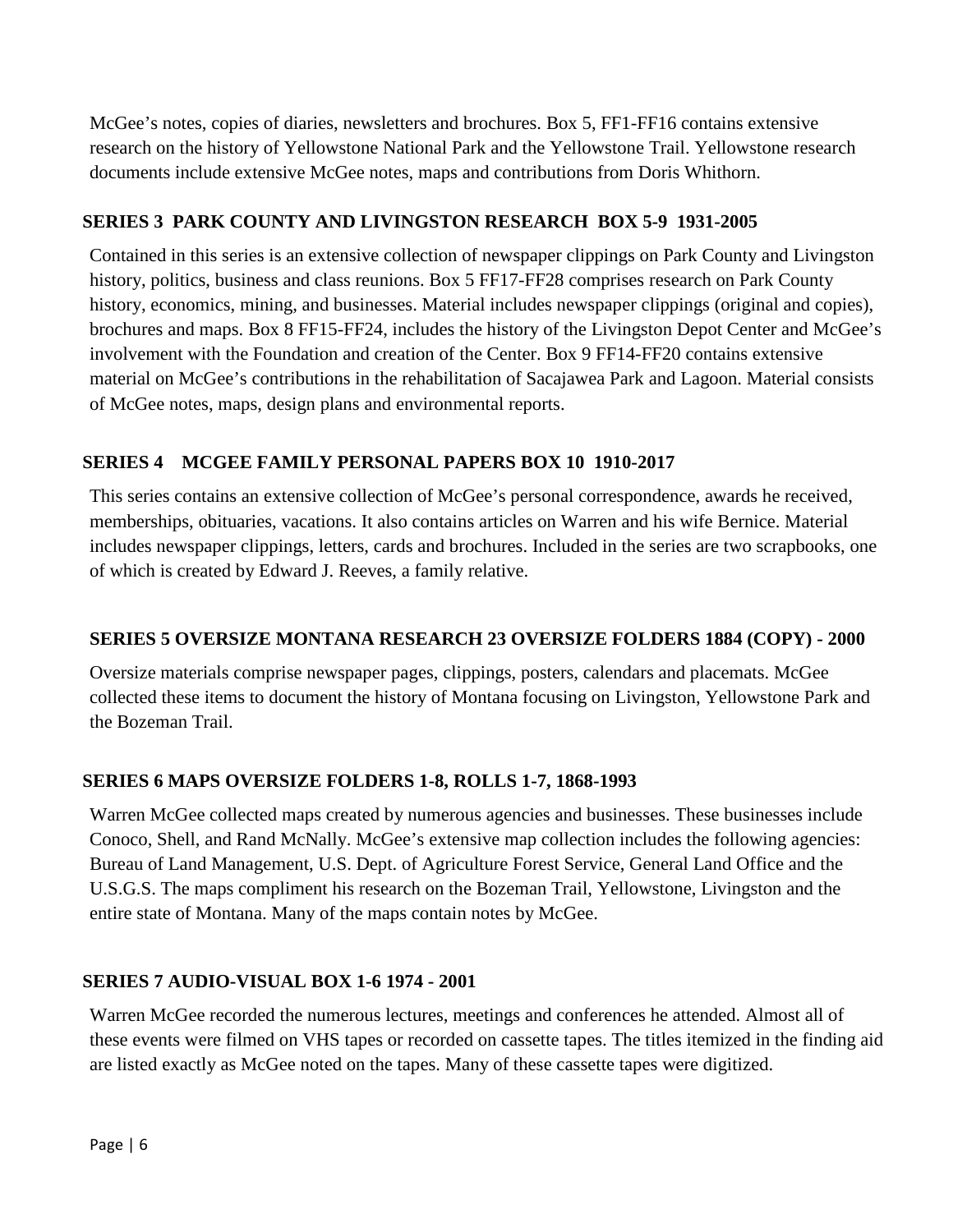McGee's notes, copies of diaries, newsletters and brochures. Box 5, FF1-FF16 contains extensive research on the history of Yellowstone National Park and the Yellowstone Trail. Yellowstone research documents include extensive McGee notes, maps and contributions from Doris Whithorn.

## **SERIES 3 PARK COUNTY AND LIVINGSTON RESEARCH BOX 5-9 1931-2005**

Contained in this series is an extensive collection of newspaper clippings on Park County and Livingston history, politics, business and class reunions. Box 5 FF17-FF28 comprises research on Park County history, economics, mining, and businesses. Material includes newspaper clippings (original and copies), brochures and maps. Box 8 FF15-FF24, includes the history of the Livingston Depot Center and McGee's involvement with the Foundation and creation of the Center. Box 9 FF14-FF20 contains extensive material on McGee's contributions in the rehabilitation of Sacajawea Park and Lagoon. Material consists of McGee notes, maps, design plans and environmental reports.

## **SERIES 4 MCGEE FAMILY PERSONAL PAPERS BOX 10 1910-2017**

This series contains an extensive collection of McGee's personal correspondence, awards he received, memberships, obituaries, vacations. It also contains articles on Warren and his wife Bernice. Material includes newspaper clippings, letters, cards and brochures. Included in the series are two scrapbooks, one of which is created by Edward J. Reeves, a family relative.

## **SERIES 5 OVERSIZE MONTANA RESEARCH 23 OVERSIZE FOLDERS 1884 (COPY) - 2000**

Oversize materials comprise newspaper pages, clippings, posters, calendars and placemats. McGee collected these items to document the history of Montana focusing on Livingston, Yellowstone Park and the Bozeman Trail.

## **SERIES 6 MAPS OVERSIZE FOLDERS 1-8, ROLLS 1-7, 1868-1993**

Warren McGee collected maps created by numerous agencies and businesses. These businesses include Conoco, Shell, and Rand McNally. McGee's extensive map collection includes the following agencies: Bureau of Land Management, U.S. Dept. of Agriculture Forest Service, General Land Office and the U.S.G.S. The maps compliment his research on the Bozeman Trail, Yellowstone, Livingston and the entire state of Montana. Many of the maps contain notes by McGee.

## **SERIES 7 AUDIO-VISUAL BOX 1-6 1974 - 2001**

Warren McGee recorded the numerous lectures, meetings and conferences he attended. Almost all of these events were filmed on VHS tapes or recorded on cassette tapes. The titles itemized in the finding aid are listed exactly as McGee noted on the tapes. Many of these cassette tapes were digitized.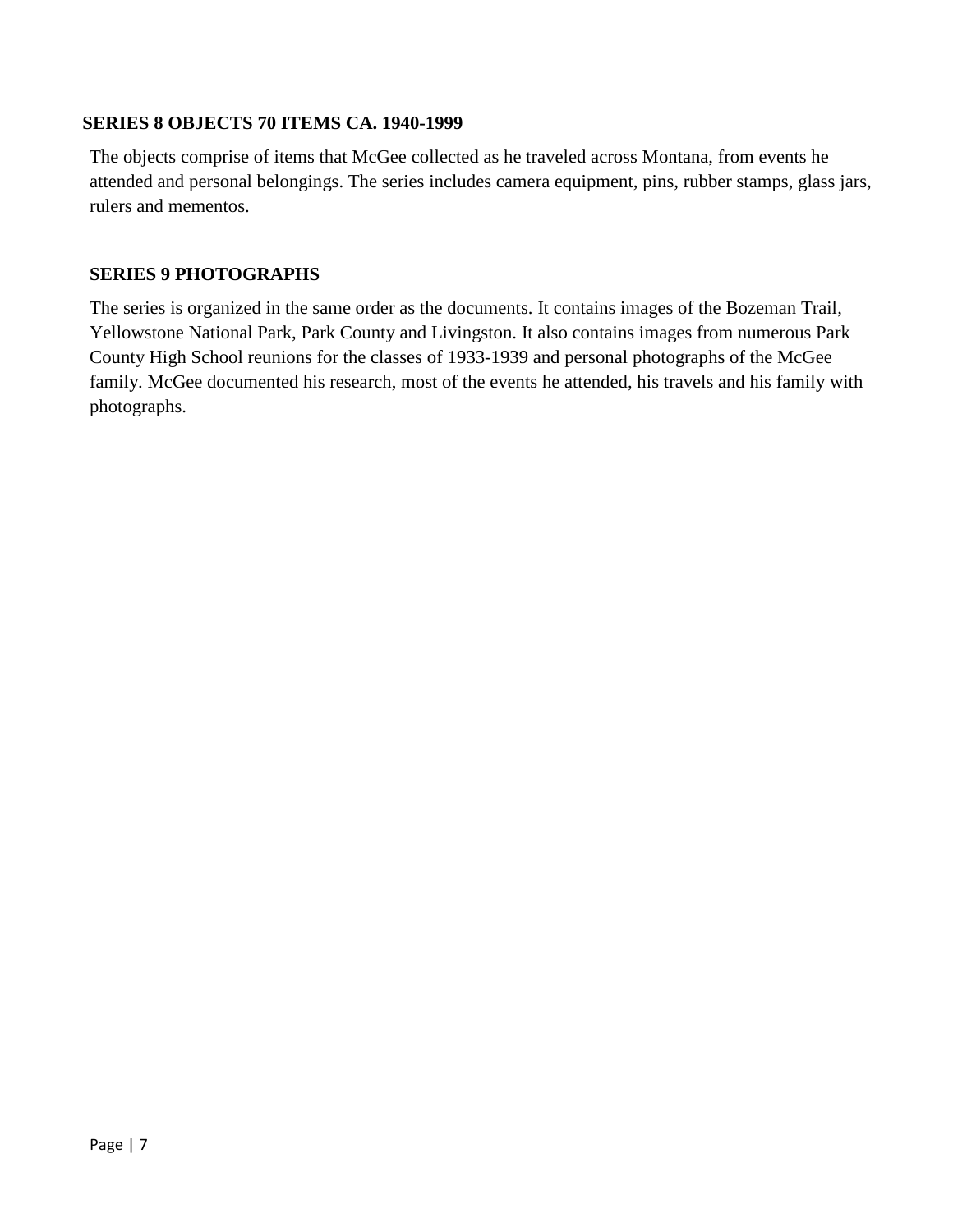## **SERIES 8 OBJECTS 70 ITEMS CA. 1940-1999**

The objects comprise of items that McGee collected as he traveled across Montana, from events he attended and personal belongings. The series includes camera equipment, pins, rubber stamps, glass jars, rulers and mementos.

## **SERIES 9 PHOTOGRAPHS**

The series is organized in the same order as the documents. It contains images of the Bozeman Trail, Yellowstone National Park, Park County and Livingston. It also contains images from numerous Park County High School reunions for the classes of 1933-1939 and personal photographs of the McGee family. McGee documented his research, most of the events he attended, his travels and his family with photographs.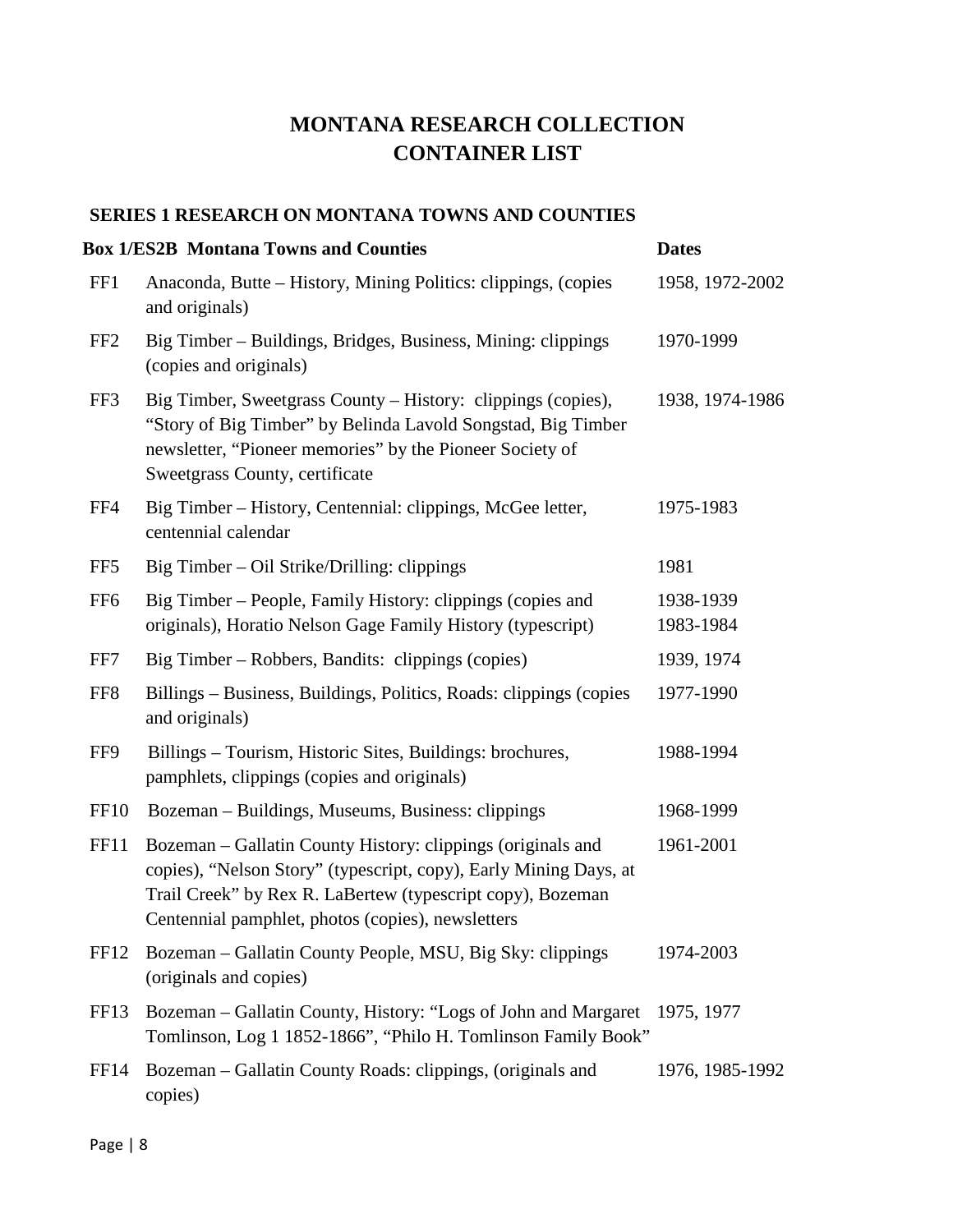## **MONTANA RESEARCH COLLECTION CONTAINER LIST**

## **SERIES 1 RESEARCH ON MONTANA TOWNS AND COUNTIES**

|                  | <b>Box 1/ES2B Montana Towns and Counties</b>                                                                                                                                                                                                        | <b>Dates</b>           |
|------------------|-----------------------------------------------------------------------------------------------------------------------------------------------------------------------------------------------------------------------------------------------------|------------------------|
| FF1              | Anaconda, Butte – History, Mining Politics: clippings, (copies<br>and originals)                                                                                                                                                                    | 1958, 1972-2002        |
| FF <sub>2</sub>  | Big Timber – Buildings, Bridges, Business, Mining: clippings<br>(copies and originals)                                                                                                                                                              | 1970-1999              |
| FF3              | Big Timber, Sweetgrass County - History: clippings (copies),<br>"Story of Big Timber" by Belinda Lavold Songstad, Big Timber<br>newsletter, "Pioneer memories" by the Pioneer Society of<br>Sweetgrass County, certificate                          | 1938, 1974-1986        |
| FF4              | Big Timber - History, Centennial: clippings, McGee letter,<br>centennial calendar                                                                                                                                                                   | 1975-1983              |
| FF <sub>5</sub>  | Big Timber – Oil Strike/Drilling: clippings                                                                                                                                                                                                         | 1981                   |
| FF <sub>6</sub>  | Big Timber - People, Family History: clippings (copies and<br>originals), Horatio Nelson Gage Family History (typescript)                                                                                                                           | 1938-1939<br>1983-1984 |
| FF7              | Big Timber – Robbers, Bandits: clippings (copies)                                                                                                                                                                                                   | 1939, 1974             |
| FF8              | Billings - Business, Buildings, Politics, Roads: clippings (copies<br>and originals)                                                                                                                                                                | 1977-1990              |
| FF9              | Billings – Tourism, Historic Sites, Buildings: brochures,<br>pamphlets, clippings (copies and originals)                                                                                                                                            | 1988-1994              |
| <b>FF10</b>      | Bozeman - Buildings, Museums, Business: clippings                                                                                                                                                                                                   | 1968-1999              |
| <b>FF11</b>      | Bozeman – Gallatin County History: clippings (originals and<br>copies), "Nelson Story" (typescript, copy), Early Mining Days, at<br>Trail Creek" by Rex R. LaBertew (typescript copy), Bozeman<br>Centennial pamphlet, photos (copies), newsletters | 1961-2001              |
| FF <sub>12</sub> | Bozeman – Gallatin County People, MSU, Big Sky: clippings<br>(originals and copies)                                                                                                                                                                 | 1974-2003              |
| FF13             | Bozeman – Gallatin County, History: "Logs of John and Margaret"<br>Tomlinson, Log 1 1852-1866", "Philo H. Tomlinson Family Book"                                                                                                                    | 1975, 1977             |
| FF <sub>14</sub> | Bozeman – Gallatin County Roads: clippings, (originals and<br>copies)                                                                                                                                                                               | 1976, 1985-1992        |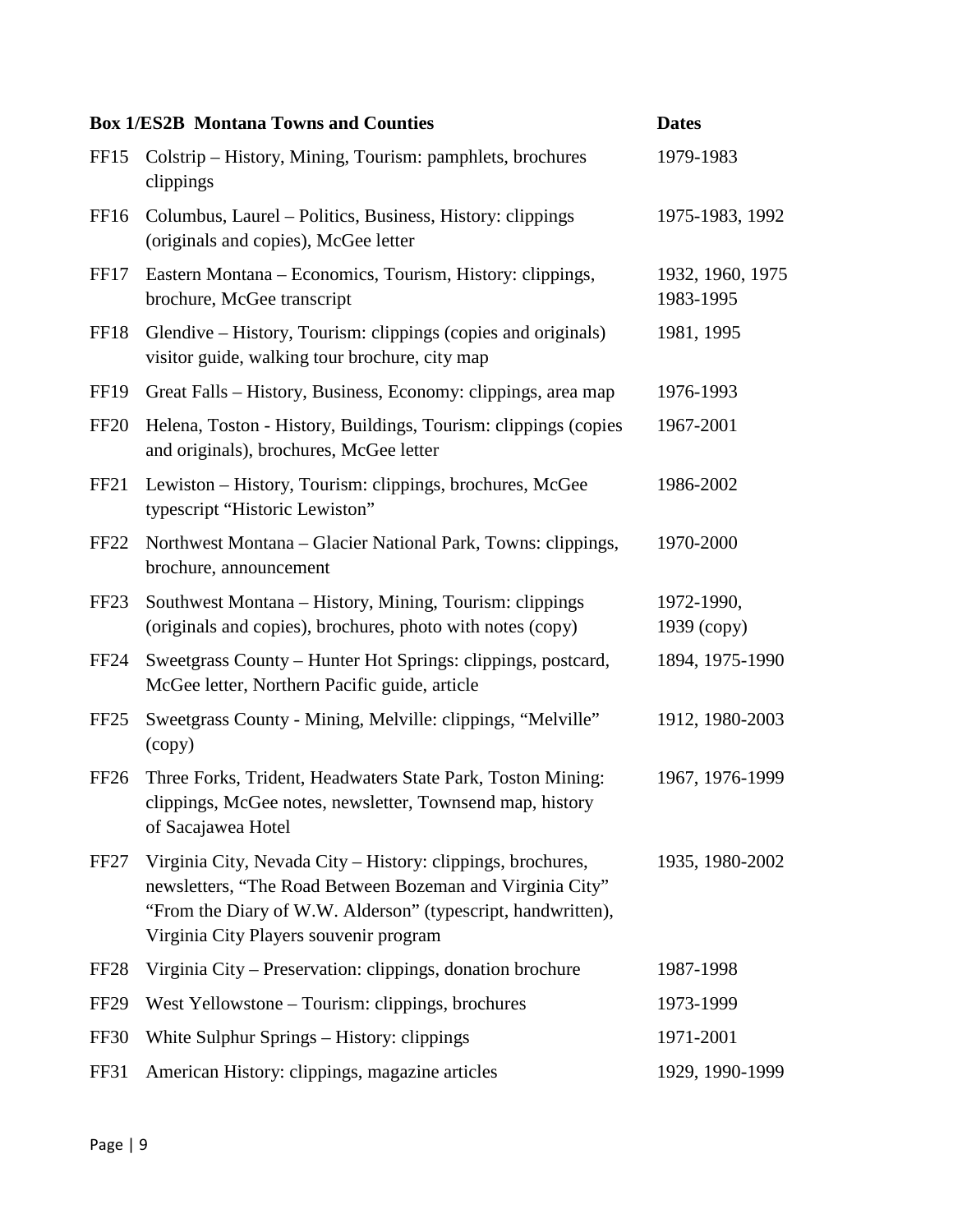|                  | <b>Box 1/ES2B Montana Towns and Counties</b>                                                                                                                                                                                       | <b>Dates</b>                  |
|------------------|------------------------------------------------------------------------------------------------------------------------------------------------------------------------------------------------------------------------------------|-------------------------------|
| FF <sub>15</sub> | Colstrip – History, Mining, Tourism: pamphlets, brochures<br>clippings                                                                                                                                                             | 1979-1983                     |
| FF <sub>16</sub> | Columbus, Laurel – Politics, Business, History: clippings<br>(originals and copies), McGee letter                                                                                                                                  | 1975-1983, 1992               |
| <b>FF17</b>      | Eastern Montana – Economics, Tourism, History: clippings,<br>brochure, McGee transcript                                                                                                                                            | 1932, 1960, 1975<br>1983-1995 |
| FF18             | Glendive – History, Tourism: clippings (copies and originals)<br>visitor guide, walking tour brochure, city map                                                                                                                    | 1981, 1995                    |
| <b>FF19</b>      | Great Falls – History, Business, Economy: clippings, area map                                                                                                                                                                      | 1976-1993                     |
| <b>FF20</b>      | Helena, Toston - History, Buildings, Tourism: clippings (copies<br>and originals), brochures, McGee letter                                                                                                                         | 1967-2001                     |
| FF <sub>21</sub> | Lewiston – History, Tourism: clippings, brochures, McGee<br>typescript "Historic Lewiston"                                                                                                                                         | 1986-2002                     |
| FF <sub>22</sub> | Northwest Montana – Glacier National Park, Towns: clippings,<br>brochure, announcement                                                                                                                                             | 1970-2000                     |
| FF <sub>23</sub> | Southwest Montana – History, Mining, Tourism: clippings<br>(originals and copies), brochures, photo with notes (copy)                                                                                                              | 1972-1990,<br>1939 (copy)     |
| <b>FF24</b>      | Sweetgrass County – Hunter Hot Springs: clippings, postcard,<br>McGee letter, Northern Pacific guide, article                                                                                                                      | 1894, 1975-1990               |
| FF <sub>25</sub> | Sweetgrass County - Mining, Melville: clippings, "Melville"<br>(copy)                                                                                                                                                              | 1912, 1980-2003               |
| FF <sub>26</sub> | Three Forks, Trident, Headwaters State Park, Toston Mining:<br>clippings, McGee notes, newsletter, Townsend map, history<br>of Sacajawea Hotel                                                                                     | 1967, 1976-1999               |
| FF <sub>27</sub> | Virginia City, Nevada City - History: clippings, brochures,<br>newsletters, "The Road Between Bozeman and Virginia City"<br>"From the Diary of W.W. Alderson" (typescript, handwritten),<br>Virginia City Players souvenir program | 1935, 1980-2002               |
| FF <sub>28</sub> | Virginia City – Preservation: clippings, donation brochure                                                                                                                                                                         | 1987-1998                     |
| FF <sub>29</sub> | West Yellowstone – Tourism: clippings, brochures                                                                                                                                                                                   | 1973-1999                     |
| <b>FF30</b>      | White Sulphur Springs – History: clippings                                                                                                                                                                                         | 1971-2001                     |
| FF31             | American History: clippings, magazine articles                                                                                                                                                                                     | 1929, 1990-1999               |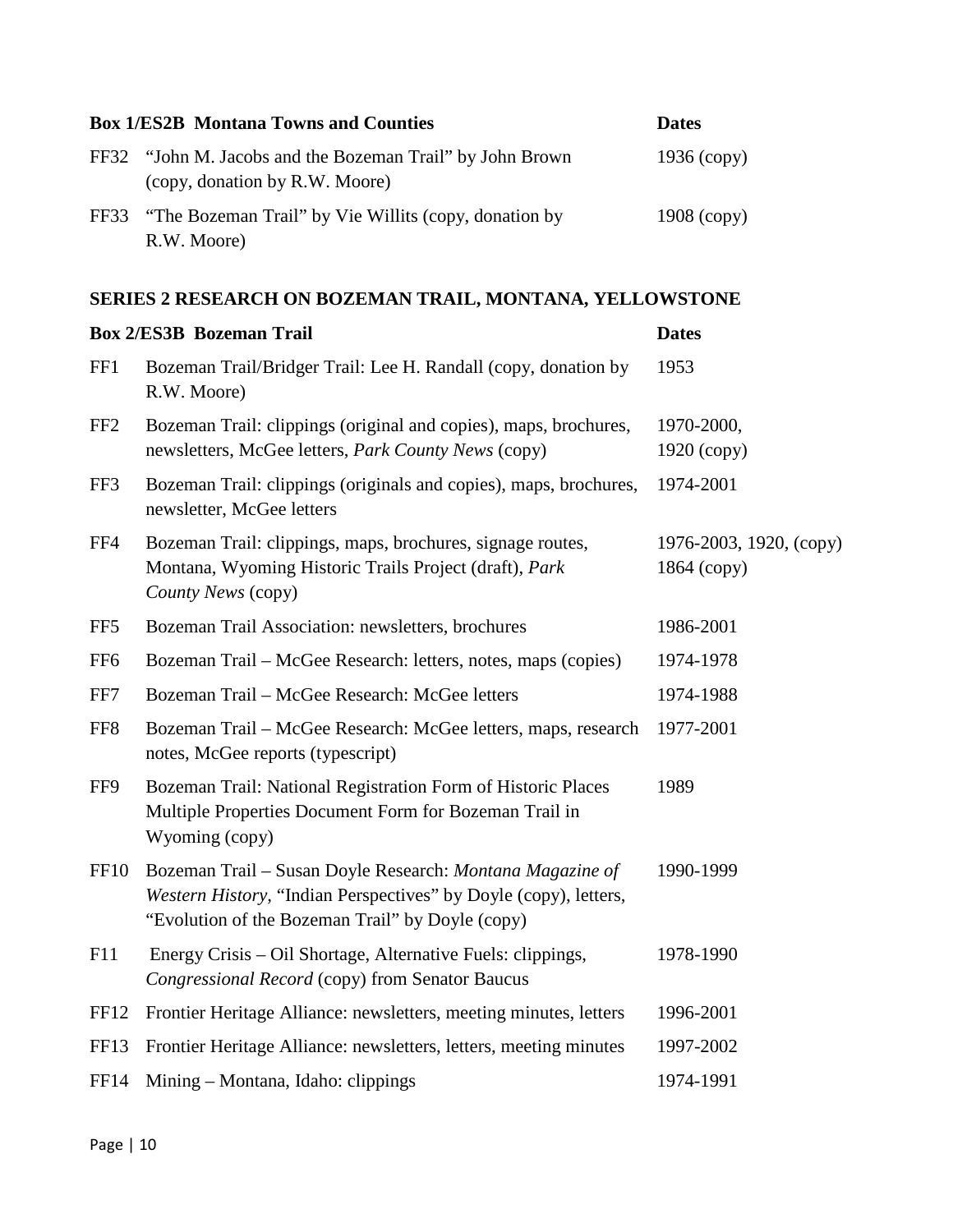| <b>Box 1/ES2B Montana Towns and Counties</b>                                                | <b>Dates</b>  |
|---------------------------------------------------------------------------------------------|---------------|
| FF32 "John M. Jacobs and the Bozeman Trail" by John Brown<br>(copy, donation by R.W. Moore) | $1936$ (copy) |
| FF33 "The Bozeman Trail" by Vie Willits (copy, donation by<br>R.W. Moore)                   | $1908$ (copy) |

## **SERIES 2 RESEARCH ON BOZEMAN TRAIL, MONTANA, YELLOWSTONE**

|                  | <b>Box 2/ES3B Bozeman Trail</b>                                                                                                                                                   | <b>Dates</b>                             |
|------------------|-----------------------------------------------------------------------------------------------------------------------------------------------------------------------------------|------------------------------------------|
| FF1              | Bozeman Trail/Bridger Trail: Lee H. Randall (copy, donation by<br>R.W. Moore)                                                                                                     | 1953                                     |
| FF <sub>2</sub>  | Bozeman Trail: clippings (original and copies), maps, brochures,<br>newsletters, McGee letters, Park County News (copy)                                                           | 1970-2000,<br>$1920$ (copy)              |
| FF3              | Bozeman Trail: clippings (originals and copies), maps, brochures,<br>newsletter, McGee letters                                                                                    | 1974-2001                                |
| FF4              | Bozeman Trail: clippings, maps, brochures, signage routes,<br>Montana, Wyoming Historic Trails Project (draft), Park<br>County News (copy)                                        | 1976-2003, 1920, (сору)<br>$1864$ (copy) |
| FF5              | Bozeman Trail Association: newsletters, brochures                                                                                                                                 | 1986-2001                                |
| FF <sub>6</sub>  | Bozeman Trail – McGee Research: letters, notes, maps (copies)                                                                                                                     | 1974-1978                                |
| FF7              | Bozeman Trail – McGee Research: McGee letters                                                                                                                                     | 1974-1988                                |
| FF <sub>8</sub>  | Bozeman Trail - McGee Research: McGee letters, maps, research<br>notes, McGee reports (typescript)                                                                                | 1977-2001                                |
| FF9              | Bozeman Trail: National Registration Form of Historic Places<br>Multiple Properties Document Form for Bozeman Trail in<br>Wyoming (copy)                                          | 1989                                     |
| <b>FF10</b>      | Bozeman Trail – Susan Doyle Research: Montana Magazine of<br>Western History, "Indian Perspectives" by Doyle (copy), letters,<br>"Evolution of the Bozeman Trail" by Doyle (copy) | 1990-1999                                |
| F11              | Energy Crisis – Oil Shortage, Alternative Fuels: clippings,<br>Congressional Record (copy) from Senator Baucus                                                                    | 1978-1990                                |
| FF <sub>12</sub> | Frontier Heritage Alliance: newsletters, meeting minutes, letters                                                                                                                 | 1996-2001                                |
| FF13             | Frontier Heritage Alliance: newsletters, letters, meeting minutes                                                                                                                 | 1997-2002                                |
| FF14             | Mining – Montana, Idaho: clippings                                                                                                                                                | 1974-1991                                |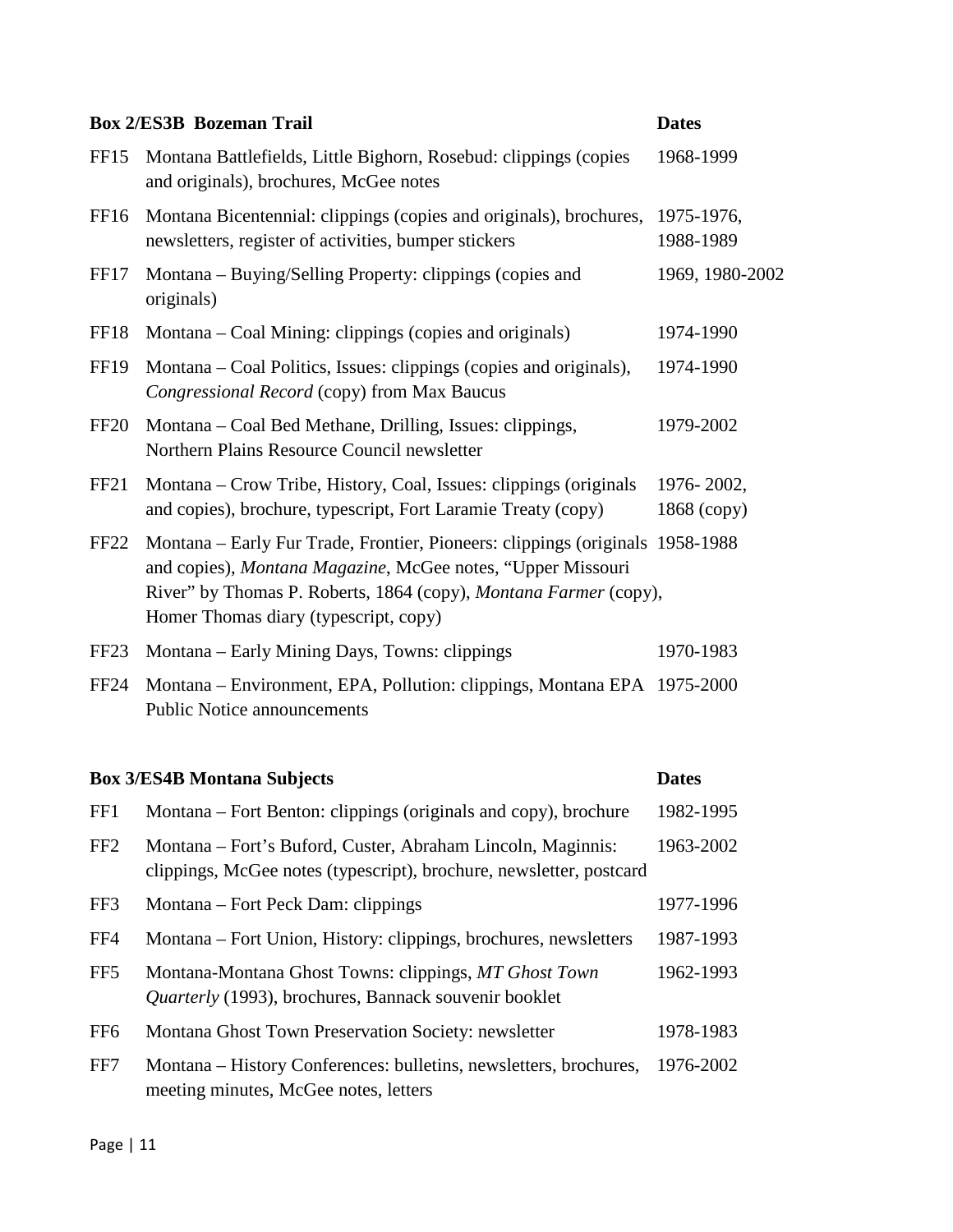|                  | <b>Box 2/ES3B Bozeman Trail</b>                                                                                                                                                                                                                            | <b>Dates</b>                |
|------------------|------------------------------------------------------------------------------------------------------------------------------------------------------------------------------------------------------------------------------------------------------------|-----------------------------|
| FF <sub>15</sub> | Montana Battlefields, Little Bighorn, Rosebud: clippings (copies<br>and originals), brochures, McGee notes                                                                                                                                                 | 1968-1999                   |
| FF <sub>16</sub> | Montana Bicentennial: clippings (copies and originals), brochures,<br>newsletters, register of activities, bumper stickers                                                                                                                                 | 1975-1976,<br>1988-1989     |
| FF17             | Montana – Buying/Selling Property: clippings (copies and<br>originals)                                                                                                                                                                                     | 1969, 1980-2002             |
| FF18             | Montana – Coal Mining: clippings (copies and originals)                                                                                                                                                                                                    | 1974-1990                   |
| <b>FF19</b>      | Montana – Coal Politics, Issues: clippings (copies and originals),<br>Congressional Record (copy) from Max Baucus                                                                                                                                          | 1974-1990                   |
| <b>FF20</b>      | Montana – Coal Bed Methane, Drilling, Issues: clippings,<br>Northern Plains Resource Council newsletter                                                                                                                                                    | 1979-2002                   |
| FF <sub>21</sub> | Montana – Crow Tribe, History, Coal, Issues: clippings (originals<br>and copies), brochure, typescript, Fort Laramie Treaty (copy)                                                                                                                         | 1976-2002,<br>$1868$ (copy) |
| FF <sub>22</sub> | Montana – Early Fur Trade, Frontier, Pioneers: clippings (originals 1958-1988)<br>and copies), Montana Magazine, McGee notes, "Upper Missouri<br>River" by Thomas P. Roberts, 1864 (copy), Montana Farmer (copy),<br>Homer Thomas diary (typescript, copy) |                             |
| FF <sub>23</sub> | Montana – Early Mining Days, Towns: clippings                                                                                                                                                                                                              | 1970-1983                   |
| <b>FF24</b>      | Montana – Environment, EPA, Pollution: clippings, Montana EPA 1975-2000<br><b>Public Notice announcements</b>                                                                                                                                              |                             |
|                  |                                                                                                                                                                                                                                                            |                             |

# FF1 Montana – Fort Benton: clippings (originals and copy), brochure 1982-1995 FF2 Montana – Fort's Buford, Custer, Abraham Lincoln, Maginnis: 1963-2002 clippings, McGee notes (typescript), brochure, newsletter, postcard FF3 Montana – Fort Peck Dam: clippings 1977-1996 FF4 Montana – Fort Union, History: clippings, brochures, newsletters 1987-1993 FF5 Montana-Montana Ghost Towns: clippings, *MT Ghost Town* 1962-1993 *Quarterly* (1993), brochures, Bannack souvenir booklet FF6 Montana Ghost Town Preservation Society: newsletter 1978-1983 FF7 Montana – History Conferences: bulletins, newsletters, brochures, 1976-2002 meeting minutes, McGee notes, letters

**Box 3/ES4B Montana Subjects Dates**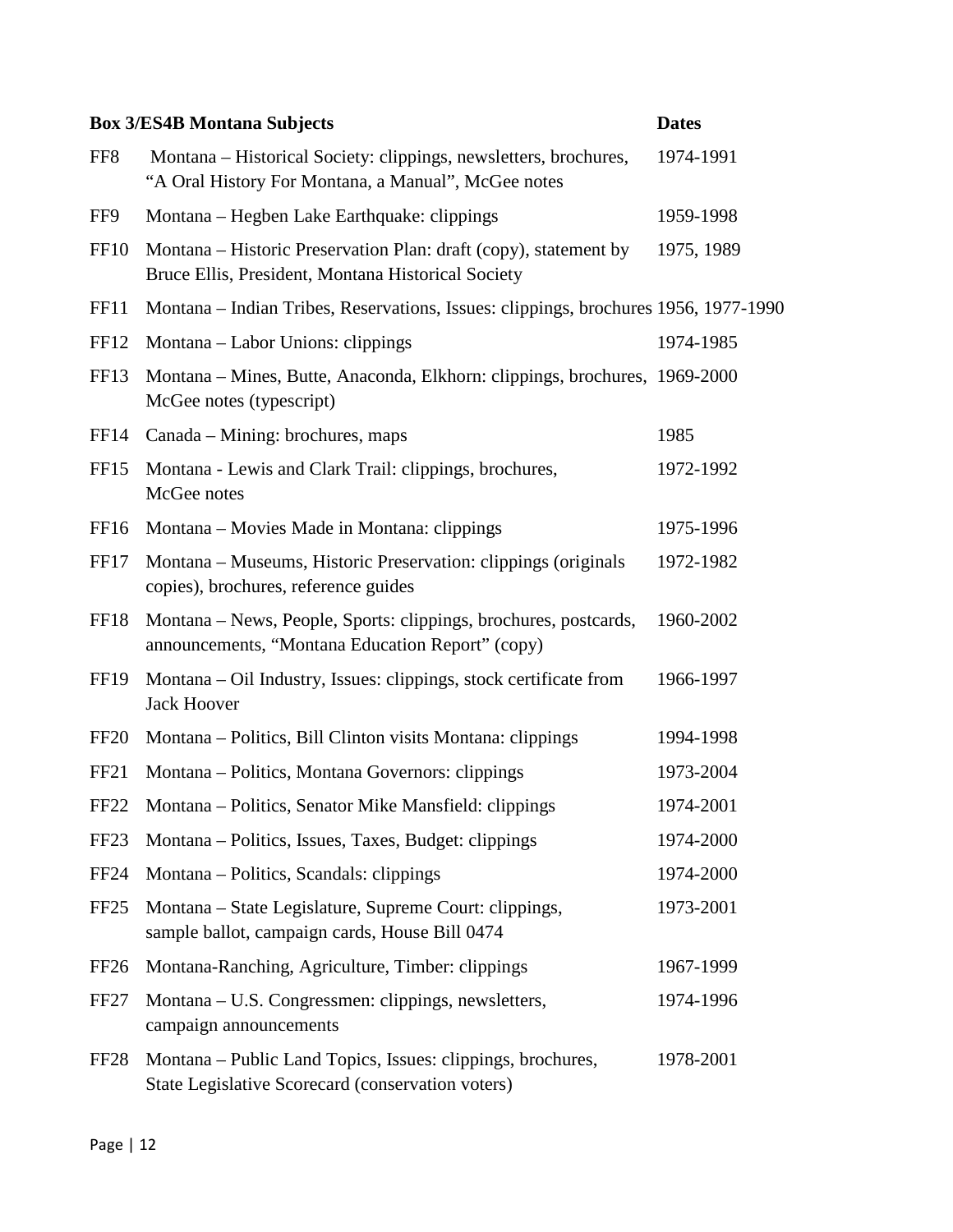|                  | <b>Box 3/ES4B Montana Subjects</b>                                                                                      | <b>Dates</b> |
|------------------|-------------------------------------------------------------------------------------------------------------------------|--------------|
| FF <sub>8</sub>  | Montana – Historical Society: clippings, newsletters, brochures,<br>"A Oral History For Montana, a Manual", McGee notes | 1974-1991    |
| FF9              | Montana – Hegben Lake Earthquake: clippings                                                                             | 1959-1998    |
| <b>FF10</b>      | Montana – Historic Preservation Plan: draft (copy), statement by<br>Bruce Ellis, President, Montana Historical Society  | 1975, 1989   |
| FF11             | Montana – Indian Tribes, Reservations, Issues: clippings, brochures 1956, 1977-1990                                     |              |
| FF <sub>12</sub> | Montana – Labor Unions: clippings                                                                                       | 1974-1985    |
| FF13             | Montana – Mines, Butte, Anaconda, Elkhorn: clippings, brochures, 1969-2000<br>McGee notes (typescript)                  |              |
| FF <sub>14</sub> | Canada – Mining: brochures, maps                                                                                        | 1985         |
| FF15             | Montana - Lewis and Clark Trail: clippings, brochures,<br>McGee notes                                                   | 1972-1992    |
| FF <sub>16</sub> | Montana – Movies Made in Montana: clippings                                                                             | 1975-1996    |
| FF17             | Montana – Museums, Historic Preservation: clippings (originals<br>copies), brochures, reference guides                  | 1972-1982    |
| FF18             | Montana – News, People, Sports: clippings, brochures, postcards,<br>announcements, "Montana Education Report" (copy)    | 1960-2002    |
| <b>FF19</b>      | Montana – Oil Industry, Issues: clippings, stock certificate from<br><b>Jack Hoover</b>                                 | 1966-1997    |
| FF <sub>20</sub> | Montana – Politics, Bill Clinton visits Montana: clippings                                                              | 1994-1998    |
| FF <sub>21</sub> | Montana – Politics, Montana Governors: clippings                                                                        | 1973-2004    |
| FF <sub>22</sub> | Montana - Politics, Senator Mike Mansfield: clippings                                                                   | 1974-2001    |
| FF <sub>23</sub> | Montana – Politics, Issues, Taxes, Budget: clippings                                                                    | 1974-2000    |
| <b>FF24</b>      | Montana – Politics, Scandals: clippings                                                                                 | 1974-2000    |
| FF <sub>25</sub> | Montana – State Legislature, Supreme Court: clippings,<br>sample ballot, campaign cards, House Bill 0474                | 1973-2001    |
| FF <sub>26</sub> | Montana-Ranching, Agriculture, Timber: clippings                                                                        | 1967-1999    |
| FF <sub>27</sub> | Montana – U.S. Congressmen: clippings, newsletters,<br>campaign announcements                                           | 1974-1996    |
| FF <sub>28</sub> | Montana – Public Land Topics, Issues: clippings, brochures,<br>State Legislative Scorecard (conservation voters)        | 1978-2001    |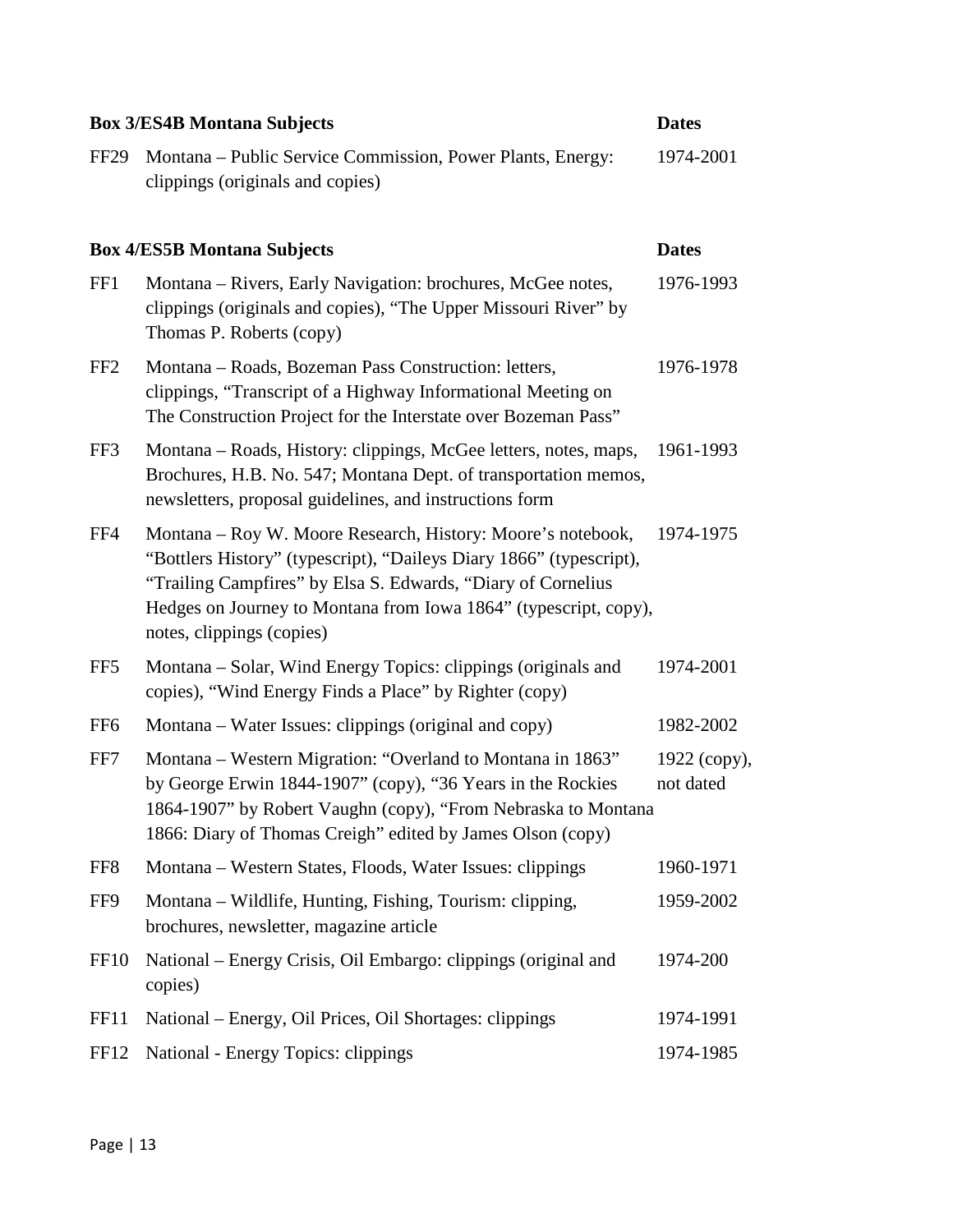|                  | <b>Box 3/ES4B Montana Subjects</b>                                                                                                                                                                                                                                                                  | <b>Dates</b>              |
|------------------|-----------------------------------------------------------------------------------------------------------------------------------------------------------------------------------------------------------------------------------------------------------------------------------------------------|---------------------------|
| <b>FF29</b>      | Montana - Public Service Commission, Power Plants, Energy:<br>clippings (originals and copies)                                                                                                                                                                                                      | 1974-2001                 |
|                  | <b>Box 4/ES5B Montana Subjects</b>                                                                                                                                                                                                                                                                  | <b>Dates</b>              |
| FF1              | Montana – Rivers, Early Navigation: brochures, McGee notes,<br>clippings (originals and copies), "The Upper Missouri River" by<br>Thomas P. Roberts (copy)                                                                                                                                          | 1976-1993                 |
| FF <sub>2</sub>  | Montana – Roads, Bozeman Pass Construction: letters,<br>clippings, "Transcript of a Highway Informational Meeting on<br>The Construction Project for the Interstate over Bozeman Pass"                                                                                                              | 1976-1978                 |
| FF3              | Montana – Roads, History: clippings, McGee letters, notes, maps,<br>Brochures, H.B. No. 547; Montana Dept. of transportation memos,<br>newsletters, proposal guidelines, and instructions form                                                                                                      | 1961-1993                 |
| FF4              | Montana – Roy W. Moore Research, History: Moore's notebook,<br>"Bottlers History" (typescript), "Daileys Diary 1866" (typescript),<br>"Trailing Campfires" by Elsa S. Edwards, "Diary of Cornelius<br>Hedges on Journey to Montana from Iowa 1864" (typescript, copy),<br>notes, clippings (copies) | 1974-1975                 |
| FF5              | Montana – Solar, Wind Energy Topics: clippings (originals and<br>copies), "Wind Energy Finds a Place" by Righter (copy)                                                                                                                                                                             | 1974-2001                 |
| FF <sub>6</sub>  | Montana - Water Issues: clippings (original and copy)                                                                                                                                                                                                                                               | 1982-2002                 |
| FF7              | Montana - Western Migration: "Overland to Montana in 1863"<br>by George Erwin 1844-1907" (copy), "36 Years in the Rockies<br>1864-1907" by Robert Vaughn (copy), "From Nebraska to Montana<br>1866: Diary of Thomas Creigh" edited by James Olson (copy)                                            | 1922 (copy),<br>not dated |
| FF <sub>8</sub>  | Montana – Western States, Floods, Water Issues: clippings                                                                                                                                                                                                                                           | 1960-1971                 |
| FF9              | Montana – Wildlife, Hunting, Fishing, Tourism: clipping,<br>brochures, newsletter, magazine article                                                                                                                                                                                                 | 1959-2002                 |
| FF <sub>10</sub> | National – Energy Crisis, Oil Embargo: clippings (original and<br>copies)                                                                                                                                                                                                                           | 1974-200                  |
| FF11             | National – Energy, Oil Prices, Oil Shortages: clippings                                                                                                                                                                                                                                             | 1974-1991                 |
| FF <sub>12</sub> | National - Energy Topics: clippings                                                                                                                                                                                                                                                                 | 1974-1985                 |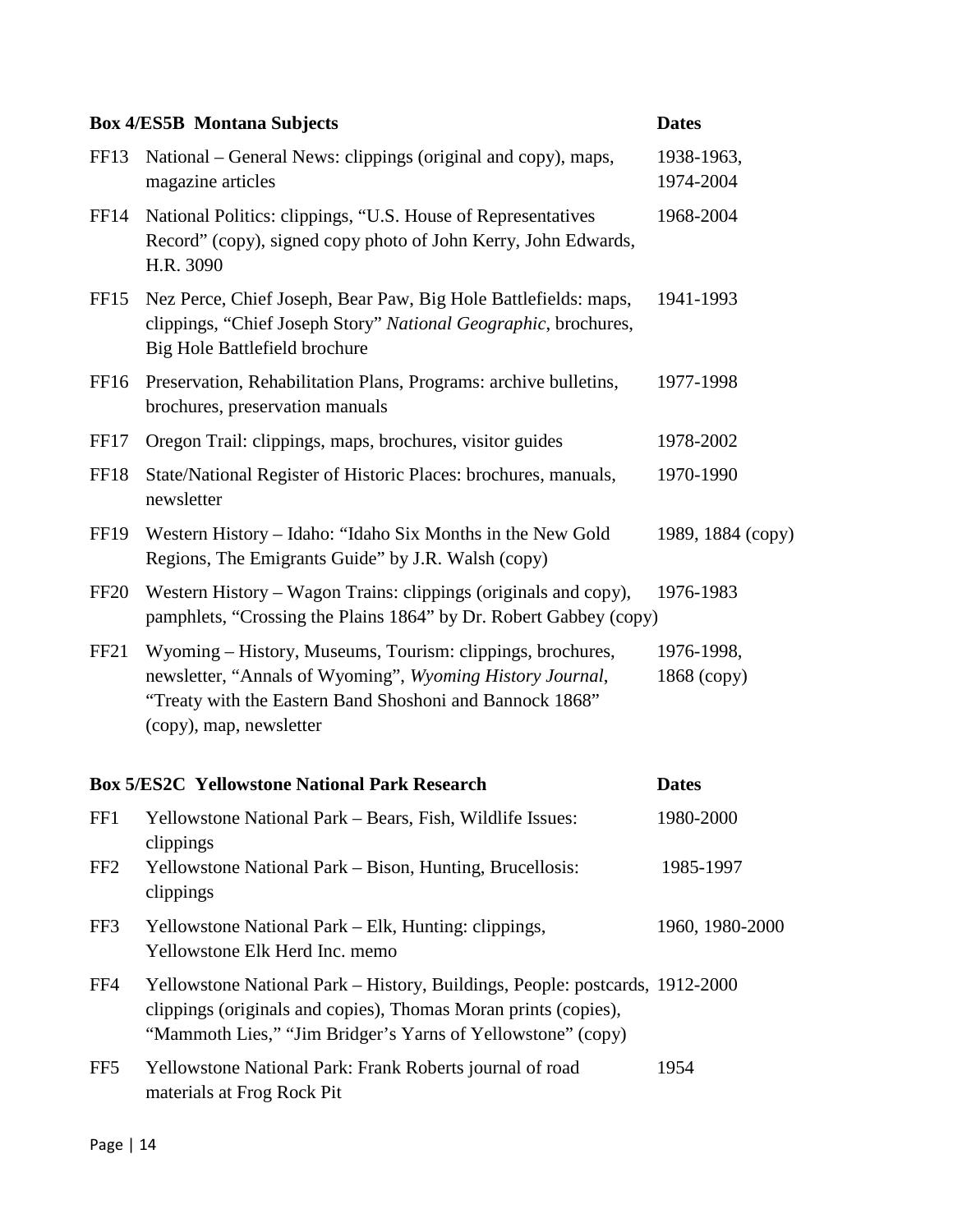|                  | <b>Box 4/ES5B Montana Subjects</b>                                                                                                                                                                             | <b>Dates</b>              |
|------------------|----------------------------------------------------------------------------------------------------------------------------------------------------------------------------------------------------------------|---------------------------|
| FF <sub>13</sub> | National – General News: clippings (original and copy), maps,<br>magazine articles                                                                                                                             | 1938-1963,<br>1974-2004   |
| FF <sub>14</sub> | National Politics: clippings, "U.S. House of Representatives<br>Record" (copy), signed copy photo of John Kerry, John Edwards,<br>H.R. 3090                                                                    | 1968-2004                 |
| <b>FF15</b>      | Nez Perce, Chief Joseph, Bear Paw, Big Hole Battlefields: maps,<br>clippings, "Chief Joseph Story" National Geographic, brochures,<br>Big Hole Battlefield brochure                                            | 1941-1993                 |
| FF <sub>16</sub> | Preservation, Rehabilitation Plans, Programs: archive bulletins,<br>brochures, preservation manuals                                                                                                            | 1977-1998                 |
| FF17             | Oregon Trail: clippings, maps, brochures, visitor guides                                                                                                                                                       | 1978-2002                 |
| <b>FF18</b>      | State/National Register of Historic Places: brochures, manuals,<br>newsletter                                                                                                                                  | 1970-1990                 |
| <b>FF19</b>      | Western History – Idaho: "Idaho Six Months in the New Gold<br>Regions, The Emigrants Guide" by J.R. Walsh (copy)                                                                                               | 1989, 1884 (сору)         |
| <b>FF20</b>      | Western History – Wagon Trains: clippings (originals and copy),<br>pamphlets, "Crossing the Plains 1864" by Dr. Robert Gabbey (copy)                                                                           | 1976-1983                 |
| FF <sub>21</sub> | Wyoming – History, Museums, Tourism: clippings, brochures,<br>newsletter, "Annals of Wyoming", Wyoming History Journal,<br>"Treaty with the Eastern Band Shoshoni and Bannock 1868"<br>(copy), map, newsletter | 1976-1998,<br>1868 (copy) |
|                  | <b>Box 5/ES2C Yellowstone National Park Research</b>                                                                                                                                                           | <b>Dates</b>              |
| FF1              | Yellowstone National Park - Bears, Fish, Wildlife Issues:<br>clippings                                                                                                                                         | 1980-2000                 |
| FF <sub>2</sub>  | Yellowstone National Park – Bison, Hunting, Brucellosis:<br>clippings                                                                                                                                          | 1985-1997                 |
| FF3              | Yellowstone National Park – Elk, Hunting: clippings,<br>Yellowstone Elk Herd Inc. memo                                                                                                                         | 1960, 1980-2000           |
| FF4              | Yellowstone National Park – History, Buildings, People: postcards, 1912-2000<br>clippings (originals and copies), Thomas Moran prints (copies),<br>"Mammoth Lies," "Jim Bridger's Yarns of Yellowstone" (copy) |                           |
| FF5              | Yellowstone National Park: Frank Roberts journal of road<br>materials at Frog Rock Pit                                                                                                                         | 1954                      |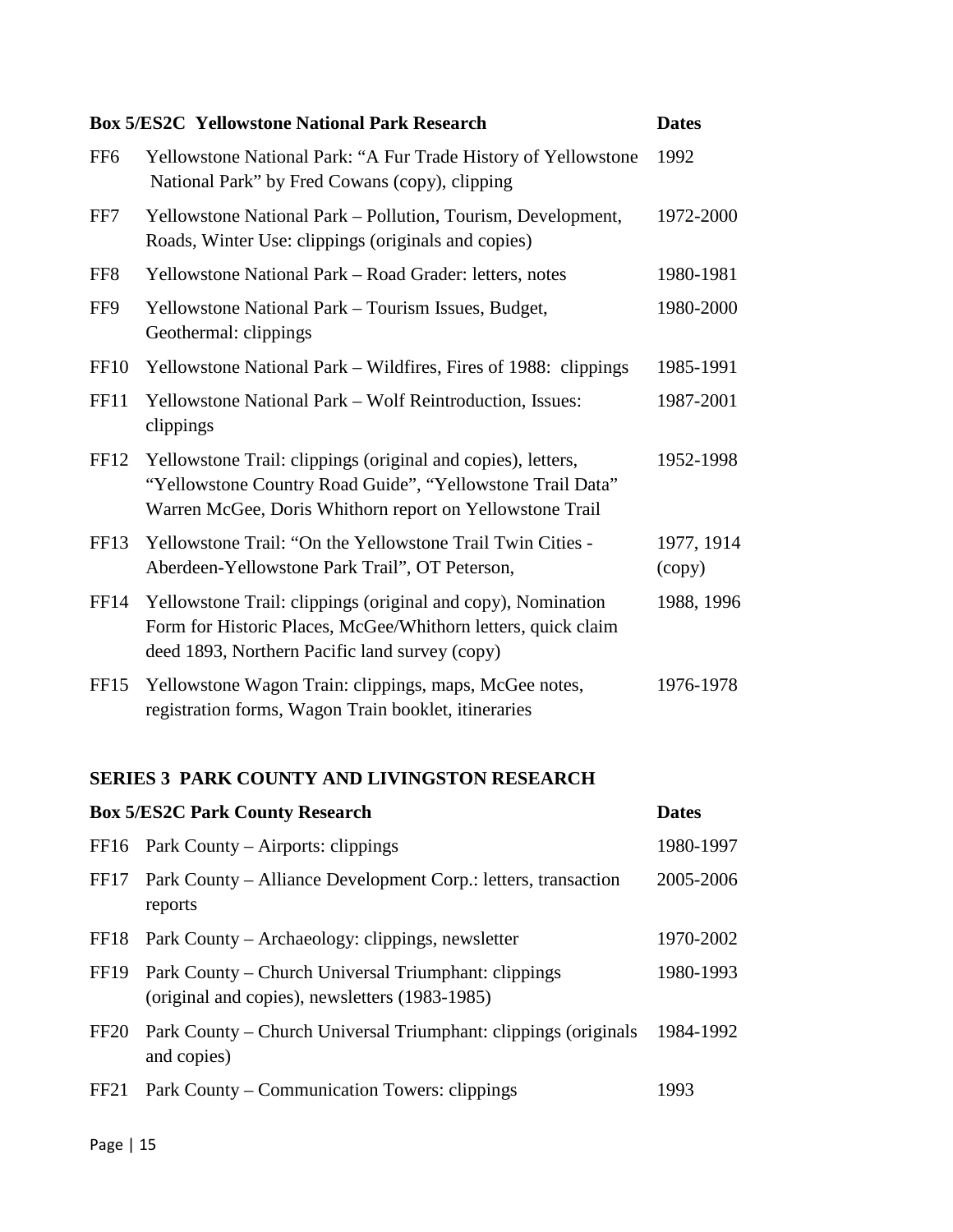|                  | <b>Box 5/ES2C Yellowstone National Park Research</b>                                                                                                                                   | <b>Dates</b>         |
|------------------|----------------------------------------------------------------------------------------------------------------------------------------------------------------------------------------|----------------------|
| FF <sub>6</sub>  | Yellowstone National Park: "A Fur Trade History of Yellowstone<br>National Park" by Fred Cowans (copy), clipping                                                                       | 1992                 |
| FF7              | Yellowstone National Park - Pollution, Tourism, Development,<br>Roads, Winter Use: clippings (originals and copies)                                                                    | 1972-2000            |
| FF <sub>8</sub>  | Yellowstone National Park - Road Grader: letters, notes                                                                                                                                | 1980-1981            |
| FF9              | Yellowstone National Park - Tourism Issues, Budget,<br>Geothermal: clippings                                                                                                           | 1980-2000            |
| FF <sub>10</sub> | Yellowstone National Park – Wildfires, Fires of 1988: clippings                                                                                                                        | 1985-1991            |
| FF11             | Yellowstone National Park - Wolf Reintroduction, Issues:<br>clippings                                                                                                                  | 1987-2001            |
| FF12             | Yellowstone Trail: clippings (original and copies), letters,<br>"Yellowstone Country Road Guide", "Yellowstone Trail Data"<br>Warren McGee, Doris Whithorn report on Yellowstone Trail | 1952-1998            |
| FF13             | Yellowstone Trail: "On the Yellowstone Trail Twin Cities -<br>Aberdeen-Yellowstone Park Trail", OT Peterson,                                                                           | 1977, 1914<br>(copy) |
| <b>FF14</b>      | Yellowstone Trail: clippings (original and copy), Nomination<br>Form for Historic Places, McGee/Whithorn letters, quick claim<br>deed 1893, Northern Pacific land survey (copy)        | 1988, 1996           |
| FF <sub>15</sub> | Yellowstone Wagon Train: clippings, maps, McGee notes,<br>registration forms, Wagon Train booklet, itineraries                                                                         | 1976-1978            |
|                  |                                                                                                                                                                                        |                      |

## **SERIES 3 PARK COUNTY AND LIVINGSTON RESEARCH**

|                  | <b>Box 5/ES2C Park County Research</b>                                                                      | <b>Dates</b> |
|------------------|-------------------------------------------------------------------------------------------------------------|--------------|
|                  | FF16 Park County – Airports: clippings                                                                      | 1980-1997    |
| FF17             | Park County – Alliance Development Corp.: letters, transaction<br>reports                                   | 2005-2006    |
|                  | FF18 Park County – Archaeology: clippings, newsletter                                                       | 1970-2002    |
|                  | FF19 Park County – Church Universal Triumphant: clippings<br>(original and copies), newsletters (1983-1985) | 1980-1993    |
| FF <sub>20</sub> | Park County – Church Universal Triumphant: clippings (originals<br>and copies)                              | 1984-1992    |
| FF <sub>21</sub> | Park County – Communication Towers: clippings                                                               | 1993         |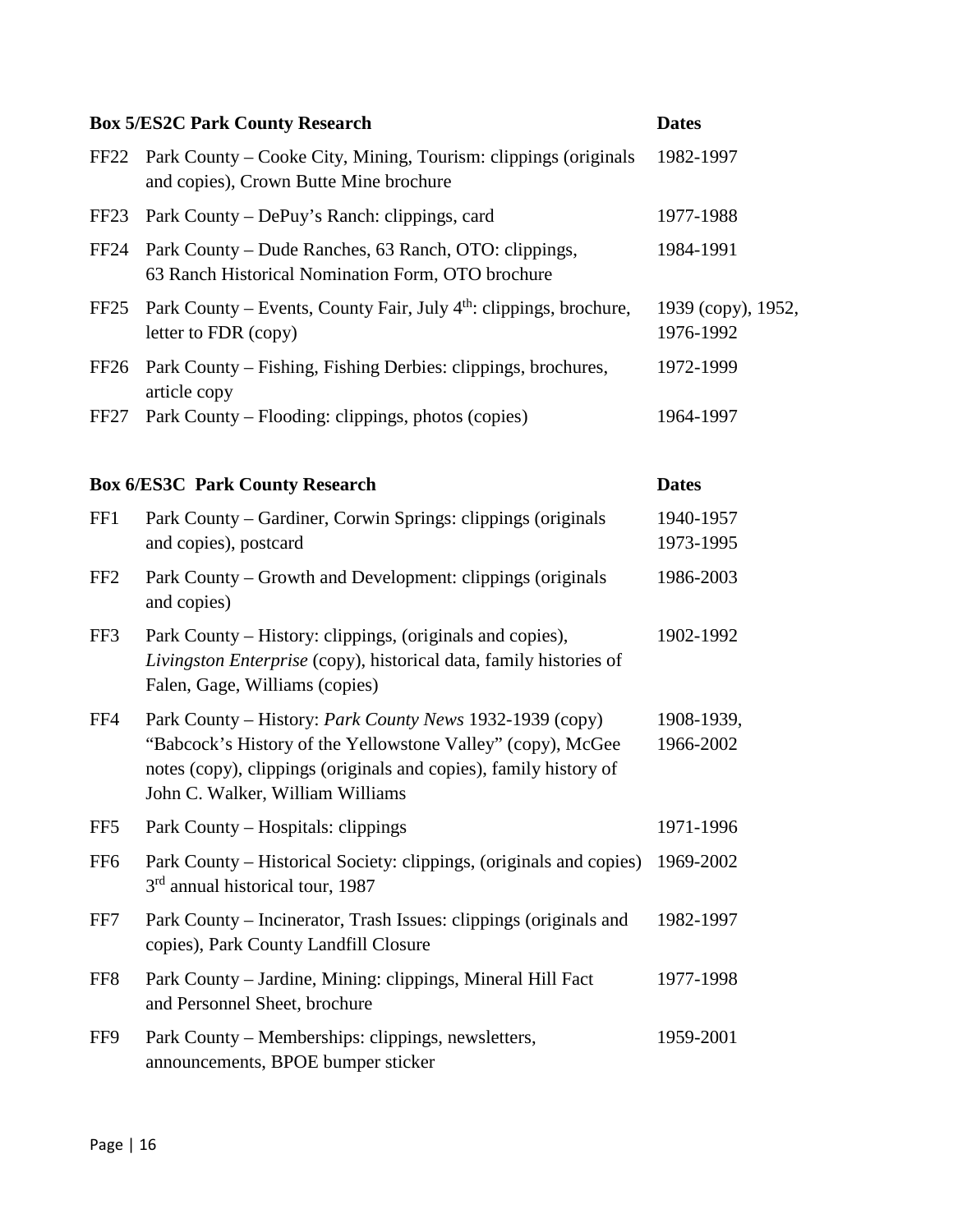|                  | <b>Box 5/ES2C Park County Research</b>                                                                                                                                                                                           | <b>Dates</b>                    |
|------------------|----------------------------------------------------------------------------------------------------------------------------------------------------------------------------------------------------------------------------------|---------------------------------|
| FF <sub>22</sub> | Park County – Cooke City, Mining, Tourism: clippings (originals<br>and copies), Crown Butte Mine brochure                                                                                                                        | 1982-1997                       |
| FF <sub>23</sub> | Park County – DePuy's Ranch: clippings, card                                                                                                                                                                                     | 1977-1988                       |
| FF24             | Park County – Dude Ranches, 63 Ranch, OTO: clippings,<br>63 Ranch Historical Nomination Form, OTO brochure                                                                                                                       | 1984-1991                       |
| FF <sub>25</sub> | Park County – Events, County Fair, July $4th$ : clippings, brochure,<br>letter to FDR (copy)                                                                                                                                     | 1939 (сору), 1952,<br>1976-1992 |
| FF <sub>26</sub> | Park County – Fishing, Fishing Derbies: clippings, brochures,<br>article copy                                                                                                                                                    | 1972-1999                       |
| FF <sub>27</sub> | Park County – Flooding: clippings, photos (copies)                                                                                                                                                                               | 1964-1997                       |
|                  | <b>Box 6/ES3C Park County Research</b>                                                                                                                                                                                           | <b>Dates</b>                    |
| FF1              | Park County - Gardiner, Corwin Springs: clippings (originals<br>and copies), postcard                                                                                                                                            | 1940-1957<br>1973-1995          |
| FF <sub>2</sub>  | Park County – Growth and Development: clippings (originals<br>and copies)                                                                                                                                                        | 1986-2003                       |
| FF3              | Park County – History: clippings, (originals and copies),<br>Livingston Enterprise (copy), historical data, family histories of<br>Falen, Gage, Williams (copies)                                                                | 1902-1992                       |
| FF4              | Park County – History: Park County News 1932-1939 (copy)<br>"Babcock's History of the Yellowstone Valley" (copy), McGee<br>notes (copy), clippings (originals and copies), family history of<br>John C. Walker, William Williams | 1908-1939,<br>1966-2002         |
| FF <sub>5</sub>  | Park County – Hospitals: clippings                                                                                                                                                                                               | 1971-1996                       |
| FF <sub>6</sub>  | Park County – Historical Society: clippings, (originals and copies)<br>3 <sup>rd</sup> annual historical tour, 1987                                                                                                              | 1969-2002                       |
| FF7              | Park County - Incinerator, Trash Issues: clippings (originals and<br>copies), Park County Landfill Closure                                                                                                                       | 1982-1997                       |
| FF8              | Park County – Jardine, Mining: clippings, Mineral Hill Fact<br>and Personnel Sheet, brochure                                                                                                                                     | 1977-1998                       |
| FF9              | Park County – Memberships: clippings, newsletters,<br>announcements, BPOE bumper sticker                                                                                                                                         | 1959-2001                       |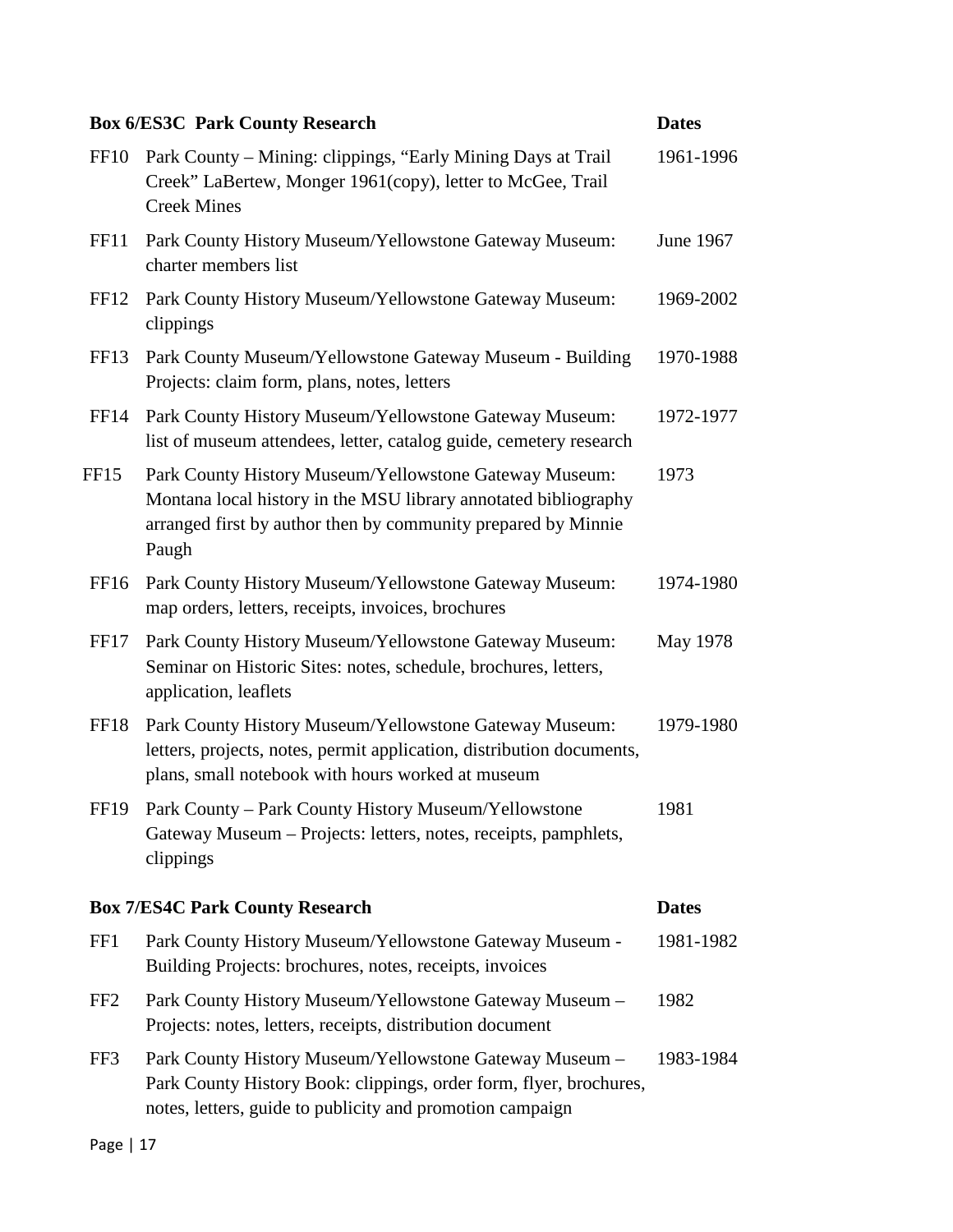|                  | <b>Box 6/ES3C Park County Research</b>                                                                                                                                                              | <b>Dates</b> |
|------------------|-----------------------------------------------------------------------------------------------------------------------------------------------------------------------------------------------------|--------------|
| FF <sub>10</sub> | Park County – Mining: clippings, "Early Mining Days at Trail<br>Creek" LaBertew, Monger 1961(copy), letter to McGee, Trail<br><b>Creek Mines</b>                                                    | 1961-1996    |
| FF11             | Park County History Museum/Yellowstone Gateway Museum:<br>charter members list                                                                                                                      | June 1967    |
| FF <sub>12</sub> | Park County History Museum/Yellowstone Gateway Museum:<br>clippings                                                                                                                                 | 1969-2002    |
| FF <sub>13</sub> | Park County Museum/Yellowstone Gateway Museum - Building<br>Projects: claim form, plans, notes, letters                                                                                             | 1970-1988    |
| FF <sub>14</sub> | Park County History Museum/Yellowstone Gateway Museum:<br>list of museum attendees, letter, catalog guide, cemetery research                                                                        | 1972-1977    |
| FF15             | Park County History Museum/Yellowstone Gateway Museum:<br>Montana local history in the MSU library annotated bibliography<br>arranged first by author then by community prepared by Minnie<br>Paugh | 1973         |
| FF <sub>16</sub> | Park County History Museum/Yellowstone Gateway Museum:<br>map orders, letters, receipts, invoices, brochures                                                                                        | 1974-1980    |
| FF17             | Park County History Museum/Yellowstone Gateway Museum:<br>Seminar on Historic Sites: notes, schedule, brochures, letters,<br>application, leaflets                                                  | May 1978     |
| FF18             | Park County History Museum/Yellowstone Gateway Museum:<br>letters, projects, notes, permit application, distribution documents,<br>plans, small notebook with hours worked at museum                | 1979-1980    |
| <b>FF19</b>      | Park County - Park County History Museum/Yellowstone<br>Gateway Museum – Projects: letters, notes, receipts, pamphlets,<br>clippings                                                                | 1981         |
|                  | <b>Box 7/ES4C Park County Research</b>                                                                                                                                                              | <b>Dates</b> |
| FF1              | Park County History Museum/Yellowstone Gateway Museum -<br>Building Projects: brochures, notes, receipts, invoices                                                                                  | 1981-1982    |
| FF <sub>2</sub>  | Park County History Museum/Yellowstone Gateway Museum -<br>Projects: notes, letters, receipts, distribution document                                                                                | 1982         |
| FF3              | Park County History Museum/Yellowstone Gateway Museum -<br>Park County History Book: clippings, order form, flyer, brochures,<br>notes, letters, guide to publicity and promotion campaign          | 1983-1984    |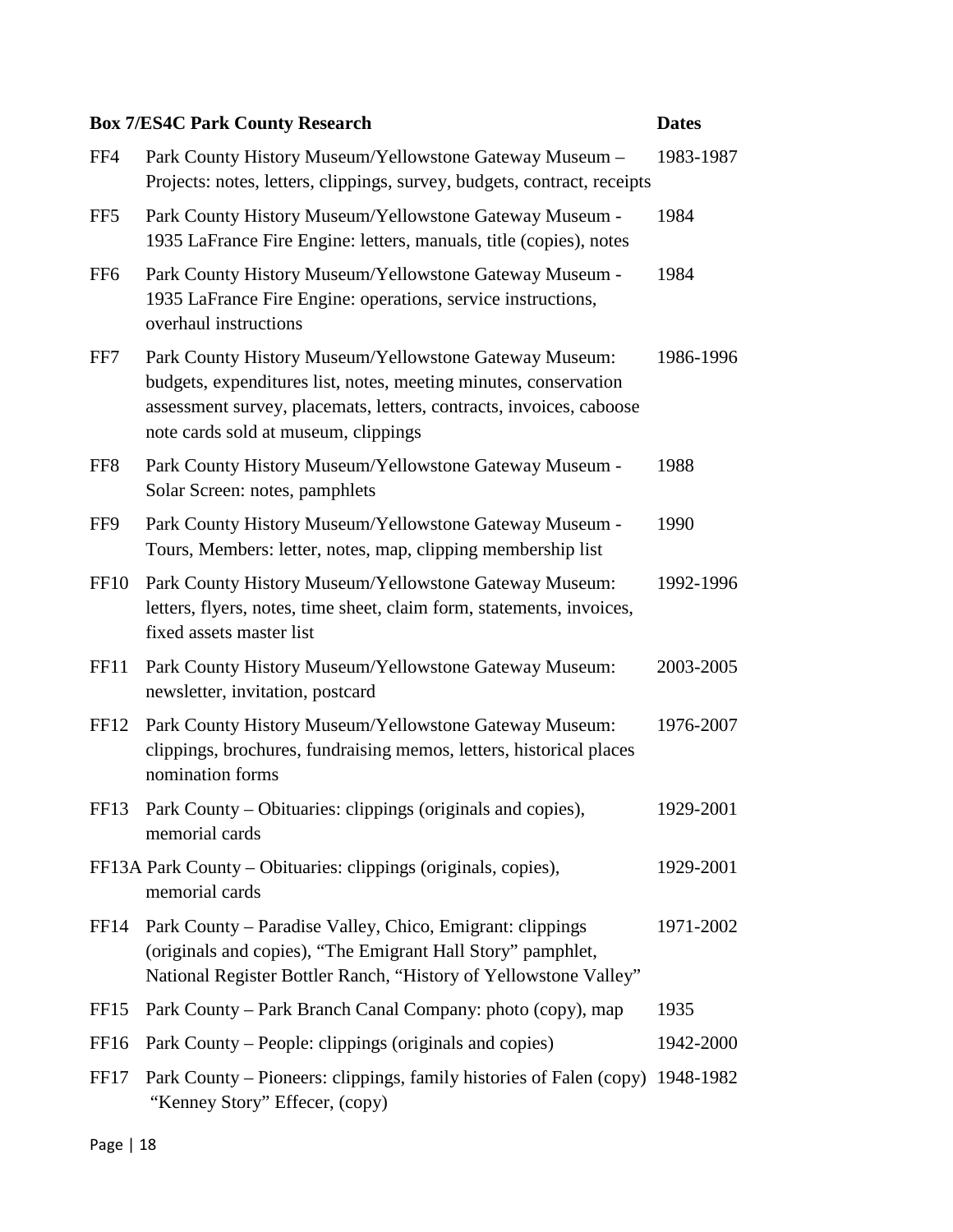|                  | <b>Box 7/ES4C Park County Research</b>                                                                                                                                                                                                    | <b>Dates</b> |
|------------------|-------------------------------------------------------------------------------------------------------------------------------------------------------------------------------------------------------------------------------------------|--------------|
| FF4              | Park County History Museum/Yellowstone Gateway Museum -<br>Projects: notes, letters, clippings, survey, budgets, contract, receipts                                                                                                       | 1983-1987    |
| FF <sub>5</sub>  | Park County History Museum/Yellowstone Gateway Museum -<br>1935 LaFrance Fire Engine: letters, manuals, title (copies), notes                                                                                                             | 1984         |
| FF <sub>6</sub>  | Park County History Museum/Yellowstone Gateway Museum -<br>1935 LaFrance Fire Engine: operations, service instructions,<br>overhaul instructions                                                                                          | 1984         |
| FF7              | Park County History Museum/Yellowstone Gateway Museum:<br>budgets, expenditures list, notes, meeting minutes, conservation<br>assessment survey, placemats, letters, contracts, invoices, caboose<br>note cards sold at museum, clippings | 1986-1996    |
| FF8              | Park County History Museum/Yellowstone Gateway Museum -<br>Solar Screen: notes, pamphlets                                                                                                                                                 | 1988         |
| FF9              | Park County History Museum/Yellowstone Gateway Museum -<br>Tours, Members: letter, notes, map, clipping membership list                                                                                                                   | 1990         |
| FF <sub>10</sub> | Park County History Museum/Yellowstone Gateway Museum:<br>letters, flyers, notes, time sheet, claim form, statements, invoices,<br>fixed assets master list                                                                               | 1992-1996    |
| FF11             | Park County History Museum/Yellowstone Gateway Museum:<br>newsletter, invitation, postcard                                                                                                                                                | 2003-2005    |
| FF <sub>12</sub> | Park County History Museum/Yellowstone Gateway Museum:<br>clippings, brochures, fundraising memos, letters, historical places<br>nomination forms                                                                                         | 1976-2007    |
|                  | FF13 Park County - Obituaries: clippings (originals and copies),<br>memorial cards                                                                                                                                                        | 1929-2001    |
|                  | FF13A Park County – Obituaries: clippings (originals, copies),<br>memorial cards                                                                                                                                                          | 1929-2001    |
| FF <sub>14</sub> | Park County – Paradise Valley, Chico, Emigrant: clippings<br>(originals and copies), "The Emigrant Hall Story" pamphlet,<br>National Register Bottler Ranch, "History of Yellowstone Valley"                                              | 1971-2002    |
| FF <sub>15</sub> | Park County – Park Branch Canal Company: photo (copy), map                                                                                                                                                                                | 1935         |
| FF <sub>16</sub> | Park County – People: clippings (originals and copies)                                                                                                                                                                                    | 1942-2000    |
| FF17             | Park County – Pioneers: clippings, family histories of Falen (copy) 1948-1982<br>"Kenney Story" Effecer, (copy)                                                                                                                           |              |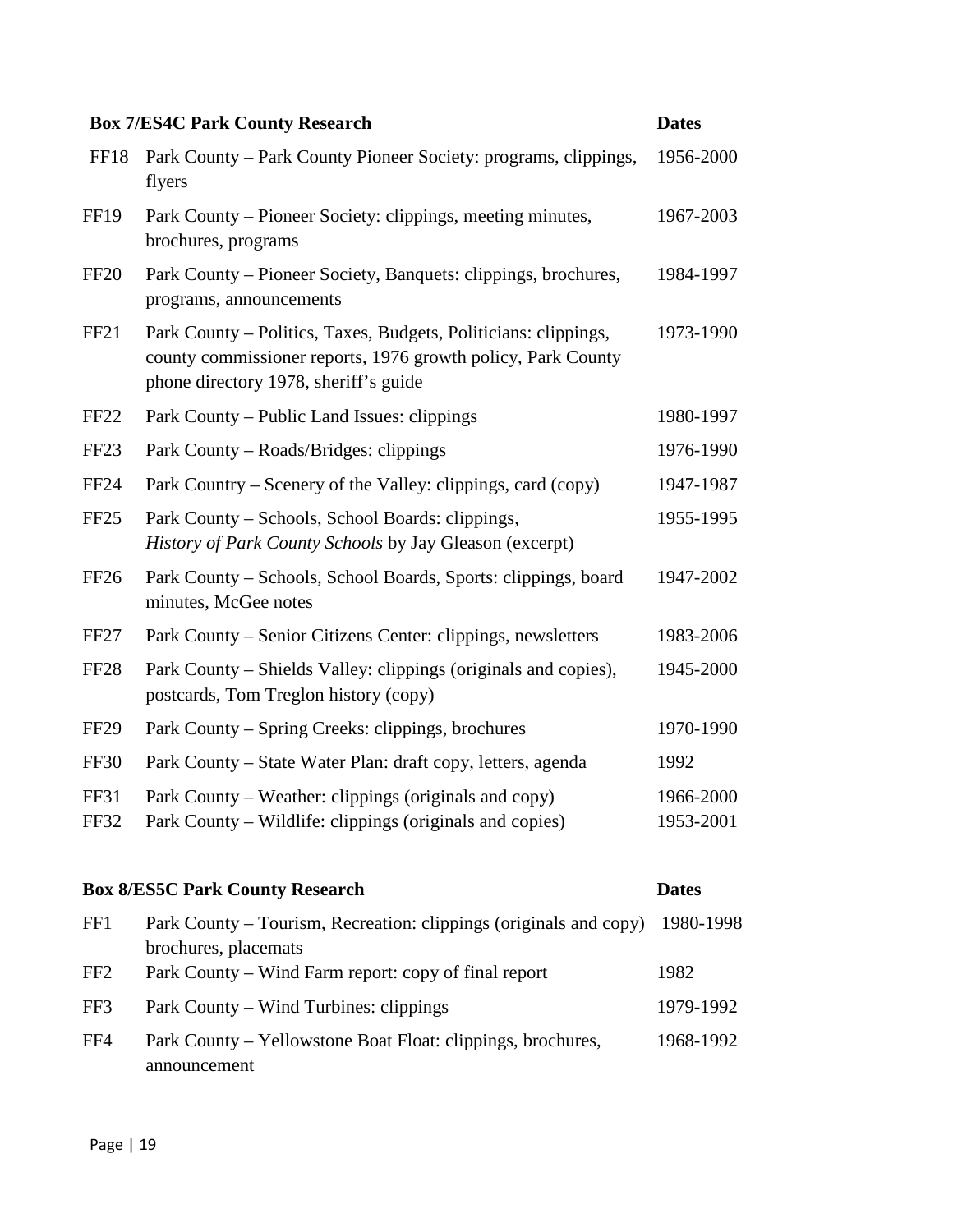|                            | <b>Box 7/ES4C Park County Research</b>                                                                                                                                   | <b>Dates</b>           |
|----------------------------|--------------------------------------------------------------------------------------------------------------------------------------------------------------------------|------------------------|
| FF18                       | Park County – Park County Pioneer Society: programs, clippings,<br>flyers                                                                                                | 1956-2000              |
| <b>FF19</b>                | Park County – Pioneer Society: clippings, meeting minutes,<br>brochures, programs                                                                                        | 1967-2003              |
| <b>FF20</b>                | Park County – Pioneer Society, Banquets: clippings, brochures,<br>programs, announcements                                                                                | 1984-1997              |
| FF <sub>21</sub>           | Park County – Politics, Taxes, Budgets, Politicians: clippings,<br>county commissioner reports, 1976 growth policy, Park County<br>phone directory 1978, sheriff's guide | 1973-1990              |
| FF <sub>22</sub>           | Park County – Public Land Issues: clippings                                                                                                                              | 1980-1997              |
| FF <sub>23</sub>           | Park County – Roads/Bridges: clippings                                                                                                                                   | 1976-1990              |
| <b>FF24</b>                | Park Country – Scenery of the Valley: clippings, card (copy)                                                                                                             | 1947-1987              |
| FF <sub>25</sub>           | Park County – Schools, School Boards: clippings,<br>History of Park County Schools by Jay Gleason (excerpt)                                                              | 1955-1995              |
| <b>FF26</b>                | Park County – Schools, School Boards, Sports: clippings, board<br>minutes, McGee notes                                                                                   | 1947-2002              |
| FF <sub>27</sub>           | Park County – Senior Citizens Center: clippings, newsletters                                                                                                             | 1983-2006              |
| <b>FF28</b>                | Park County – Shields Valley: clippings (originals and copies),<br>postcards, Tom Treglon history (copy)                                                                 | 1945-2000              |
| <b>FF29</b>                | Park County – Spring Creeks: clippings, brochures                                                                                                                        | 1970-1990              |
| <b>FF30</b>                | Park County – State Water Plan: draft copy, letters, agenda                                                                                                              | 1992                   |
| <b>FF31</b><br><b>FF32</b> | Park County – Weather: clippings (originals and copy)<br>Park County – Wildlife: clippings (originals and copies)                                                        | 1966-2000<br>1953-2001 |
|                            | <b>Box 8/ES5C Park County Research</b>                                                                                                                                   | <b>Dates</b>           |

| FF1             | Park County – Tourism, Recreation: clippings (originals and copy) 1980-1998  |           |
|-----------------|------------------------------------------------------------------------------|-----------|
| FF <sub>2</sub> | brochures, placemats<br>Park County – Wind Farm report: copy of final report | 1982      |
| FF3             | Park County – Wind Turbines: clippings                                       | 1979-1992 |
| FF4             | Park County – Yellowstone Boat Float: clippings, brochures,                  | 1968-1992 |
|                 | announcement                                                                 |           |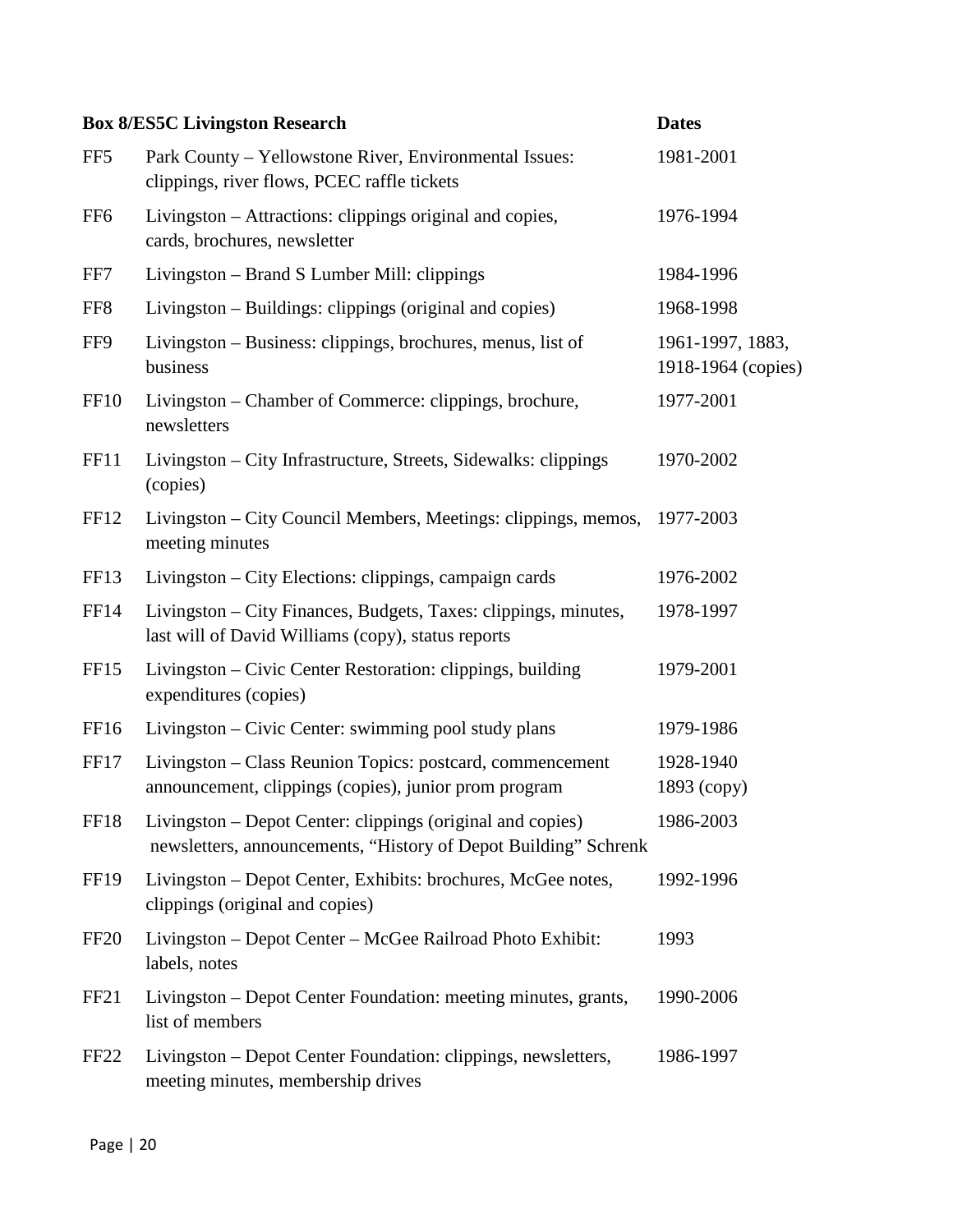|                  | <b>Box 8/ES5C Livingston Research</b>                                                                                         | <b>Dates</b>                           |
|------------------|-------------------------------------------------------------------------------------------------------------------------------|----------------------------------------|
| FF <sub>5</sub>  | Park County – Yellowstone River, Environmental Issues:<br>clippings, river flows, PCEC raffle tickets                         | 1981-2001                              |
| FF <sub>6</sub>  | Livingston – Attractions: clippings original and copies,<br>cards, brochures, newsletter                                      | 1976-1994                              |
| FF7              | Livingston – Brand S Lumber Mill: clippings                                                                                   | 1984-1996                              |
| FF <sub>8</sub>  | Livingston – Buildings: clippings (original and copies)                                                                       | 1968-1998                              |
| FF9              | Livingston – Business: clippings, brochures, menus, list of<br>business                                                       | 1961-1997, 1883,<br>1918-1964 (copies) |
| <b>FF10</b>      | Livingston – Chamber of Commerce: clippings, brochure,<br>newsletters                                                         | 1977-2001                              |
| FF11             | Livingston – City Infrastructure, Streets, Sidewalks: clippings<br>(copies)                                                   | 1970-2002                              |
| FF12             | Livingston – City Council Members, Meetings: clippings, memos,<br>meeting minutes                                             | 1977-2003                              |
| FF <sub>13</sub> | Livingston – City Elections: clippings, campaign cards                                                                        | 1976-2002                              |
| FF14             | Livingston – City Finances, Budgets, Taxes: clippings, minutes,<br>last will of David Williams (copy), status reports         | 1978-1997                              |
| FF15             | Livingston – Civic Center Restoration: clippings, building<br>expenditures (copies)                                           | 1979-2001                              |
| <b>FF16</b>      | Livingston – Civic Center: swimming pool study plans                                                                          | 1979-1986                              |
| <b>FF17</b>      | Livingston - Class Reunion Topics: postcard, commencement<br>announcement, clippings (copies), junior prom program            | 1928-1940<br>1893 (copy)               |
| FF18             | Livingston - Depot Center: clippings (original and copies)<br>newsletters, announcements, "History of Depot Building" Schrenk | 1986-2003                              |
| <b>FF19</b>      | Livingston – Depot Center, Exhibits: brochures, McGee notes,<br>clippings (original and copies)                               | 1992-1996                              |
| FF <sub>20</sub> | Livingston - Depot Center - McGee Railroad Photo Exhibit:<br>labels, notes                                                    | 1993                                   |
| FF <sub>21</sub> | Livingston – Depot Center Foundation: meeting minutes, grants,<br>list of members                                             | 1990-2006                              |
| FF <sub>22</sub> | Livingston – Depot Center Foundation: clippings, newsletters,<br>meeting minutes, membership drives                           | 1986-1997                              |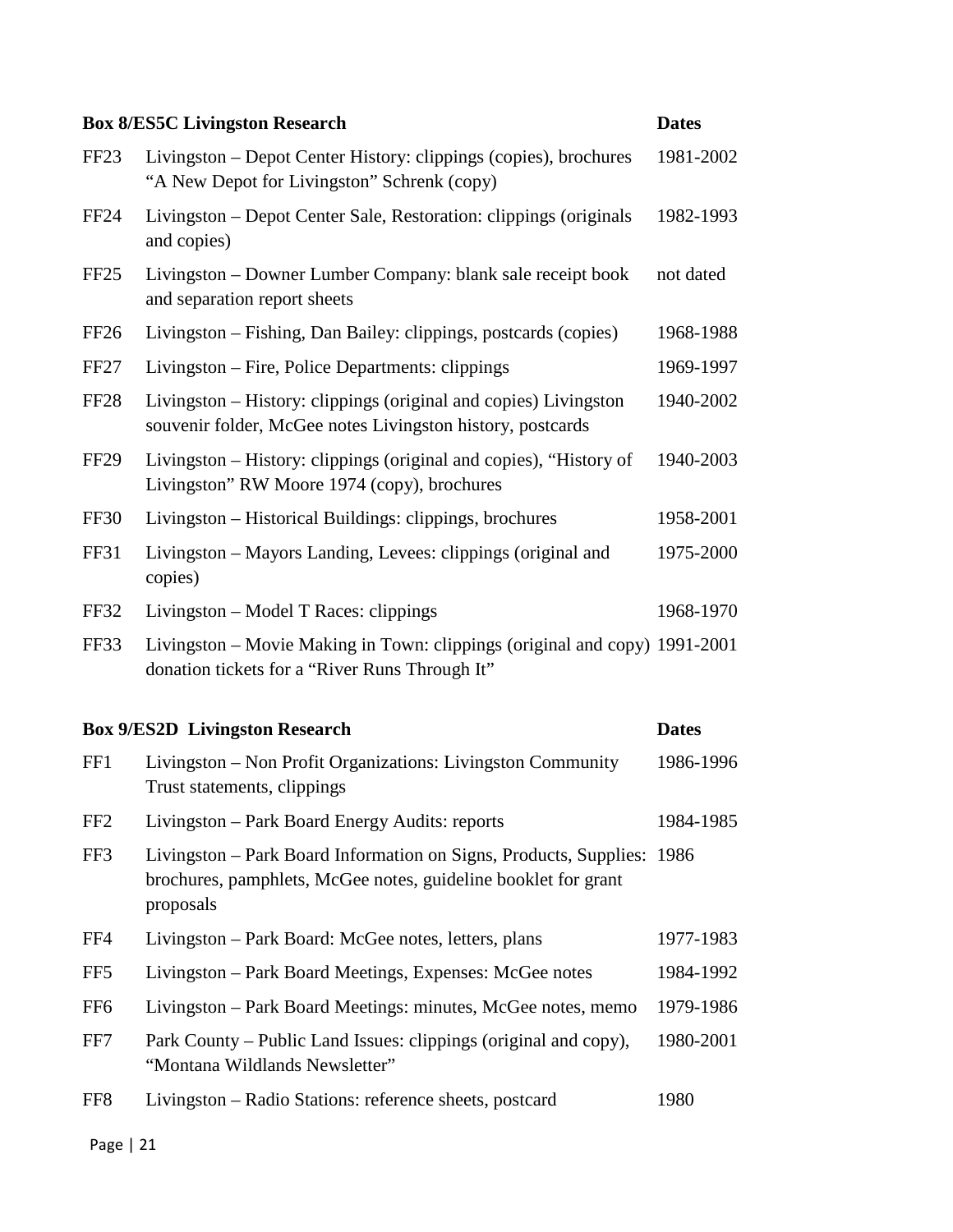|                  | <b>Box 8/ES5C Livingston Research</b>                                                                                          | <b>Dates</b> |
|------------------|--------------------------------------------------------------------------------------------------------------------------------|--------------|
| FF <sub>23</sub> | Livingston - Depot Center History: clippings (copies), brochures<br>"A New Depot for Livingston" Schrenk (copy)                | 1981-2002    |
| FF <sub>24</sub> | Livingston – Depot Center Sale, Restoration: clippings (originals<br>and copies)                                               | 1982-1993    |
| FF25             | Livingston - Downer Lumber Company: blank sale receipt book<br>and separation report sheets                                    | not dated    |
| FF <sub>26</sub> | Livingston – Fishing, Dan Bailey: clippings, postcards (copies)                                                                | 1968-1988    |
| <b>FF27</b>      | Livingston – Fire, Police Departments: clippings                                                                               | 1969-1997    |
| <b>FF28</b>      | Livingston – History: clippings (original and copies) Livingston<br>souvenir folder, McGee notes Livingston history, postcards | 1940-2002    |
| <b>FF29</b>      | Livingston – History: clippings (original and copies), "History of<br>Livingston" RW Moore 1974 (copy), brochures              | 1940-2003    |
| FF30             | Livingston – Historical Buildings: clippings, brochures                                                                        | 1958-2001    |
| <b>FF31</b>      | Livingston – Mayors Landing, Levees: clippings (original and<br>copies)                                                        | 1975-2000    |
| FF32             | Livingston – Model T Races: clippings                                                                                          | 1968-1970    |
| FF33             | Livingston – Movie Making in Town: clippings (original and copy) 1991-2001<br>donation tickets for a "River Runs Through It"   |              |

## **Box 9/ES2D Livingston Research Dates**

| FF1             | Livingston – Non Profit Organizations: Livingston Community<br>Trust statements, clippings                                                            | 1986-1996 |
|-----------------|-------------------------------------------------------------------------------------------------------------------------------------------------------|-----------|
| FF <sub>2</sub> | Livingston – Park Board Energy Audits: reports                                                                                                        | 1984-1985 |
| FF3             | Livingston – Park Board Information on Signs, Products, Supplies: 1986<br>brochures, pamphlets, McGee notes, guideline booklet for grant<br>proposals |           |
| FF4             | Livingston – Park Board: McGee notes, letters, plans                                                                                                  | 1977-1983 |
| FF <sub>5</sub> | Livingston – Park Board Meetings, Expenses: McGee notes                                                                                               | 1984-1992 |
| FF <sub>6</sub> | Livingston – Park Board Meetings: minutes, McGee notes, memo                                                                                          | 1979-1986 |
| FF7             | Park County – Public Land Issues: clippings (original and copy),<br>"Montana Wildlands Newsletter"                                                    | 1980-2001 |
| FF <sub>8</sub> | Livingston – Radio Stations: reference sheets, postcard                                                                                               | 1980      |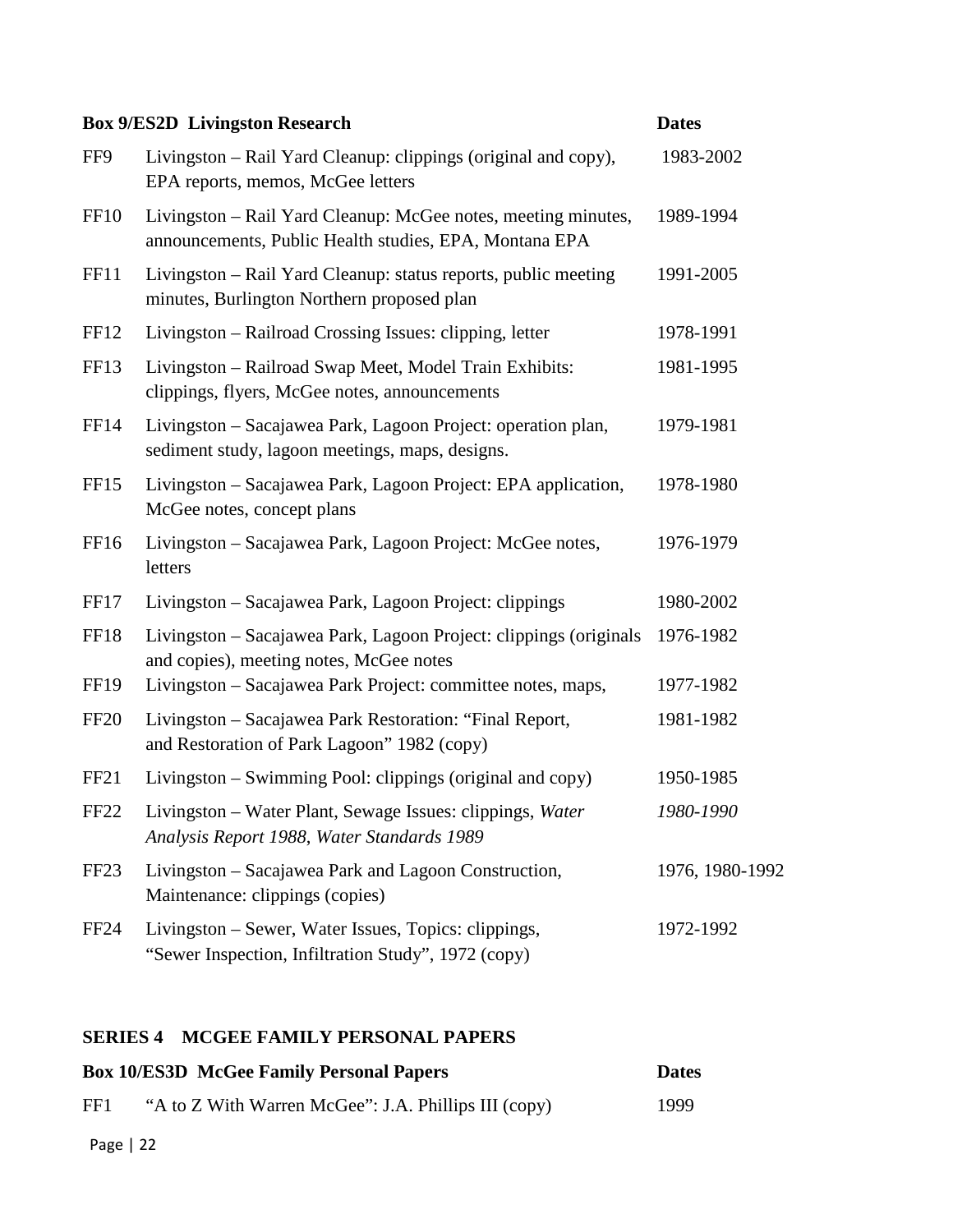|                  | <b>Box 9/ES2D Livingston Research</b>                                                                                   | <b>Dates</b>    |
|------------------|-------------------------------------------------------------------------------------------------------------------------|-----------------|
| FF9              | Livingston – Rail Yard Cleanup: clippings (original and copy),<br>EPA reports, memos, McGee letters                     | 1983-2002       |
| <b>FF10</b>      | Livingston - Rail Yard Cleanup: McGee notes, meeting minutes,<br>announcements, Public Health studies, EPA, Montana EPA | 1989-1994       |
| FF11             | Livingston – Rail Yard Cleanup: status reports, public meeting<br>minutes, Burlington Northern proposed plan            | 1991-2005       |
| <b>FF12</b>      | Livingston – Railroad Crossing Issues: clipping, letter                                                                 | 1978-1991       |
| FF13             | Livingston - Railroad Swap Meet, Model Train Exhibits:<br>clippings, flyers, McGee notes, announcements                 | 1981-1995       |
| FF14             | Livingston – Sacajawea Park, Lagoon Project: operation plan,<br>sediment study, lagoon meetings, maps, designs.         | 1979-1981       |
| FF <sub>15</sub> | Livingston - Sacajawea Park, Lagoon Project: EPA application,<br>McGee notes, concept plans                             | 1978-1980       |
| FF16             | Livingston - Sacajawea Park, Lagoon Project: McGee notes,<br>letters                                                    | 1976-1979       |
| FF17             | Livingston - Sacajawea Park, Lagoon Project: clippings                                                                  | 1980-2002       |
| <b>FF18</b>      | Livingston – Sacajawea Park, Lagoon Project: clippings (originals<br>and copies), meeting notes, McGee notes            | 1976-1982       |
| <b>FF19</b>      | Livingston – Sacajawea Park Project: committee notes, maps,                                                             | 1977-1982       |
| <b>FF20</b>      | Livingston - Sacajawea Park Restoration: "Final Report,<br>and Restoration of Park Lagoon" 1982 (copy)                  | 1981-1982       |
| FF <sub>21</sub> | Livingston – Swimming Pool: clippings (original and copy)                                                               | 1950-1985       |
| FF <sub>22</sub> | Livingston – Water Plant, Sewage Issues: clippings, Water<br>Analysis Report 1988, Water Standards 1989                 | 1980-1990       |
| FF <sub>23</sub> | Livingston – Sacajawea Park and Lagoon Construction,<br>Maintenance: clippings (copies)                                 | 1976, 1980-1992 |
| FF <sub>24</sub> | Livingston – Sewer, Water Issues, Topics: clippings,<br>"Sewer Inspection, Infiltration Study", 1972 (copy)             | 1972-1992       |

## **SERIES 4 MCGEE FAMILY PERSONAL PAPERS**

|     | <b>Box 10/ES3D McGee Family Personal Papers</b>      | <b>Dates</b> |
|-----|------------------------------------------------------|--------------|
| FF1 | "A to Z With Warren McGee": J.A. Phillips III (copy) | 1999         |
|     |                                                      |              |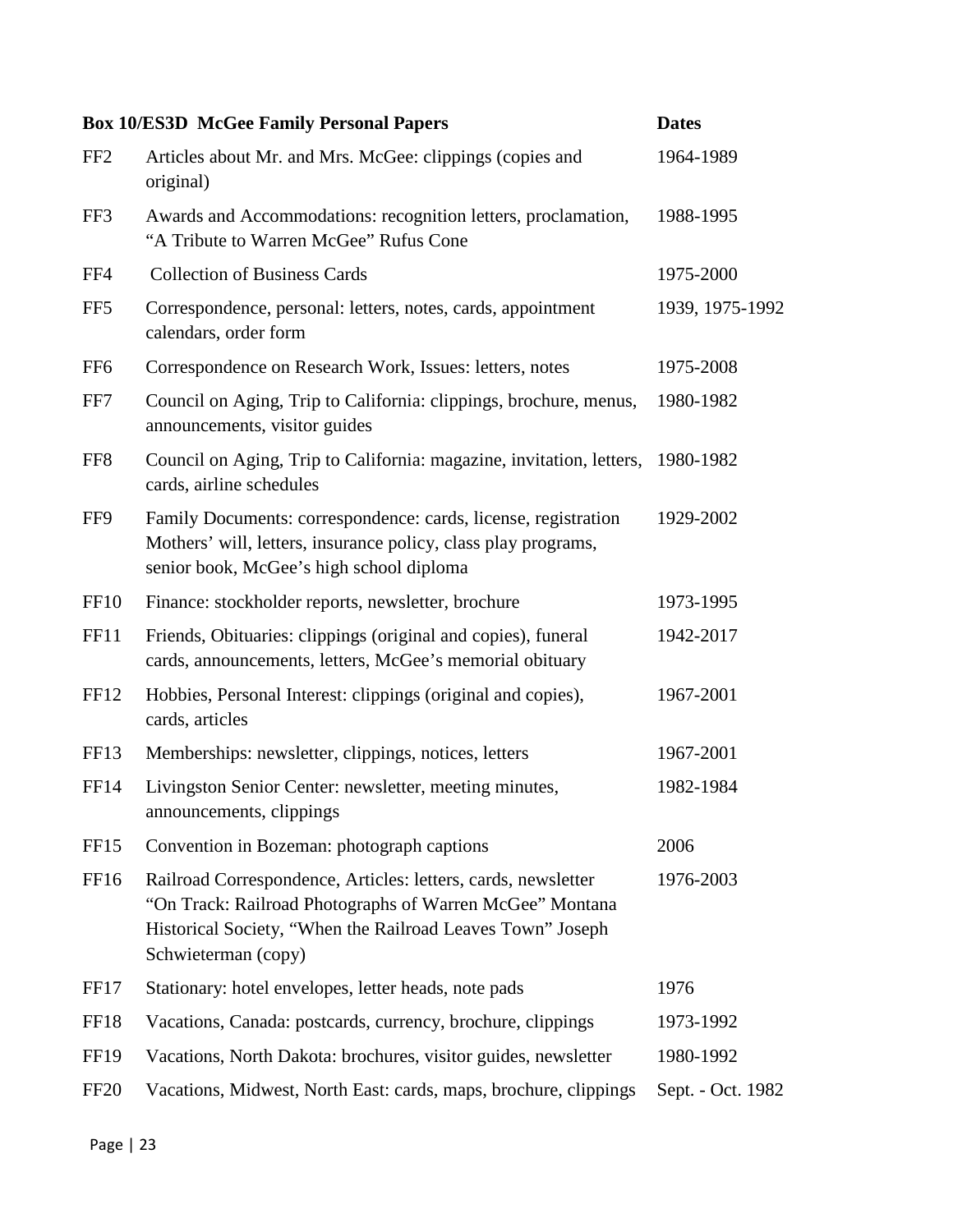|                  | <b>Box 10/ES3D McGee Family Personal Papers</b>                                                                                                                                                                | <b>Dates</b>      |
|------------------|----------------------------------------------------------------------------------------------------------------------------------------------------------------------------------------------------------------|-------------------|
| FF <sub>2</sub>  | Articles about Mr. and Mrs. McGee: clippings (copies and<br>original)                                                                                                                                          | 1964-1989         |
| FF3              | Awards and Accommodations: recognition letters, proclamation,<br>"A Tribute to Warren McGee" Rufus Cone                                                                                                        | 1988-1995         |
| FF4              | <b>Collection of Business Cards</b>                                                                                                                                                                            | 1975-2000         |
| FF <sub>5</sub>  | Correspondence, personal: letters, notes, cards, appointment<br>calendars, order form                                                                                                                          | 1939, 1975-1992   |
| FF <sub>6</sub>  | Correspondence on Research Work, Issues: letters, notes                                                                                                                                                        | 1975-2008         |
| FF7              | Council on Aging, Trip to California: clippings, brochure, menus,<br>announcements, visitor guides                                                                                                             | 1980-1982         |
| FF <sub>8</sub>  | Council on Aging, Trip to California: magazine, invitation, letters,<br>cards, airline schedules                                                                                                               | 1980-1982         |
| FF9              | Family Documents: correspondence: cards, license, registration<br>Mothers' will, letters, insurance policy, class play programs,<br>senior book, McGee's high school diploma                                   | 1929-2002         |
| <b>FF10</b>      | Finance: stockholder reports, newsletter, brochure                                                                                                                                                             | 1973-1995         |
| FF11             | Friends, Obituaries: clippings (original and copies), funeral<br>cards, announcements, letters, McGee's memorial obituary                                                                                      | 1942-2017         |
| <b>FF12</b>      | Hobbies, Personal Interest: clippings (original and copies),<br>cards, articles                                                                                                                                | 1967-2001         |
| FF <sub>13</sub> | Memberships: newsletter, clippings, notices, letters                                                                                                                                                           | 1967-2001         |
| FF14             | Livingston Senior Center: newsletter, meeting minutes,<br>announcements, clippings                                                                                                                             | 1982-1984         |
| FF <sub>15</sub> | Convention in Bozeman: photograph captions                                                                                                                                                                     | 2006              |
| FF <sub>16</sub> | Railroad Correspondence, Articles: letters, cards, newsletter<br>"On Track: Railroad Photographs of Warren McGee" Montana<br>Historical Society, "When the Railroad Leaves Town" Joseph<br>Schwieterman (copy) | 1976-2003         |
| FF <sub>17</sub> | Stationary: hotel envelopes, letter heads, note pads                                                                                                                                                           | 1976              |
| <b>FF18</b>      | Vacations, Canada: postcards, currency, brochure, clippings                                                                                                                                                    | 1973-1992         |
| <b>FF19</b>      | Vacations, North Dakota: brochures, visitor guides, newsletter                                                                                                                                                 | 1980-1992         |
| FF <sub>20</sub> | Vacations, Midwest, North East: cards, maps, brochure, clippings                                                                                                                                               | Sept. - Oct. 1982 |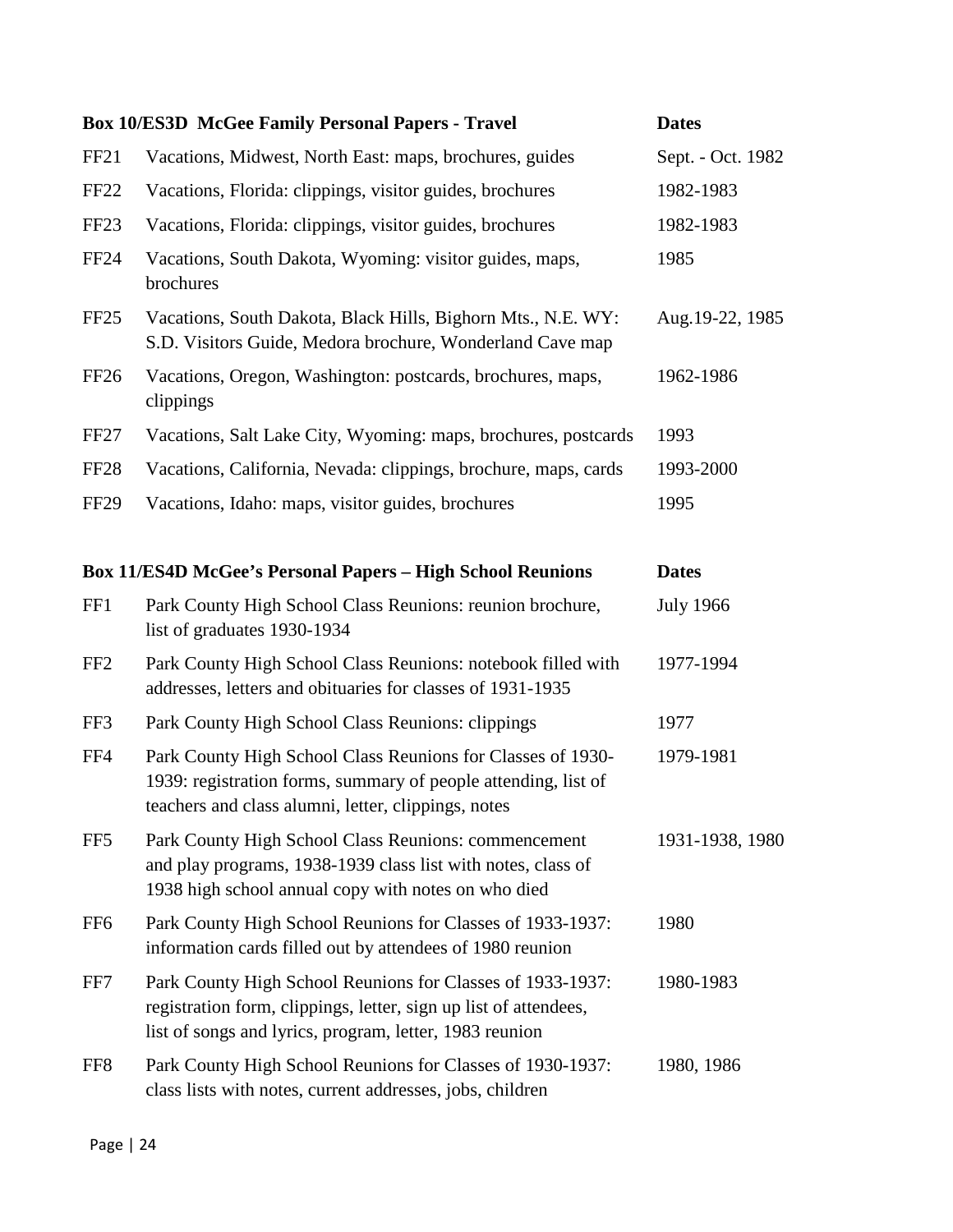|                  | <b>Box 10/ES3D McGee Family Personal Papers - Travel</b>                                                                                                                                  | <b>Dates</b>      |
|------------------|-------------------------------------------------------------------------------------------------------------------------------------------------------------------------------------------|-------------------|
| FF <sub>21</sub> | Vacations, Midwest, North East: maps, brochures, guides                                                                                                                                   | Sept. - Oct. 1982 |
| FF <sub>22</sub> | Vacations, Florida: clippings, visitor guides, brochures                                                                                                                                  | 1982-1983         |
| FF <sub>23</sub> | Vacations, Florida: clippings, visitor guides, brochures                                                                                                                                  | 1982-1983         |
| <b>FF24</b>      | Vacations, South Dakota, Wyoming: visitor guides, maps,<br>brochures                                                                                                                      | 1985              |
| FF <sub>25</sub> | Vacations, South Dakota, Black Hills, Bighorn Mts., N.E. WY:<br>S.D. Visitors Guide, Medora brochure, Wonderland Cave map                                                                 | Aug. 19-22, 1985  |
| FF <sub>26</sub> | Vacations, Oregon, Washington: postcards, brochures, maps,<br>clippings                                                                                                                   | 1962-1986         |
| FF <sub>27</sub> | Vacations, Salt Lake City, Wyoming: maps, brochures, postcards                                                                                                                            | 1993              |
| <b>FF28</b>      | Vacations, California, Nevada: clippings, brochure, maps, cards                                                                                                                           | 1993-2000         |
| FF <sub>29</sub> | Vacations, Idaho: maps, visitor guides, brochures                                                                                                                                         | 1995              |
|                  |                                                                                                                                                                                           |                   |
|                  | <b>Box 11/ES4D McGee's Personal Papers - High School Reunions</b>                                                                                                                         | <b>Dates</b>      |
| FF1              | Park County High School Class Reunions: reunion brochure,<br>list of graduates 1930-1934                                                                                                  | <b>July 1966</b>  |
| FF <sub>2</sub>  | Park County High School Class Reunions: notebook filled with<br>addresses, letters and obituaries for classes of 1931-1935                                                                | 1977-1994         |
| FF3              | Park County High School Class Reunions: clippings                                                                                                                                         | 1977              |
| FF4              | Park County High School Class Reunions for Classes of 1930-<br>1939: registration forms, summary of people attending, list of<br>teachers and class alumni, letter, clippings, notes      | 1979-1981         |
| FF <sub>5</sub>  | Park County High School Class Reunions: commencement<br>and play programs, 1938-1939 class list with notes, class of<br>1938 high school annual copy with notes on who died               | 1931-1938, 1980   |
| FF <sub>6</sub>  | Park County High School Reunions for Classes of 1933-1937:<br>information cards filled out by attendees of 1980 reunion                                                                   | 1980              |
| FF7              |                                                                                                                                                                                           |                   |
|                  | Park County High School Reunions for Classes of 1933-1937:<br>registration form, clippings, letter, sign up list of attendees,<br>list of songs and lyrics, program, letter, 1983 reunion | 1980-1983         |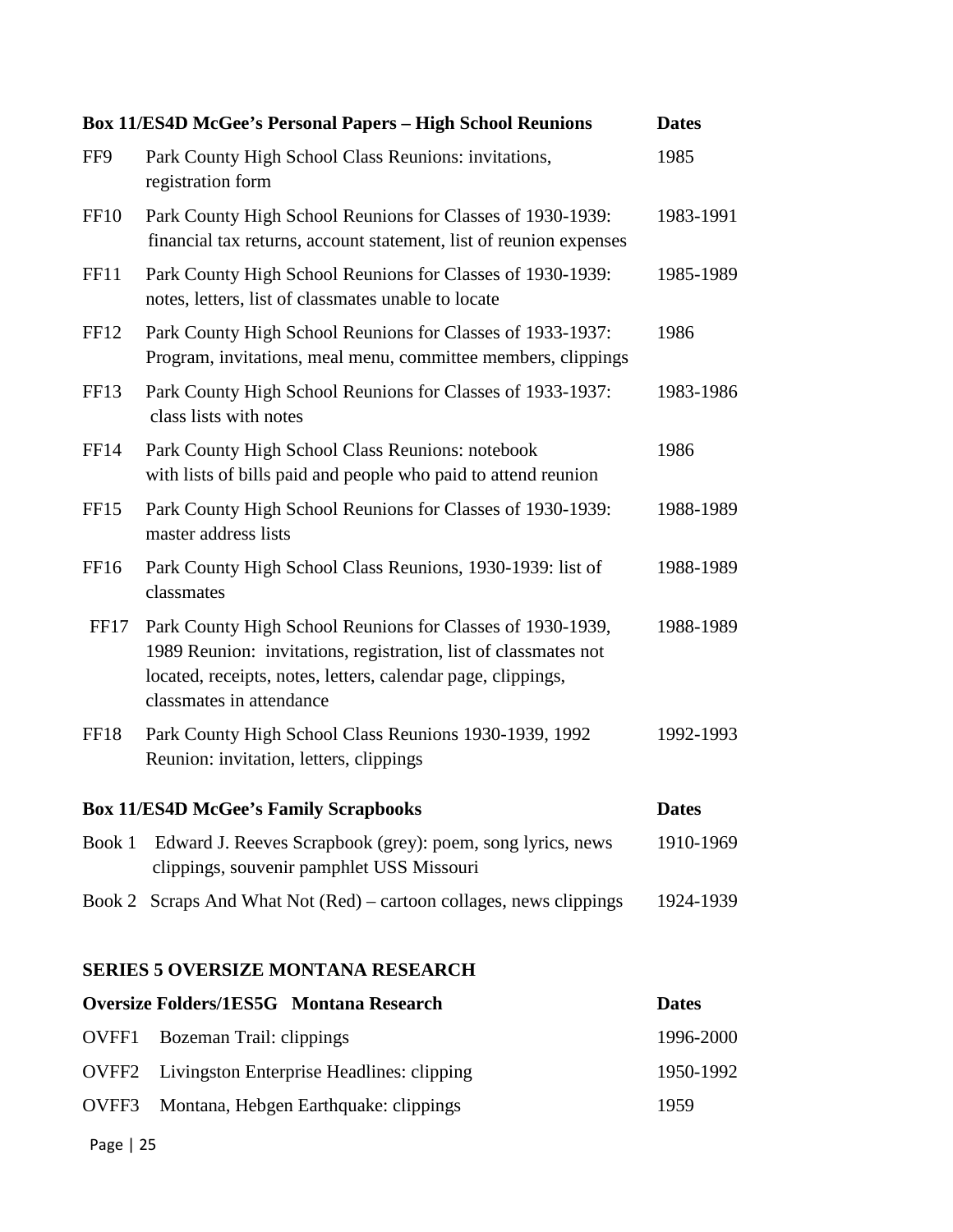|                                           | <b>Box 11/ES4D McGee's Personal Papers - High School Reunions</b>                                                                                                                                                         | <b>Dates</b> |
|-------------------------------------------|---------------------------------------------------------------------------------------------------------------------------------------------------------------------------------------------------------------------------|--------------|
| FF9                                       | Park County High School Class Reunions: invitations,<br>registration form                                                                                                                                                 | 1985         |
| <b>FF10</b>                               | Park County High School Reunions for Classes of 1930-1939:<br>financial tax returns, account statement, list of reunion expenses                                                                                          | 1983-1991    |
| FF11                                      | Park County High School Reunions for Classes of 1930-1939:<br>notes, letters, list of classmates unable to locate                                                                                                         | 1985-1989    |
| FF <sub>12</sub>                          | Park County High School Reunions for Classes of 1933-1937:<br>Program, invitations, meal menu, committee members, clippings                                                                                               | 1986         |
| FF13                                      | Park County High School Reunions for Classes of 1933-1937:<br>class lists with notes                                                                                                                                      | 1983-1986    |
| <b>FF14</b>                               | Park County High School Class Reunions: notebook<br>with lists of bills paid and people who paid to attend reunion                                                                                                        | 1986         |
| <b>FF15</b>                               | Park County High School Reunions for Classes of 1930-1939:<br>master address lists                                                                                                                                        | 1988-1989    |
| FF <sub>16</sub>                          | Park County High School Class Reunions, 1930-1939: list of<br>classmates                                                                                                                                                  | 1988-1989    |
| FF17                                      | Park County High School Reunions for Classes of 1930-1939,<br>1989 Reunion: invitations, registration, list of classmates not<br>located, receipts, notes, letters, calendar page, clippings,<br>classmates in attendance | 1988-1989    |
| FF18                                      | Park County High School Class Reunions 1930-1939, 1992<br>Reunion: invitation, letters, clippings                                                                                                                         | 1992-1993    |
|                                           | <b>Box 11/ES4D McGee's Family Scrapbooks</b>                                                                                                                                                                              | <b>Dates</b> |
| Book 1                                    | Edward J. Reeves Scrapbook (grey): poem, song lyrics, news<br>clippings, souvenir pamphlet USS Missouri                                                                                                                   | 1910-1969    |
|                                           | Book 2 Scraps And What Not (Red) – cartoon collages, news clippings                                                                                                                                                       | 1924-1939    |
| <b>SERIES 5 OVERSIZE MONTANA RESEARCH</b> |                                                                                                                                                                                                                           |              |

| <b>Oversize Folders/1ES5G Montana Research</b>         | <b>Dates</b> |
|--------------------------------------------------------|--------------|
| OVFF1 Bozeman Trail: clippings                         | 1996-2000    |
| <b>OVFF2</b> Livingston Enterprise Headlines: clipping | 1950-1992    |
| OVFF3 Montana, Hebgen Earthquake: clippings            | 1959         |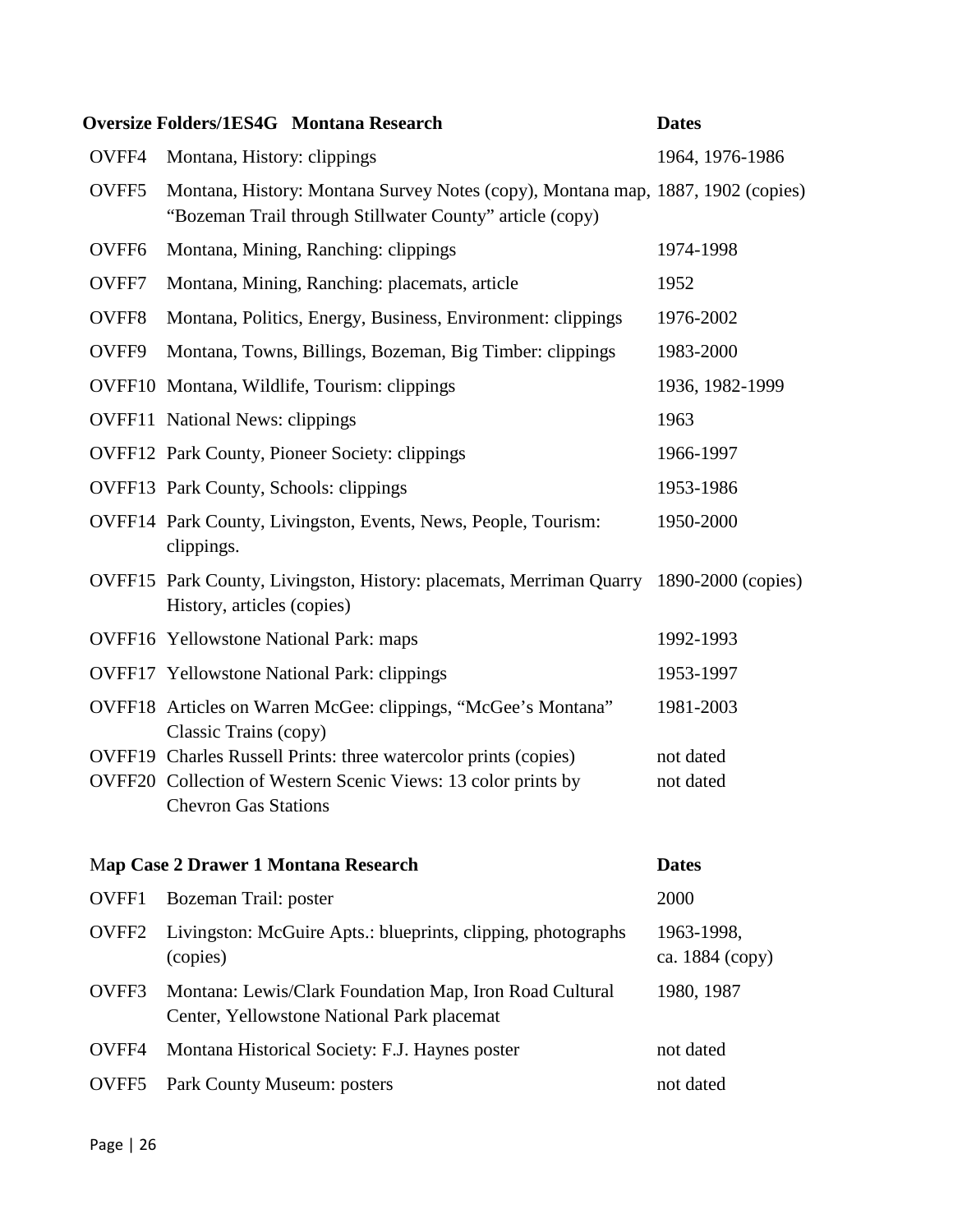|                   | <b>Oversize Folders/1ES4G Montana Research</b>                                                                                              | <b>Dates</b>                  |
|-------------------|---------------------------------------------------------------------------------------------------------------------------------------------|-------------------------------|
| OVFF4             | Montana, History: clippings                                                                                                                 | 1964, 1976-1986               |
| OVFF5             | Montana, History: Montana Survey Notes (copy), Montana map, 1887, 1902 (copies)<br>"Bozeman Trail through Stillwater County" article (copy) |                               |
| OVFF <sub>6</sub> | Montana, Mining, Ranching: clippings                                                                                                        | 1974-1998                     |
| OVFF7             | Montana, Mining, Ranching: placemats, article                                                                                               | 1952                          |
| OVFF8             | Montana, Politics, Energy, Business, Environment: clippings                                                                                 | 1976-2002                     |
| OVFF9             | Montana, Towns, Billings, Bozeman, Big Timber: clippings                                                                                    | 1983-2000                     |
|                   | OVFF10 Montana, Wildlife, Tourism: clippings                                                                                                | 1936, 1982-1999               |
|                   | <b>OVFF11</b> National News: clippings                                                                                                      | 1963                          |
|                   | <b>OVFF12</b> Park County, Pioneer Society: clippings                                                                                       | 1966-1997                     |
|                   | <b>OVFF13</b> Park County, Schools: clippings                                                                                               | 1953-1986                     |
|                   | OVFF14 Park County, Livingston, Events, News, People, Tourism:<br>clippings.                                                                | 1950-2000                     |
|                   | OVFF15 Park County, Livingston, History: placemats, Merriman Quarry 1890-2000 (copies)<br>History, articles (copies)                        |                               |
|                   | <b>OVFF16</b> Yellowstone National Park: maps                                                                                               | 1992-1993                     |
|                   | <b>OVFF17</b> Yellowstone National Park: clippings                                                                                          | 1953-1997                     |
|                   | OVFF18 Articles on Warren McGee: clippings, "McGee's Montana"<br>Classic Trains (copy)                                                      | 1981-2003                     |
|                   | OVFF19 Charles Russell Prints: three watercolor prints (copies)<br>OVFF20 Collection of Western Scenic Views: 13 color prints by            | not dated<br>not dated        |
|                   | <b>Chevron Gas Stations</b>                                                                                                                 |                               |
|                   | Map Case 2 Drawer 1 Montana Research                                                                                                        | <b>Dates</b>                  |
| OVFF1             | Bozeman Trail: poster                                                                                                                       | 2000                          |
| OVFF <sub>2</sub> | Livingston: McGuire Apts.: blueprints, clipping, photographs<br>(copies)                                                                    | 1963-1998,<br>ca. 1884 (copy) |
| OVFF3             | Montana: Lewis/Clark Foundation Map, Iron Road Cultural<br>Center, Yellowstone National Park placemat                                       | 1980, 1987                    |
| OVFF4             | Montana Historical Society: F.J. Haynes poster                                                                                              | not dated                     |
| OVFF5             | Park County Museum: posters                                                                                                                 | not dated                     |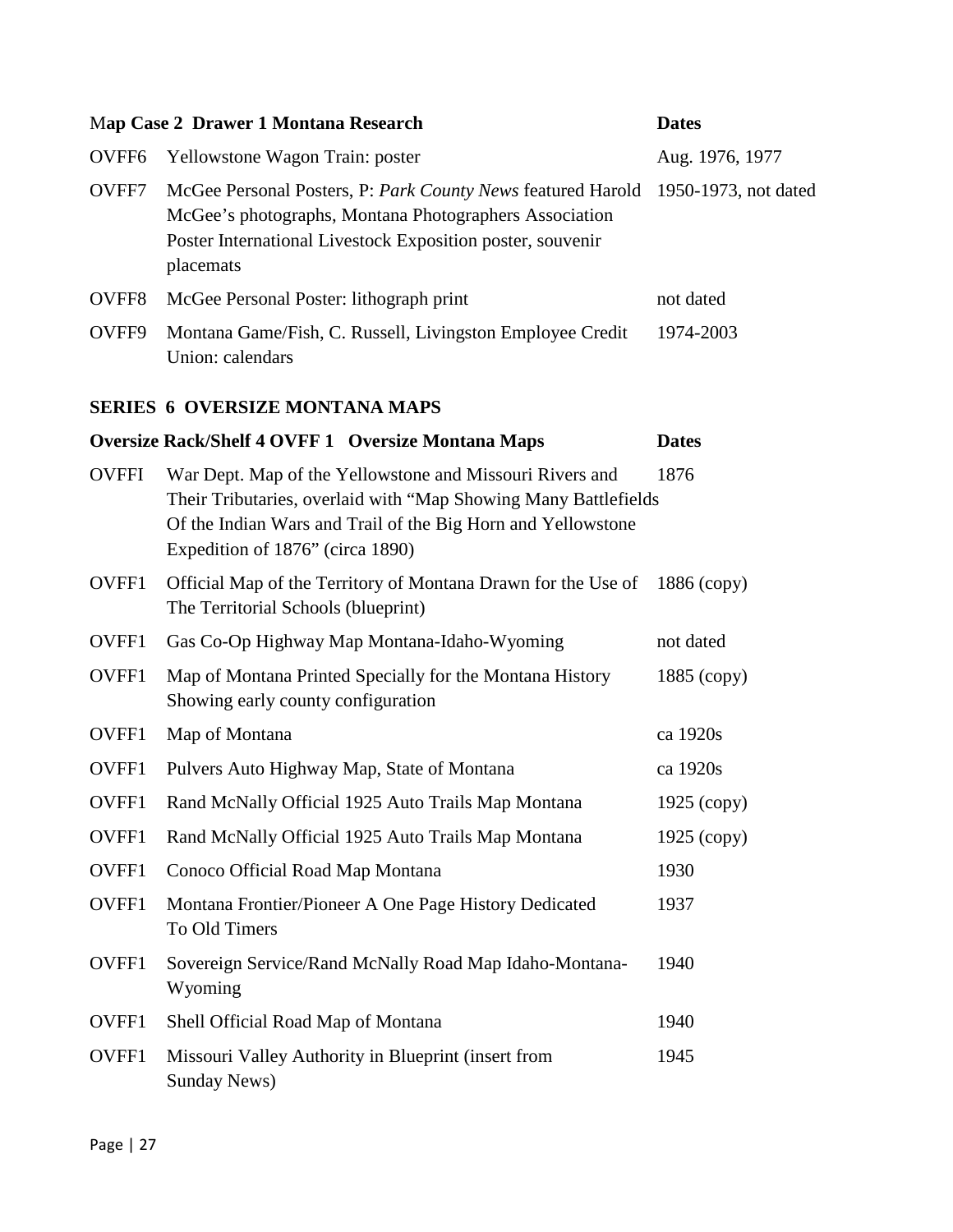|                   | Map Case 2 Drawer 1 Montana Research                                                                                                                                                                                            | <b>Dates</b>         |
|-------------------|---------------------------------------------------------------------------------------------------------------------------------------------------------------------------------------------------------------------------------|----------------------|
| OVFF <sub>6</sub> | Yellowstone Wagon Train: poster                                                                                                                                                                                                 | Aug. 1976, 1977      |
| OVFF7             | McGee Personal Posters, P: Park County News featured Harold<br>McGee's photographs, Montana Photographers Association<br>Poster International Livestock Exposition poster, souvenir<br>placemats                                | 1950-1973, not dated |
| OVFF8             | McGee Personal Poster: lithograph print                                                                                                                                                                                         | not dated            |
| OVFF9             | Montana Game/Fish, C. Russell, Livingston Employee Credit<br>Union: calendars                                                                                                                                                   | 1974-2003            |
|                   | <b>SERIES 6 OVERSIZE MONTANA MAPS</b>                                                                                                                                                                                           |                      |
|                   | <b>Oversize Rack/Shelf 4 OVFF 1 Oversize Montana Maps</b>                                                                                                                                                                       | <b>Dates</b>         |
| <b>OVFFI</b>      | War Dept. Map of the Yellowstone and Missouri Rivers and<br>Their Tributaries, overlaid with "Map Showing Many Battlefields<br>Of the Indian Wars and Trail of the Big Horn and Yellowstone<br>Expedition of 1876" (circa 1890) | 1876                 |
| OVFF1             | Official Map of the Territory of Montana Drawn for the Use of<br>The Territorial Schools (blueprint)                                                                                                                            | $1886$ (copy)        |
| OVFF1             | Gas Co-Op Highway Map Montana-Idaho-Wyoming                                                                                                                                                                                     | not dated            |
| OVFF1             | Map of Montana Printed Specially for the Montana History<br>Showing early county configuration                                                                                                                                  | $1885$ (copy)        |
| OVFF1             | Map of Montana                                                                                                                                                                                                                  | ca 1920s             |
| OVFF1             | Pulvers Auto Highway Map, State of Montana                                                                                                                                                                                      | ca 1920s             |
| OVFF1             | Rand McNally Official 1925 Auto Trails Map Montana                                                                                                                                                                              | $1925$ (copy)        |
| OVFF1             | Rand McNally Official 1925 Auto Trails Map Montana                                                                                                                                                                              | $1925$ (copy)        |
| OVFF1             | Conoco Official Road Map Montana                                                                                                                                                                                                | 1930                 |
| OVFF1             | Montana Frontier/Pioneer A One Page History Dedicated<br>To Old Timers                                                                                                                                                          | 1937                 |
| OVFF1             | Sovereign Service/Rand McNally Road Map Idaho-Montana-<br>Wyoming                                                                                                                                                               | 1940                 |
| OVFF1             | Shell Official Road Map of Montana                                                                                                                                                                                              | 1940                 |
| OVFF1             | Missouri Valley Authority in Blueprint (insert from<br><b>Sunday News)</b>                                                                                                                                                      | 1945                 |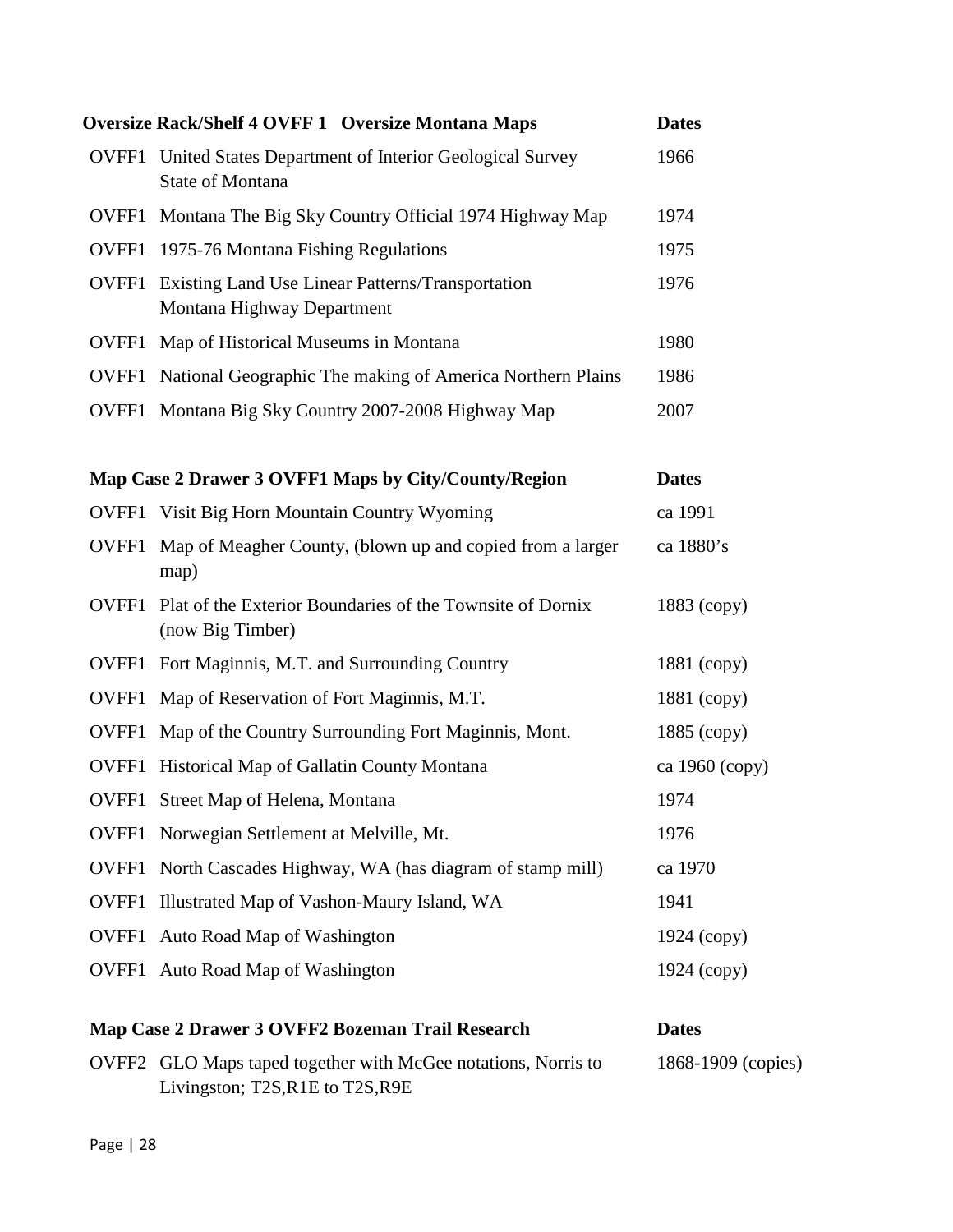|       | <b>Oversize Rack/Shelf 4 OVFF 1 Oversize Montana Maps</b>                                         | <b>Dates</b>       |
|-------|---------------------------------------------------------------------------------------------------|--------------------|
| OVFF1 | United States Department of Interior Geological Survey<br>State of Montana                        | 1966               |
|       | OVFF1 Montana The Big Sky Country Official 1974 Highway Map                                       | 1974               |
|       | <b>OVFF1</b> 1975-76 Montana Fishing Regulations                                                  | 1975               |
| OVFF1 | Existing Land Use Linear Patterns/Transportation<br>Montana Highway Department                    | 1976               |
|       | <b>OVFF1</b> Map of Historical Museums in Montana                                                 | 1980               |
|       | OVFF1 National Geographic The making of America Northern Plains                                   | 1986               |
|       | OVFF1 Montana Big Sky Country 2007-2008 Highway Map                                               | 2007               |
|       | Map Case 2 Drawer 3 OVFF1 Maps by City/County/Region                                              | <b>Dates</b>       |
|       | <b>OVFF1</b> Visit Big Horn Mountain Country Wyoming                                              | ca 1991            |
| OVFF1 | Map of Meagher County, (blown up and copied from a larger<br>map)                                 | ca 1880's          |
| OVFF1 | Plat of the Exterior Boundaries of the Townsite of Dornix<br>(now Big Timber)                     | 1883 (copy)        |
| OVFF1 | Fort Maginnis, M.T. and Surrounding Country                                                       | 1881 (copy)        |
| OVFF1 | Map of Reservation of Fort Maginnis, M.T.                                                         | 1881 (copy)        |
| OVFF1 | Map of the Country Surrounding Fort Maginnis, Mont.                                               | $1885$ (copy)      |
| OVFF1 | Historical Map of Gallatin County Montana                                                         | ca 1960 (copy)     |
|       | <b>OVFF1</b> Street Map of Helena, Montana                                                        | 1974               |
|       | OVFF1 Norwegian Settlement at Melville, Mt.                                                       | 1976               |
| OVFF1 | North Cascades Highway, WA (has diagram of stamp mill)                                            | ca 1970            |
| OVFF1 | Illustrated Map of Vashon-Maury Island, WA                                                        | 1941               |
| OVFF1 | Auto Road Map of Washington                                                                       | $1924$ (copy)      |
|       | <b>OVFF1</b> Auto Road Map of Washington                                                          | 1924 (copy)        |
|       | Map Case 2 Drawer 3 OVFF2 Bozeman Trail Research                                                  | <b>Dates</b>       |
|       | OVFF2 GLO Maps taped together with McGee notations, Norris to<br>Livingston; T2S, R1E to T2S, R9E | 1868-1909 (copies) |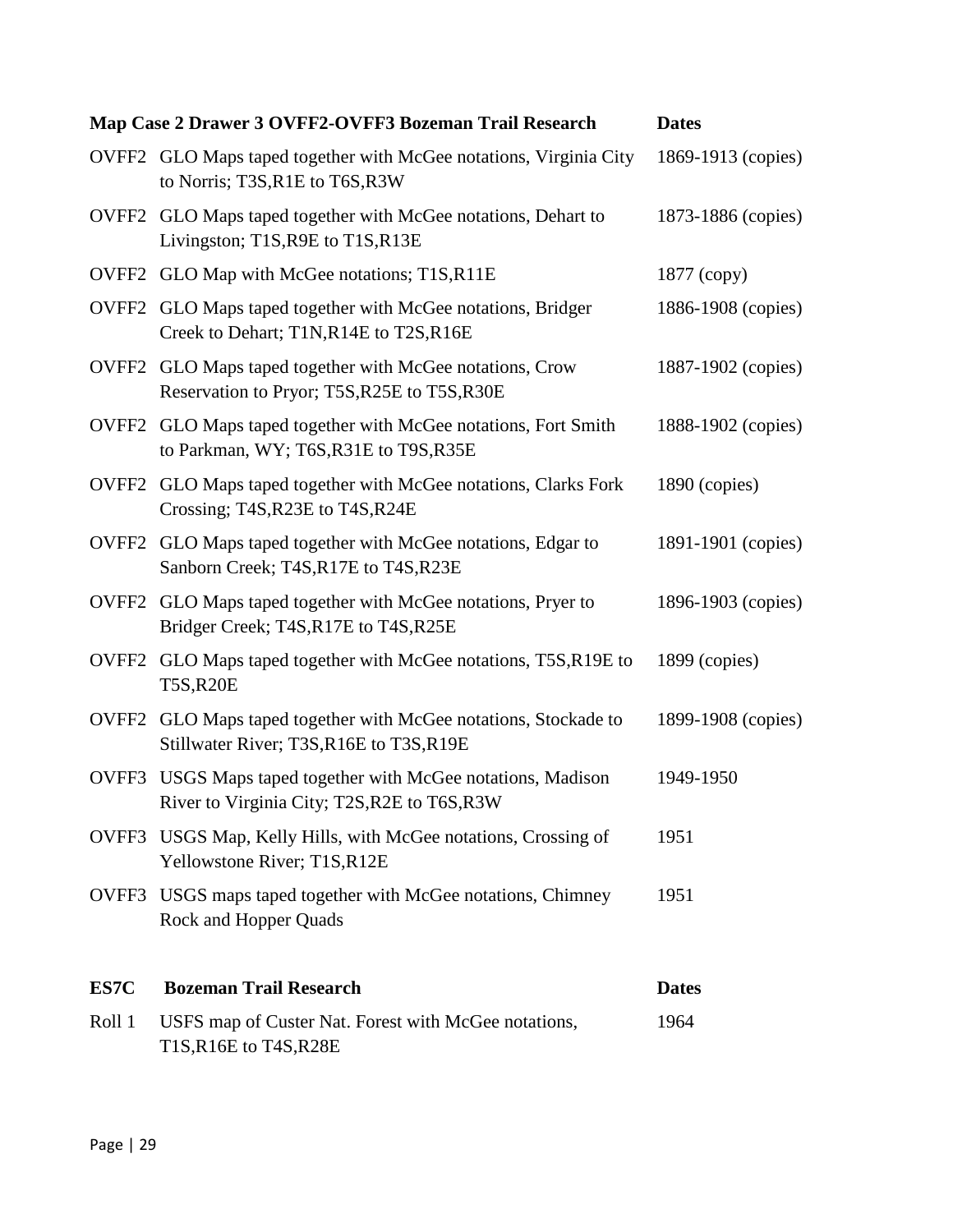|        | Map Case 2 Drawer 3 OVFF2-OVFF3 Bozeman Trail Research                                                   | <b>Dates</b>       |
|--------|----------------------------------------------------------------------------------------------------------|--------------------|
|        | OVFF2 GLO Maps taped together with McGee notations, Virginia City<br>to Norris; T3S, R1E to T6S, R3W     | 1869-1913 (copies) |
|        | OVFF2 GLO Maps taped together with McGee notations, Dehart to<br>Livingston; T1S, R9E to T1S, R13E       | 1873-1886 (copies) |
|        | OVFF2 GLO Map with McGee notations; T1S,R11E                                                             | $1877$ (copy)      |
|        | OVFF2 GLO Maps taped together with McGee notations, Bridger<br>Creek to Dehart; T1N,R14E to T2S,R16E     | 1886-1908 (copies) |
|        | OVFF2 GLO Maps taped together with McGee notations, Crow<br>Reservation to Pryor; T5S, R25E to T5S, R30E | 1887-1902 (copies) |
|        | OVFF2 GLO Maps taped together with McGee notations, Fort Smith<br>to Parkman, WY; T6S, R31E to T9S, R35E | 1888-1902 (copies) |
|        | OVFF2 GLO Maps taped together with McGee notations, Clarks Fork<br>Crossing; T4S, R23E to T4S, R24E      | 1890 (copies)      |
|        | OVFF2 GLO Maps taped together with McGee notations, Edgar to<br>Sanborn Creek; T4S, R17E to T4S, R23E    | 1891-1901 (copies) |
|        | OVFF2 GLO Maps taped together with McGee notations, Pryer to<br>Bridger Creek; T4S, R17E to T4S, R25E    | 1896-1903 (copies) |
|        | OVFF2 GLO Maps taped together with McGee notations, T5S, R19E to<br><b>T5S,R20E</b>                      | 1899 (copies)      |
| OVFF2  | GLO Maps taped together with McGee notations, Stockade to<br>Stillwater River; T3S, R16E to T3S, R19E    | 1899-1908 (copies) |
| OVFF3  | USGS Maps taped together with McGee notations, Madison<br>River to Virginia City; T2S, R2E to T6S, R3W   | 1949-1950          |
|        | OVFF3 USGS Map, Kelly Hills, with McGee notations, Crossing of<br>Yellowstone River; T1S, R12E           | 1951               |
| OVFF3  | USGS maps taped together with McGee notations, Chimney<br>Rock and Hopper Quads                          | 1951               |
| ES7C   | <b>Bozeman Trail Research</b>                                                                            | <b>Dates</b>       |
| Roll 1 | USFS map of Custer Nat. Forest with McGee notations,<br>T1S, R16E to T4S, R28E                           | 1964               |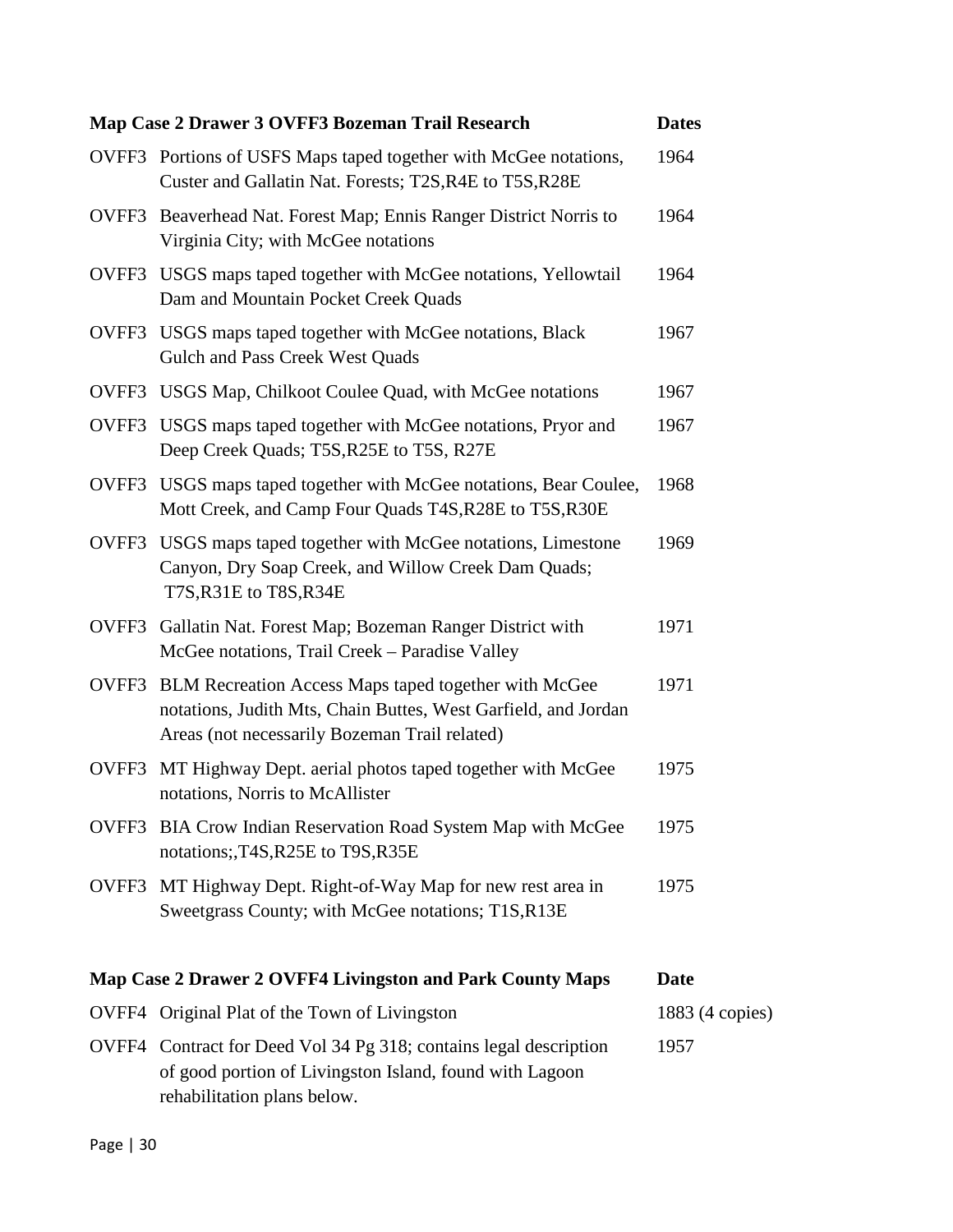|       | Map Case 2 Drawer 3 OVFF3 Bozeman Trail Research                                                                                                                              | <b>Dates</b>    |
|-------|-------------------------------------------------------------------------------------------------------------------------------------------------------------------------------|-----------------|
|       | OVFF3 Portions of USFS Maps taped together with McGee notations,<br>Custer and Gallatin Nat. Forests; T2S, R4E to T5S, R28E                                                   | 1964            |
|       | OVFF3 Beaverhead Nat. Forest Map; Ennis Ranger District Norris to<br>Virginia City; with McGee notations                                                                      | 1964            |
|       | OVFF3 USGS maps taped together with McGee notations, Yellowtail<br>Dam and Mountain Pocket Creek Quads                                                                        | 1964            |
|       | OVFF3 USGS maps taped together with McGee notations, Black<br><b>Gulch and Pass Creek West Quads</b>                                                                          | 1967            |
|       | OVFF3 USGS Map, Chilkoot Coulee Quad, with McGee notations                                                                                                                    | 1967            |
|       | OVFF3 USGS maps taped together with McGee notations, Pryor and<br>Deep Creek Quads; T5S, R25E to T5S, R27E                                                                    | 1967            |
|       | OVFF3 USGS maps taped together with McGee notations, Bear Coulee,<br>Mott Creek, and Camp Four Quads T4S, R28E to T5S, R30E                                                   | 1968            |
| OVFF3 | USGS maps taped together with McGee notations, Limestone<br>Canyon, Dry Soap Creek, and Willow Creek Dam Quads;<br>T7S, R31E to T8S, R34E                                     | 1969            |
| OVFF3 | Gallatin Nat. Forest Map; Bozeman Ranger District with<br>McGee notations, Trail Creek - Paradise Valley                                                                      | 1971            |
|       | OVFF3 BLM Recreation Access Maps taped together with McGee<br>notations, Judith Mts, Chain Buttes, West Garfield, and Jordan<br>Areas (not necessarily Bozeman Trail related) | 1971            |
| OVFF3 | MT Highway Dept. aerial photos taped together with McGee<br>notations, Norris to McAllister                                                                                   | 1975            |
|       | OVFF3 BIA Crow Indian Reservation Road System Map with McGee<br>notations; T4S, R25E to T9S, R35E                                                                             | 1975            |
|       | OVFF3 MT Highway Dept. Right-of-Way Map for new rest area in<br>Sweetgrass County; with McGee notations; T1S, R13E                                                            | 1975            |
|       | Map Case 2 Drawer 2 OVFF4 Livingston and Park County Maps                                                                                                                     | <b>Date</b>     |
|       | OVFF4 Original Plat of the Town of Livingston                                                                                                                                 | 1883 (4 copies) |
|       | OVFF4 Contract for Deed Vol 34 Pg 318; contains legal description<br>of good portion of Livingston Island, found with Lagoon<br>rehabilitation plans below.                   | 1957            |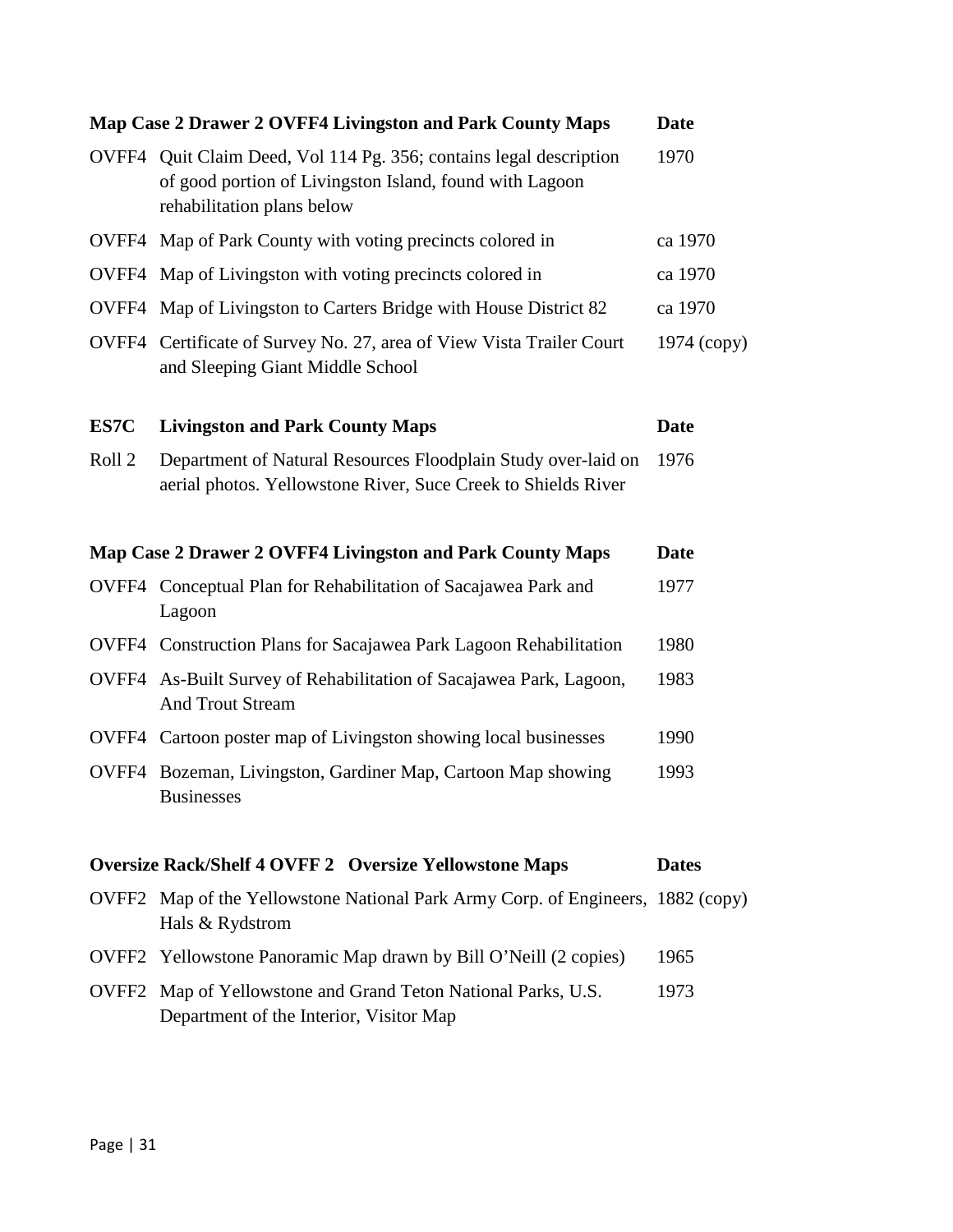|                   | Map Case 2 Drawer 2 OVFF4 Livingston and Park County Maps                                                                                                   | Date          |
|-------------------|-------------------------------------------------------------------------------------------------------------------------------------------------------------|---------------|
|                   | OVFF4 Quit Claim Deed, Vol 114 Pg. 356; contains legal description<br>of good portion of Livingston Island, found with Lagoon<br>rehabilitation plans below | 1970          |
|                   | OVFF4 Map of Park County with voting precincts colored in                                                                                                   | ca 1970       |
|                   | OVFF4 Map of Livingston with voting precincts colored in                                                                                                    | ca 1970       |
|                   | OVFF4 Map of Livingston to Carters Bridge with House District 82                                                                                            | ca 1970       |
|                   | OVFF4 Certificate of Survey No. 27, area of View Vista Trailer Court<br>and Sleeping Giant Middle School                                                    | $1974$ (copy) |
| ES7C              | <b>Livingston and Park County Maps</b>                                                                                                                      | <b>Date</b>   |
| Roll <sub>2</sub> | Department of Natural Resources Floodplain Study over-laid on<br>aerial photos. Yellowstone River, Suce Creek to Shields River                              | 1976          |
|                   | Map Case 2 Drawer 2 OVFF4 Livingston and Park County Maps                                                                                                   | Date          |
|                   | OVFF4 Conceptual Plan for Rehabilitation of Sacajawea Park and<br>Lagoon                                                                                    | 1977          |
|                   | <b>OVFF4</b> Construction Plans for Sacajawea Park Lagoon Rehabilitation                                                                                    | 1980          |
|                   | OVFF4 As-Built Survey of Rehabilitation of Sacajawea Park, Lagoon,<br><b>And Trout Stream</b>                                                               | 1983          |
|                   | OVFF4 Cartoon poster map of Livingston showing local businesses                                                                                             | 1990          |
|                   | OVFF4 Bozeman, Livingston, Gardiner Map, Cartoon Map showing<br><b>Businesses</b>                                                                           | 1993          |
|                   | <b>Oversize Rack/Shelf 4 OVFF 2 Oversize Yellowstone Maps</b>                                                                                               | <b>Dates</b>  |
|                   | OVFF2 Map of the Yellowstone National Park Army Corp. of Engineers, 1882 (copy)<br>Hals & Rydstrom                                                          |               |
|                   | OVFF2 Yellowstone Panoramic Map drawn by Bill O'Neill (2 copies)                                                                                            | 1965          |
| OVFF <sub>2</sub> | Map of Yellowstone and Grand Teton National Parks, U.S.<br>Department of the Interior, Visitor Map                                                          | 1973          |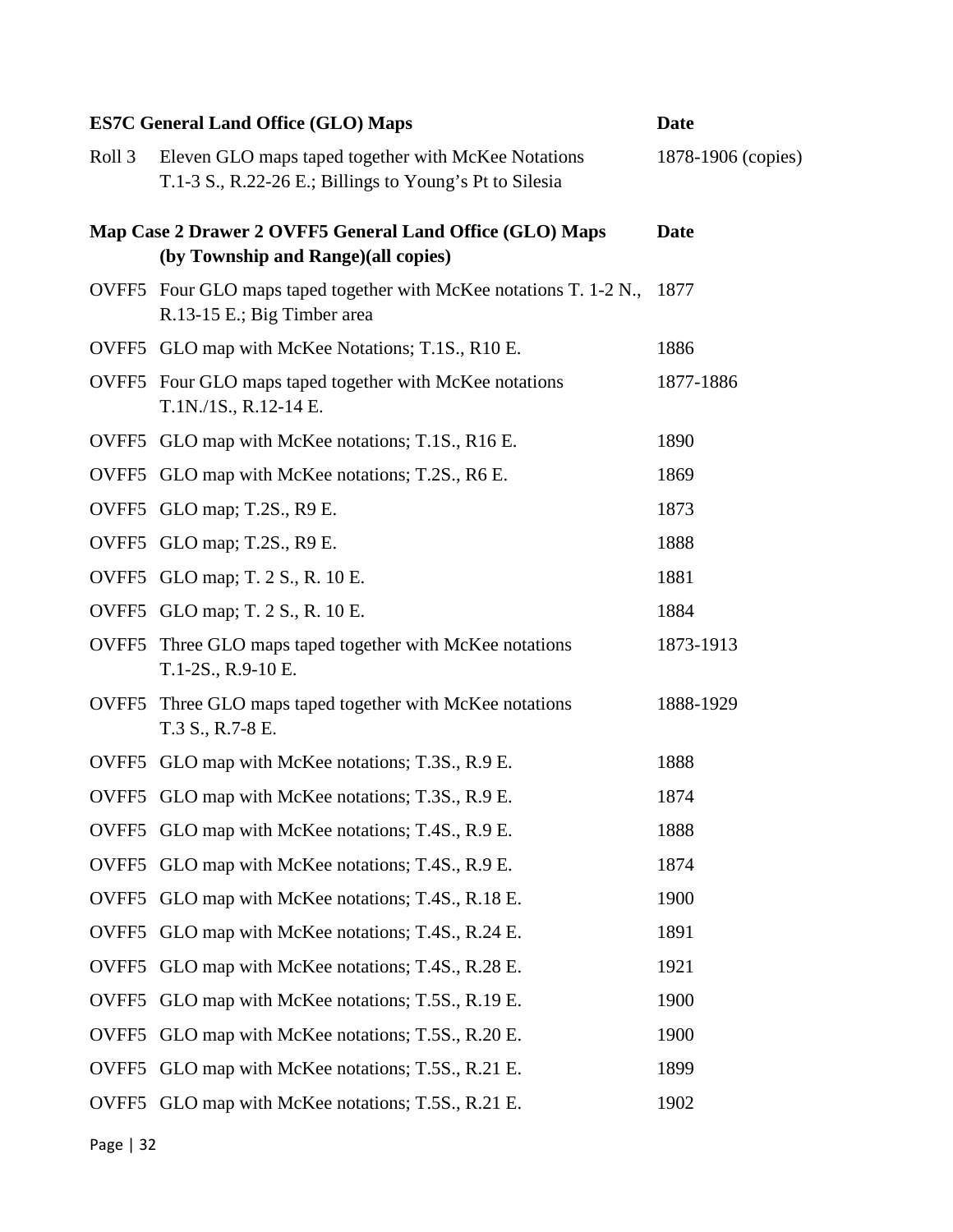|                   | <b>ES7C General Land Office (GLO) Maps</b>                                                                     | <b>Date</b>        |
|-------------------|----------------------------------------------------------------------------------------------------------------|--------------------|
| Roll <sub>3</sub> | Eleven GLO maps taped together with McKee Notations<br>T.1-3 S., R.22-26 E.; Billings to Young's Pt to Silesia | 1878-1906 (copies) |
|                   | Map Case 2 Drawer 2 OVFF5 General Land Office (GLO) Maps<br>(by Township and Range)(all copies)                | <b>Date</b>        |
|                   | OVFF5 Four GLO maps taped together with McKee notations T. 1-2 N.,<br>R.13-15 E.; Big Timber area              | 1877               |
|                   | OVFF5 GLO map with McKee Notations; T.1S., R10 E.                                                              | 1886               |
|                   | OVFF5 Four GLO maps taped together with McKee notations<br>T.1N./1S., R.12-14 E.                               | 1877-1886          |
|                   | OVFF5 GLO map with McKee notations; T.1S., R16 E.                                                              | 1890               |
|                   | OVFF5 GLO map with McKee notations; T.2S., R6 E.                                                               | 1869               |
|                   | OVFF5 GLO map; T.2S., R9 E.                                                                                    | 1873               |
|                   | OVFF5 GLO map; T.2S., R9 E.                                                                                    | 1888               |
|                   | OVFF5 GLO map; T. 2 S., R. 10 E.                                                                               | 1881               |
|                   | OVFF5 GLO map; T. 2 S., R. 10 E.                                                                               | 1884               |
| OVFF5             | Three GLO maps taped together with McKee notations<br>T.1-2S., R.9-10 E.                                       | 1873-1913          |
| OVFF5             | Three GLO maps taped together with McKee notations<br>T.3 S., R.7-8 E.                                         | 1888-1929          |
|                   | OVFF5 GLO map with McKee notations; T.3S., R.9 E.                                                              | 1888               |
|                   | OVFF5 GLO map with McKee notations; T.3S., R.9 E.                                                              | 1874               |
| OVFF5             | GLO map with McKee notations; T.4S., R.9 E.                                                                    | 1888               |
| OVFF <sub>5</sub> | GLO map with McKee notations; T.4S., R.9 E.                                                                    | 1874               |
| OVFF <sub>5</sub> | GLO map with McKee notations; T.4S., R.18 E.                                                                   | 1900               |
| OVFF <sub>5</sub> | GLO map with McKee notations; T.4S., R.24 E.                                                                   | 1891               |
| OVFF5             | GLO map with McKee notations; T.4S., R.28 E.                                                                   | 1921               |
| OVFF5             | GLO map with McKee notations; T.5S., R.19 E.                                                                   | 1900               |
| OVFF <sub>5</sub> | GLO map with McKee notations; T.5S., R.20 E.                                                                   | 1900               |
| OVFF5             | GLO map with McKee notations; T.5S., R.21 E.                                                                   | 1899               |
| OVFF5             | GLO map with McKee notations; T.5S., R.21 E.                                                                   | 1902               |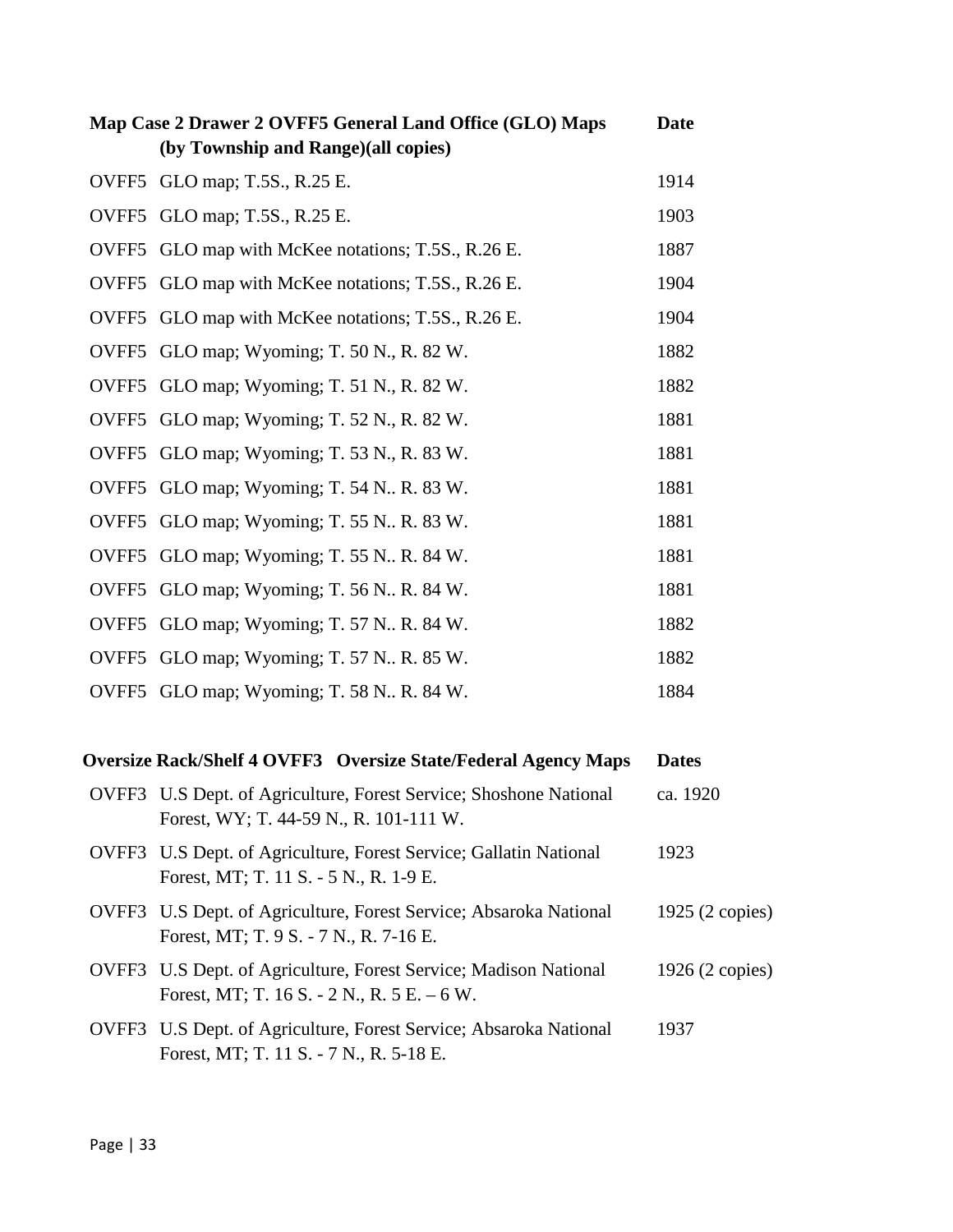| Map Case 2 Drawer 2 OVFF5 General Land Office (GLO) Maps |                                              | Date |
|----------------------------------------------------------|----------------------------------------------|------|
|                                                          | (by Township and Range)(all copies)          |      |
| OVFF5                                                    | GLO map; T.5S., R.25 E.                      | 1914 |
|                                                          | OVFF5 GLO map; T.5S., R.25 E.                | 1903 |
| OVFF5                                                    | GLO map with McKee notations; T.5S., R.26 E. | 1887 |
| OVFF <sub>5</sub>                                        | GLO map with McKee notations; T.5S., R.26 E. | 1904 |
| OVFF <sub>5</sub>                                        | GLO map with McKee notations; T.5S., R.26 E. | 1904 |
| OVFF <sub>5</sub>                                        | GLO map; Wyoming; T. 50 N., R. 82 W.         | 1882 |
| OVFF5                                                    | GLO map; Wyoming; T. 51 N., R. 82 W.         | 1882 |
| OVFF5                                                    | GLO map; Wyoming; T. 52 N., R. 82 W.         | 1881 |
| OVFF5                                                    | GLO map; Wyoming; T. 53 N., R. 83 W.         | 1881 |
| OVFF <sub>5</sub>                                        | GLO map; Wyoming; T. 54 N., R. 83 W.         | 1881 |
| OVFF5                                                    | GLO map; Wyoming; T. 55 N., R. 83 W.         | 1881 |
| OVFF5                                                    | GLO map; Wyoming; T. 55 N., R. 84 W.         | 1881 |
| OVFF5                                                    | GLO map; Wyoming; T. 56 N., R. 84 W.         | 1881 |
| OVFF5                                                    | GLO map; Wyoming; T. 57 N., R. 84 W.         | 1882 |
|                                                          | OVFF5 GLO map; Wyoming; T. 57 N., R. 85 W.   | 1882 |
|                                                          | OVFF5 GLO map; Wyoming; T. 58 N., R. 84 W.   | 1884 |

## **Oversize Rack/Shelf 4 OVFF3 Oversize State/Federal Agency Maps Dates**

| OVFF3 U.S Dept. of Agriculture, Forest Service; Shoshone National<br>Forest, WY; T. 44-59 N., R. 101-111 W.      | ca. 1920        |
|------------------------------------------------------------------------------------------------------------------|-----------------|
| OVFF3 U.S Dept. of Agriculture, Forest Service; Gallatin National<br>Forest, MT; T. 11 S. - 5 N., R. 1-9 E.      | 1923            |
| OVFF3 U.S Dept. of Agriculture, Forest Service; Absaroka National<br>Forest, MT; T. 9 S. - 7 N., R. 7-16 E.      | 1925 (2 copies) |
| OVFF3 U.S Dept. of Agriculture, Forest Service; Madison National<br>Forest, MT; T. 16 S. - 2 N., R. 5 E. $-6$ W. | 1926 (2 copies) |
| OVFF3 U.S Dept. of Agriculture, Forest Service; Absaroka National<br>Forest, MT; T. 11 S. - 7 N., R. 5-18 E.     | 1937            |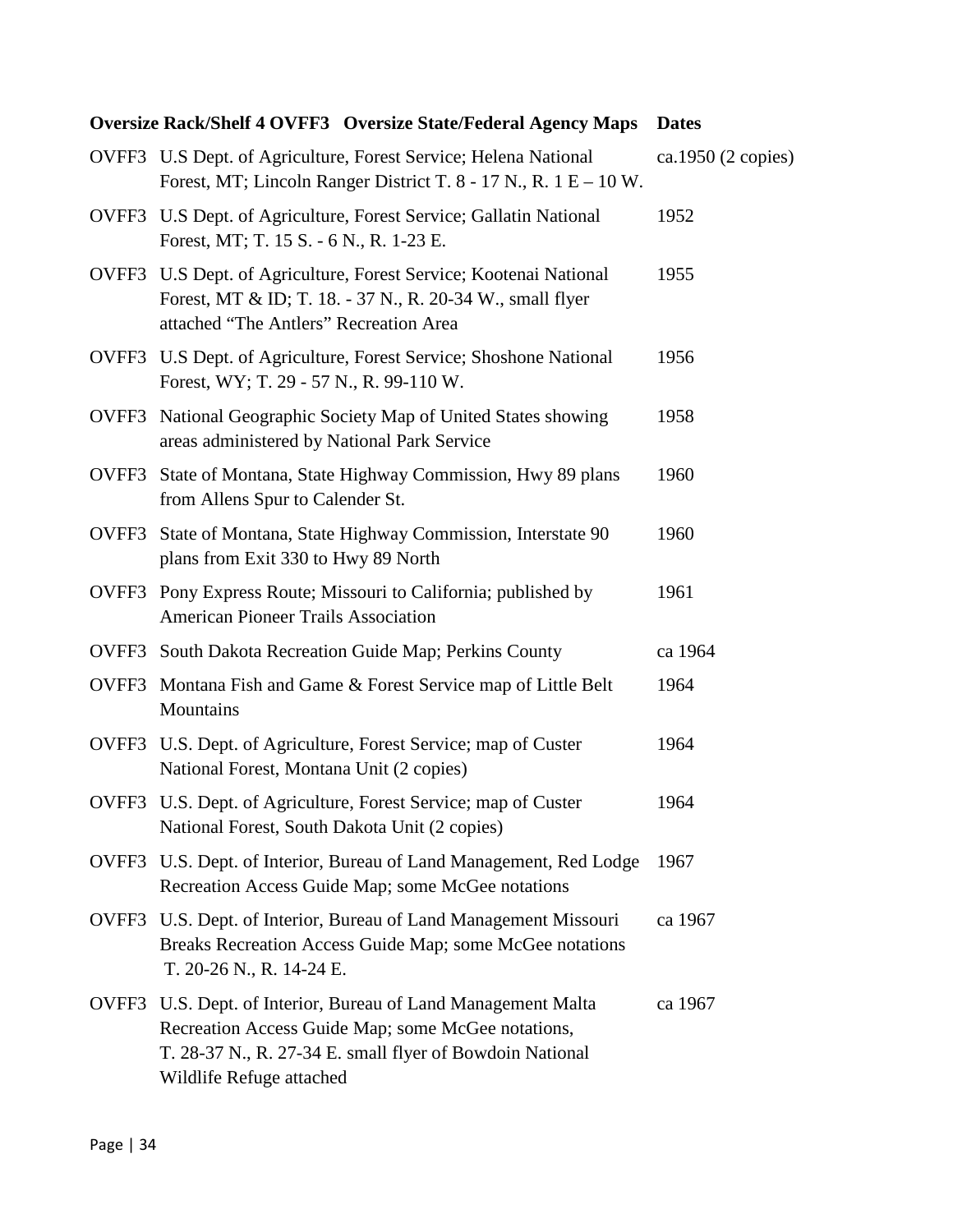## **Oversize Rack/Shelf 4 OVFF3 Oversize State/Federal Agency Maps Dates**

|       | OVFF3 U.S Dept. of Agriculture, Forest Service; Helena National<br>Forest, MT; Lincoln Ranger District T. $8 - 17$ N., R. $1 E - 10 W$ .                                                              | ca.1950 (2 copies) |
|-------|-------------------------------------------------------------------------------------------------------------------------------------------------------------------------------------------------------|--------------------|
|       | OVFF3 U.S Dept. of Agriculture, Forest Service; Gallatin National<br>Forest, MT; T. 15 S. - 6 N., R. 1-23 E.                                                                                          | 1952               |
|       | OVFF3 U.S Dept. of Agriculture, Forest Service; Kootenai National<br>Forest, MT & ID; T. 18. - 37 N., R. 20-34 W., small flyer<br>attached "The Antlers" Recreation Area                              | 1955               |
|       | OVFF3 U.S Dept. of Agriculture, Forest Service; Shoshone National<br>Forest, WY; T. 29 - 57 N., R. 99-110 W.                                                                                          | 1956               |
| OVFF3 | National Geographic Society Map of United States showing<br>areas administered by National Park Service                                                                                               | 1958               |
|       | OVFF3 State of Montana, State Highway Commission, Hwy 89 plans<br>from Allens Spur to Calender St.                                                                                                    | 1960               |
|       | OVFF3 State of Montana, State Highway Commission, Interstate 90<br>plans from Exit 330 to Hwy 89 North                                                                                                | 1960               |
|       | OVFF3 Pony Express Route; Missouri to California; published by<br><b>American Pioneer Trails Association</b>                                                                                          | 1961               |
|       | OVFF3 South Dakota Recreation Guide Map; Perkins County                                                                                                                                               | ca 1964            |
|       | OVFF3 Montana Fish and Game & Forest Service map of Little Belt<br>Mountains                                                                                                                          | 1964               |
| OVFF3 | U.S. Dept. of Agriculture, Forest Service; map of Custer<br>National Forest, Montana Unit (2 copies)                                                                                                  | 1964               |
| OVFF3 | U.S. Dept. of Agriculture, Forest Service; map of Custer<br>National Forest, South Dakota Unit (2 copies)                                                                                             | 1964               |
|       | OVFF3 U.S. Dept. of Interior, Bureau of Land Management, Red Lodge<br>Recreation Access Guide Map; some McGee notations                                                                               | 1967               |
|       | OVFF3 U.S. Dept. of Interior, Bureau of Land Management Missouri<br>Breaks Recreation Access Guide Map; some McGee notations<br>T. 20-26 N., R. 14-24 E.                                              | ca 1967            |
| OVFF3 | U.S. Dept. of Interior, Bureau of Land Management Malta<br>Recreation Access Guide Map; some McGee notations,<br>T. 28-37 N., R. 27-34 E. small flyer of Bowdoin National<br>Wildlife Refuge attached | ca 1967            |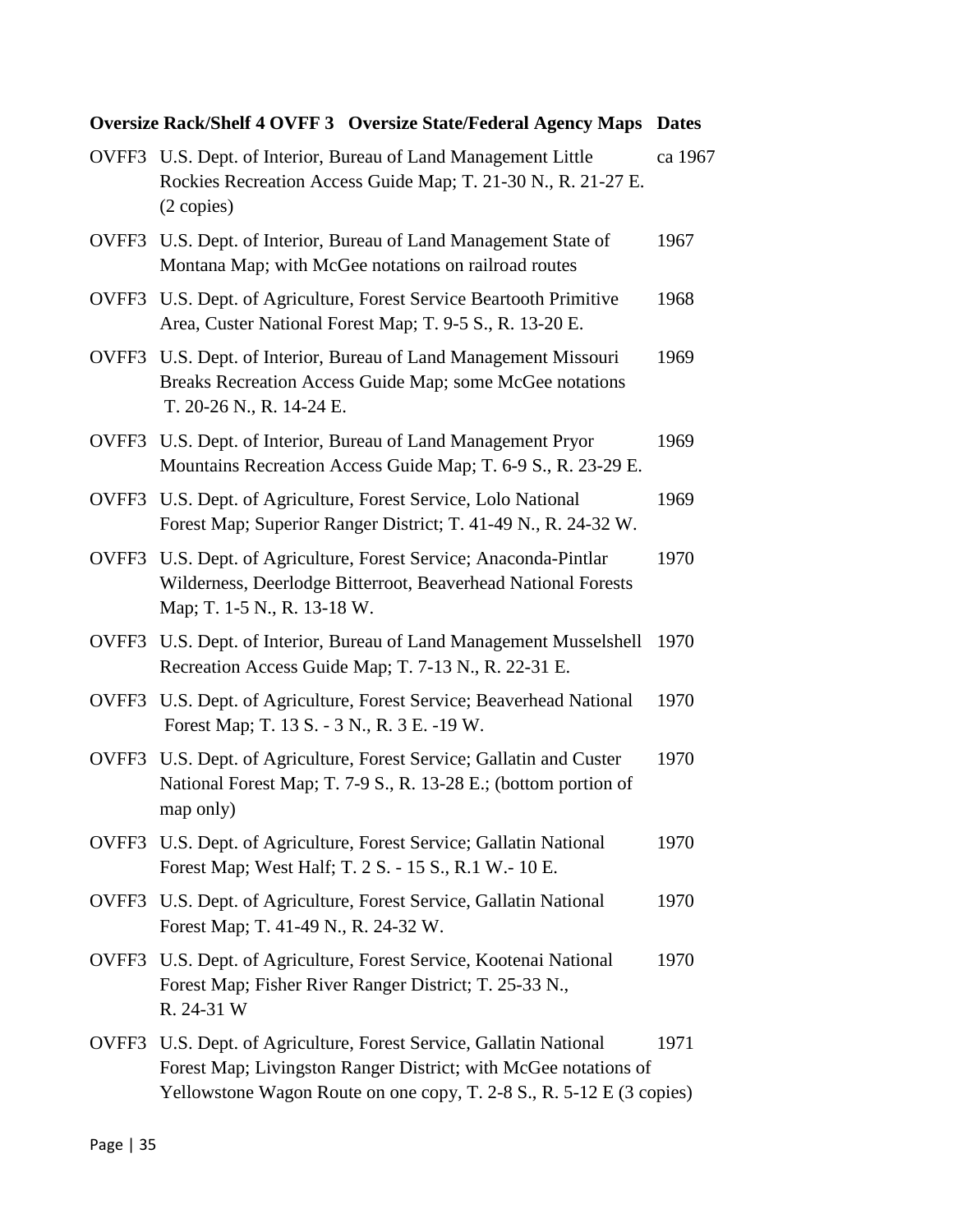## **Oversize Rack/Shelf 4 OVFF 3 Oversize State/Federal Agency Maps Dates**

|       | OVFF3 U.S. Dept. of Interior, Bureau of Land Management Little<br>Rockies Recreation Access Guide Map; T. 21-30 N., R. 21-27 E.<br>(2 copies)                                                                 | ca 1967 |
|-------|---------------------------------------------------------------------------------------------------------------------------------------------------------------------------------------------------------------|---------|
|       | OVFF3 U.S. Dept. of Interior, Bureau of Land Management State of<br>Montana Map; with McGee notations on railroad routes                                                                                      | 1967    |
| OVFF3 | U.S. Dept. of Agriculture, Forest Service Beartooth Primitive<br>Area, Custer National Forest Map; T. 9-5 S., R. 13-20 E.                                                                                     | 1968    |
| OVFF3 | U.S. Dept. of Interior, Bureau of Land Management Missouri<br>Breaks Recreation Access Guide Map; some McGee notations<br>T. 20-26 N., R. 14-24 E.                                                            | 1969    |
| OVFF3 | U.S. Dept. of Interior, Bureau of Land Management Pryor<br>Mountains Recreation Access Guide Map; T. 6-9 S., R. 23-29 E.                                                                                      | 1969    |
| OVFF3 | U.S. Dept. of Agriculture, Forest Service, Lolo National<br>Forest Map; Superior Ranger District; T. 41-49 N., R. 24-32 W.                                                                                    | 1969    |
| OVFF3 | U.S. Dept. of Agriculture, Forest Service; Anaconda-Pintlar<br>Wilderness, Deerlodge Bitterroot, Beaverhead National Forests<br>Map; T. 1-5 N., R. 13-18 W.                                                   | 1970    |
| OVFF3 | U.S. Dept. of Interior, Bureau of Land Management Musselshell<br>Recreation Access Guide Map; T. 7-13 N., R. 22-31 E.                                                                                         | 1970    |
| OVFF3 | U.S. Dept. of Agriculture, Forest Service; Beaverhead National<br>Forest Map; T. 13 S. - 3 N., R. 3 E. -19 W.                                                                                                 | 1970    |
| OVFF3 | U.S. Dept. of Agriculture, Forest Service; Gallatin and Custer<br>National Forest Map; T. 7-9 S., R. 13-28 E.; (bottom portion of<br>map only)                                                                | 1970    |
|       | OVFF3 U.S. Dept. of Agriculture, Forest Service; Gallatin National<br>Forest Map; West Half; T. 2 S. - 15 S., R.1 W. - 10 E.                                                                                  | 1970    |
|       | OVFF3 U.S. Dept. of Agriculture, Forest Service, Gallatin National<br>Forest Map; T. 41-49 N., R. 24-32 W.                                                                                                    | 1970    |
|       | OVFF3 U.S. Dept. of Agriculture, Forest Service, Kootenai National<br>Forest Map; Fisher River Ranger District; T. 25-33 N.,<br>R. 24-31 W                                                                    | 1970    |
|       | OVFF3 U.S. Dept. of Agriculture, Forest Service, Gallatin National<br>Forest Map; Livingston Ranger District; with McGee notations of<br>Yellowstone Wagon Route on one copy, T. 2-8 S., R. 5-12 E (3 copies) | 1971    |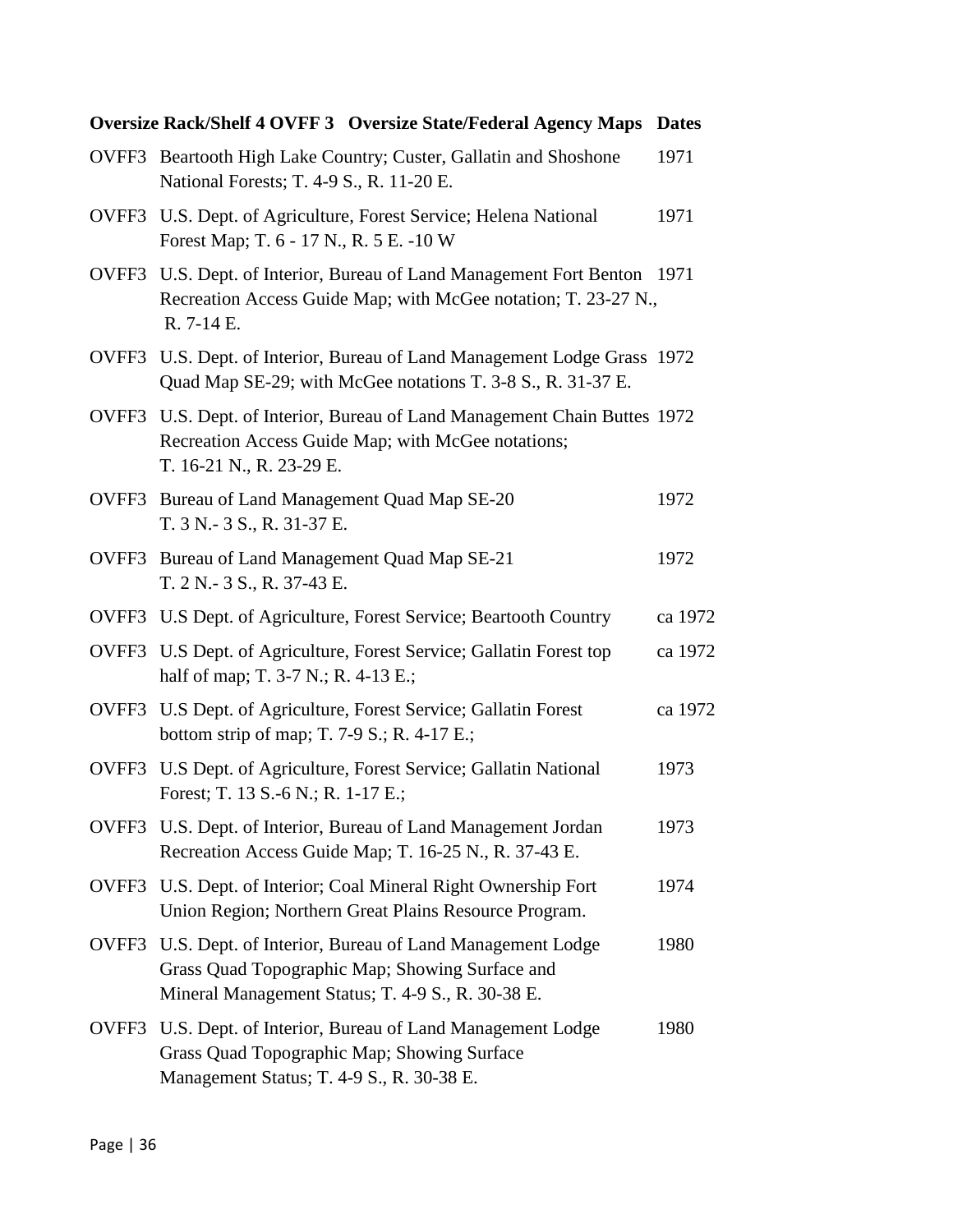|       | <b>Oversize Rack/Shelf 4 OVFF 3 Oversize State/Federal Agency Maps Dates</b>                                                                                          |         |
|-------|-----------------------------------------------------------------------------------------------------------------------------------------------------------------------|---------|
|       | OVFF3 Beartooth High Lake Country; Custer, Gallatin and Shoshone<br>National Forests; T. 4-9 S., R. 11-20 E.                                                          | 1971    |
|       | OVFF3 U.S. Dept. of Agriculture, Forest Service; Helena National<br>Forest Map; T. 6 - 17 N., R. 5 E. -10 W                                                           | 1971    |
|       | OVFF3 U.S. Dept. of Interior, Bureau of Land Management Fort Benton 1971<br>Recreation Access Guide Map; with McGee notation; T. 23-27 N.,<br>R. 7-14 E.              |         |
|       | OVFF3 U.S. Dept. of Interior, Bureau of Land Management Lodge Grass 1972<br>Quad Map SE-29; with McGee notations T. 3-8 S., R. 31-37 E.                               |         |
|       | OVFF3 U.S. Dept. of Interior, Bureau of Land Management Chain Buttes 1972<br>Recreation Access Guide Map; with McGee notations;<br>T. 16-21 N., R. 23-29 E.           |         |
|       | OVFF3 Bureau of Land Management Quad Map SE-20<br>T. 3 N. - 3 S., R. 31-37 E.                                                                                         | 1972    |
|       | OVFF3 Bureau of Land Management Quad Map SE-21<br>T. 2 N. - 3 S., R. 37-43 E.                                                                                         | 1972    |
|       | OVFF3 U.S Dept. of Agriculture, Forest Service; Beartooth Country                                                                                                     | ca 1972 |
|       | OVFF3 U.S Dept. of Agriculture, Forest Service; Gallatin Forest top<br>half of map; T. 3-7 N.; R. 4-13 E.;                                                            | ca 1972 |
|       | OVFF3 U.S Dept. of Agriculture, Forest Service; Gallatin Forest<br>bottom strip of map; T. 7-9 S.; R. 4-17 E.;                                                        | ca 1972 |
|       | OVFF3 U.S Dept. of Agriculture, Forest Service; Gallatin National<br>Forest; T. 13 S.-6 N.; R. 1-17 E.;                                                               | 1973    |
|       | OVFF3 U.S. Dept. of Interior, Bureau of Land Management Jordan<br>Recreation Access Guide Map; T. 16-25 N., R. 37-43 E.                                               | 1973    |
|       | OVFF3 U.S. Dept. of Interior; Coal Mineral Right Ownership Fort<br>Union Region; Northern Great Plains Resource Program.                                              | 1974    |
|       | OVFF3 U.S. Dept. of Interior, Bureau of Land Management Lodge<br>Grass Quad Topographic Map; Showing Surface and<br>Mineral Management Status; T. 4-9 S., R. 30-38 E. | 1980    |
| OVFF3 | U.S. Dept. of Interior, Bureau of Land Management Lodge<br>Grass Quad Topographic Map; Showing Surface<br>Management Status; T. 4-9 S., R. 30-38 E.                   | 1980    |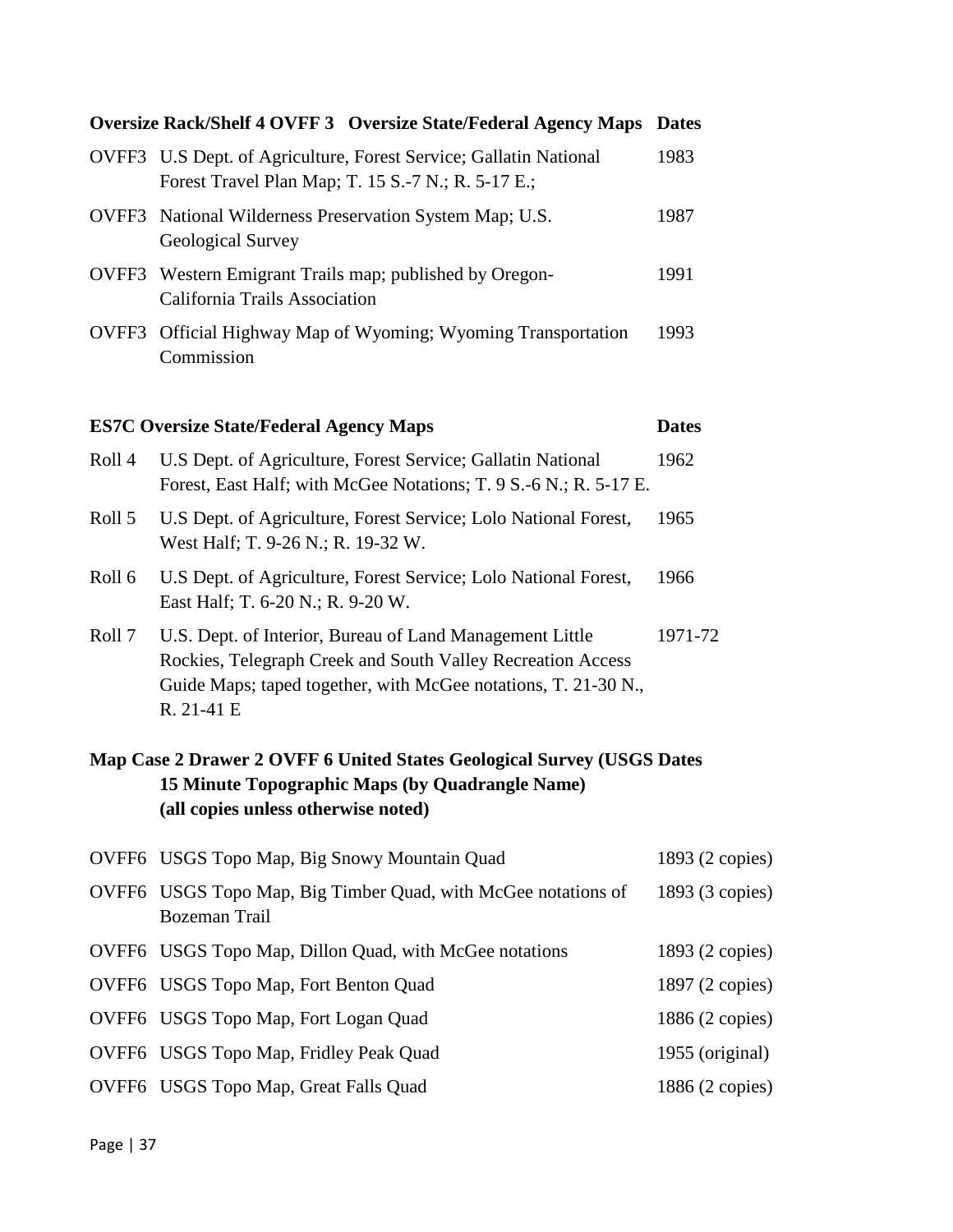## **Oversize Rack/Shelf 4 OVFF 3 Oversize State/Federal Agency Maps Dates** OVFF3 U.S Dept. of Agriculture, Forest Service; Gallatin National 1983 Forest Travel Plan Map; T. 15 S.-7 N.; R. 5-17 E.; OVFF3 National Wilderness Preservation System Map; U.S. 1987

- OVFF3 Western Emigrant Trails map; published by Oregon- 1991 California Trails Association
- OVFF3 Official Highway Map of Wyoming; Wyoming Transportation 1993 Commission

#### **ES7C Oversize State/Federal Agency Maps Dates**

Geological Survey

| Roll 4 | U.S Dept. of Agriculture, Forest Service; Gallatin National<br>Forest, East Half; with McGee Notations; T. 9 S.-6 N.; R. 5-17 E.                                                                        | 1962    |
|--------|---------------------------------------------------------------------------------------------------------------------------------------------------------------------------------------------------------|---------|
| Roll 5 | U.S Dept. of Agriculture, Forest Service; Lolo National Forest,<br>West Half; T. 9-26 N.; R. 19-32 W.                                                                                                   | 1965    |
| Roll 6 | U.S Dept. of Agriculture, Forest Service; Lolo National Forest,<br>East Half; T. 6-20 N.; R. 9-20 W.                                                                                                    | 1966    |
| Roll 7 | U.S. Dept. of Interior, Bureau of Land Management Little<br>Rockies, Telegraph Creek and South Valley Recreation Access<br>Guide Maps; taped together, with McGee notations, T. 21-30 N.,<br>R. 21-41 E | 1971-72 |

## **Map Case 2 Drawer 2 OVFF 6 United States Geological Survey (USGS Dates 15 Minute Topographic Maps (by Quadrangle Name) (all copies unless otherwise noted)**

| OVFF6 USGS Topo Map, Big Snowy Mountain Quad                                   | 1893 (2 copies) |
|--------------------------------------------------------------------------------|-----------------|
| OVFF6 USGS Topo Map, Big Timber Quad, with McGee notations of<br>Bozeman Trail | 1893 (3 copies) |
| OVFF6 USGS Topo Map, Dillon Quad, with McGee notations                         | 1893 (2 copies) |
| OVFF6 USGS Topo Map, Fort Benton Quad                                          | 1897 (2 copies) |
| OVFF6 USGS Topo Map, Fort Logan Quad                                           | 1886 (2 copies) |
| OVFF6 USGS Topo Map, Fridley Peak Quad                                         | 1955 (original) |
| OVFF6 USGS Topo Map, Great Falls Quad                                          | 1886 (2 copies) |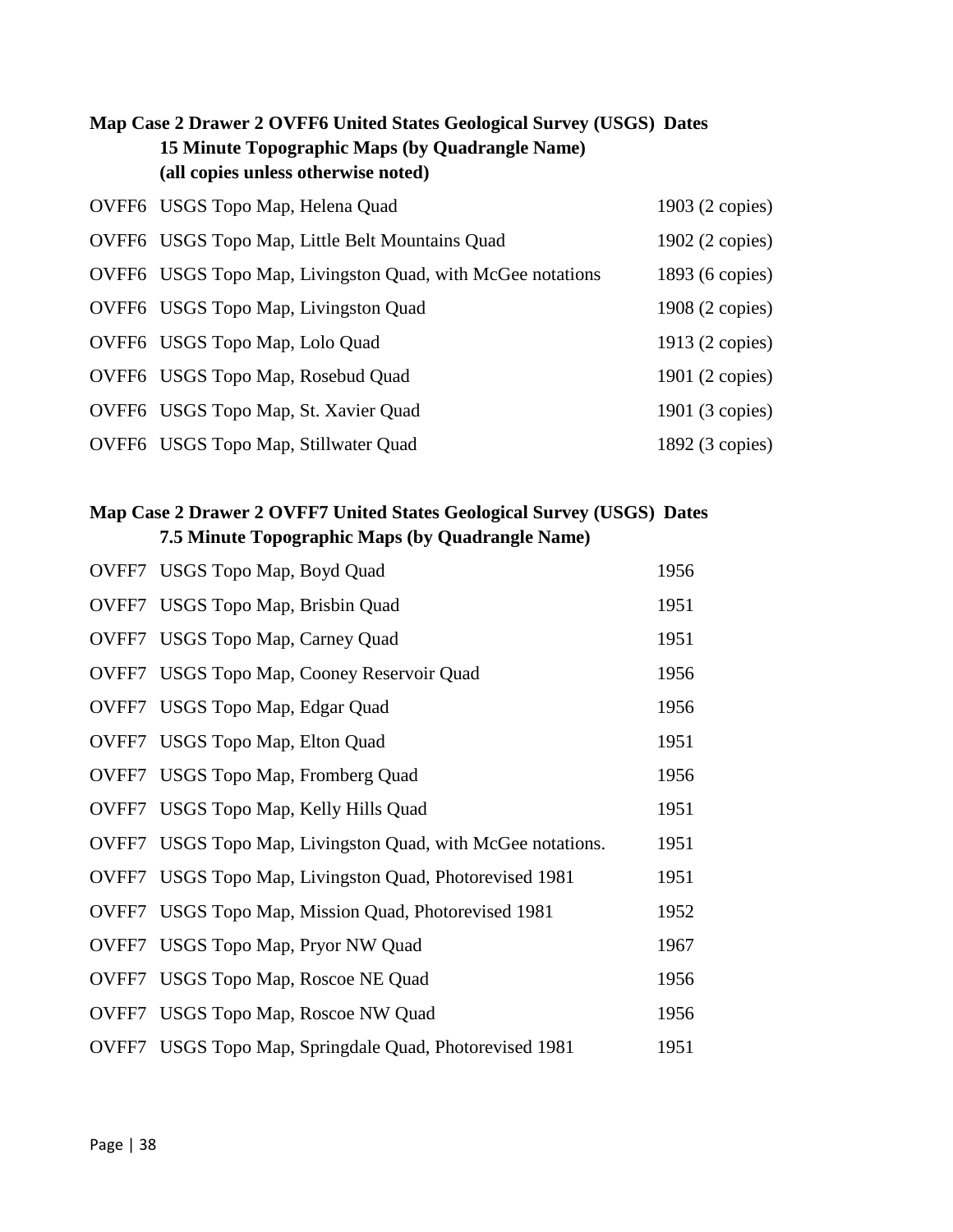## **Map Case 2 Drawer 2 OVFF6 United States Geological Survey (USGS) Dates 15 Minute Topographic Maps (by Quadrangle Name) (all copies unless otherwise noted)**

| OVFF6 USGS Topo Map, Helena Quad                           | 1903 (2 copies) |
|------------------------------------------------------------|-----------------|
| OVFF6 USGS Topo Map, Little Belt Mountains Quad            | 1902 (2 copies) |
| OVFF6 USGS Topo Map, Livingston Quad, with McGee notations | 1893 (6 copies) |
| OVFF6 USGS Topo Map, Livingston Quad                       | 1908 (2 copies) |
| OVFF6 USGS Topo Map, Lolo Quad                             | 1913 (2 copies) |
| OVFF6 USGS Topo Map, Rosebud Quad                          | 1901 (2 copies) |
| OVFF6 USGS Topo Map, St. Xavier Quad                       | 1901 (3 copies) |
| OVFF6 USGS Topo Map, Stillwater Quad                       | 1892 (3 copies) |

## **Map Case 2 Drawer 2 OVFF7 United States Geological Survey (USGS) Dates 7.5 Minute Topographic Maps (by Quadrangle Name)**

| OVFF7 USGS Topo Map, Boyd Quad                              | 1956 |
|-------------------------------------------------------------|------|
| OVFF7 USGS Topo Map, Brisbin Quad                           | 1951 |
| OVFF7 USGS Topo Map, Carney Quad                            | 1951 |
| OVFF7 USGS Topo Map, Cooney Reservoir Quad                  | 1956 |
| OVFF7 USGS Topo Map, Edgar Quad                             | 1956 |
| OVFF7 USGS Topo Map, Elton Quad                             | 1951 |
| OVFF7 USGS Topo Map, Fromberg Quad                          | 1956 |
| OVFF7 USGS Topo Map, Kelly Hills Quad                       | 1951 |
| OVFF7 USGS Topo Map, Livingston Quad, with McGee notations. | 1951 |
| OVFF7 USGS Topo Map, Livingston Quad, Photorevised 1981     | 1951 |
| OVFF7 USGS Topo Map, Mission Quad, Photorevised 1981        | 1952 |
| OVFF7 USGS Topo Map, Pryor NW Quad                          | 1967 |
| OVFF7 USGS Topo Map, Roscoe NE Quad                         | 1956 |
| OVFF7 USGS Topo Map, Roscoe NW Quad                         | 1956 |
| OVFF7 USGS Topo Map, Springdale Quad, Photorevised 1981     | 1951 |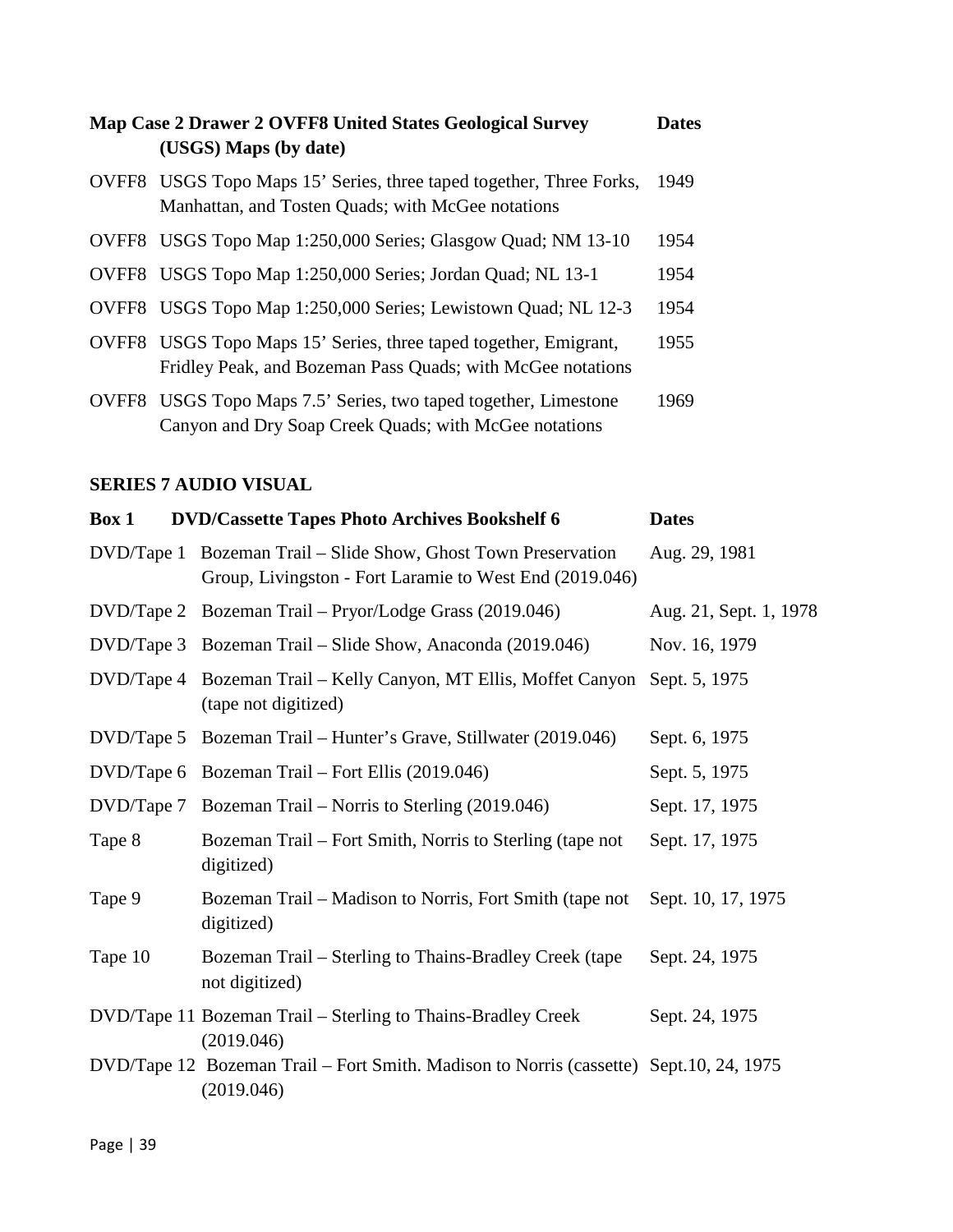| Map Case 2 Drawer 2 OVFF8 United States Geological Survey<br>(USGS) Maps (by date)                                             | <b>Dates</b> |
|--------------------------------------------------------------------------------------------------------------------------------|--------------|
| OVFF8 USGS Topo Maps 15' Series, three taped together, Three Forks,<br>Manhattan, and Tosten Quads; with McGee notations       | 1949         |
| OVFF8 USGS Topo Map 1:250,000 Series; Glasgow Quad; NM 13-10                                                                   | 1954         |
| OVFF8 USGS Topo Map 1:250,000 Series; Jordan Quad; NL 13-1                                                                     | 1954         |
| OVFF8 USGS Topo Map 1:250,000 Series; Lewistown Quad; NL 12-3                                                                  | 1954         |
| OVFF8 USGS Topo Maps 15' Series, three taped together, Emigrant,<br>Fridley Peak, and Bozeman Pass Quads; with McGee notations | 1955         |
| OVFF8 USGS Topo Maps 7.5' Series, two taped together, Limestone<br>Canyon and Dry Soap Creek Quads; with McGee notations       | 1969         |

## **SERIES 7 AUDIO VISUAL**

| Box 1      | <b>DVD/Cassette Tapes Photo Archives Bookshelf 6</b>                                                           | <b>Dates</b>           |
|------------|----------------------------------------------------------------------------------------------------------------|------------------------|
| DVD/Tape 1 | Bozeman Trail – Slide Show, Ghost Town Preservation<br>Group, Livingston - Fort Laramie to West End (2019.046) | Aug. 29, 1981          |
|            | DVD/Tape 2 Bozeman Trail – Pryor/Lodge Grass (2019.046)                                                        | Aug. 21, Sept. 1, 1978 |
|            | DVD/Tape 3 Bozeman Trail – Slide Show, Anaconda (2019.046)                                                     | Nov. 16, 1979          |
| DVD/Tape 4 | Bozeman Trail – Kelly Canyon, MT Ellis, Moffet Canyon Sept. 5, 1975<br>(tape not digitized)                    |                        |
|            | DVD/Tape 5 Bozeman Trail – Hunter's Grave, Stillwater (2019.046)                                               | Sept. 6, 1975          |
|            | DVD/Tape 6 Bozeman Trail – Fort Ellis (2019.046)                                                               | Sept. 5, 1975          |
| DVD/Tape 7 | Bozeman Trail – Norris to Sterling (2019.046)                                                                  | Sept. 17, 1975         |
| Tape 8     | Bozeman Trail – Fort Smith, Norris to Sterling (tape not<br>digitized)                                         | Sept. 17, 1975         |
| Tape 9     | Bozeman Trail – Madison to Norris, Fort Smith (tape not<br>digitized)                                          | Sept. 10, 17, 1975     |
| Tape 10    | Bozeman Trail – Sterling to Thains-Bradley Creek (tape<br>not digitized)                                       | Sept. 24, 1975         |
|            | DVD/Tape 11 Bozeman Trail – Sterling to Thains-Bradley Creek<br>(2019.046)                                     | Sept. 24, 1975         |
|            | DVD/Tape 12 Bozeman Trail – Fort Smith. Madison to Norris (cassette) Sept.10, 24, 1975<br>(2019.046)           |                        |
|            |                                                                                                                |                        |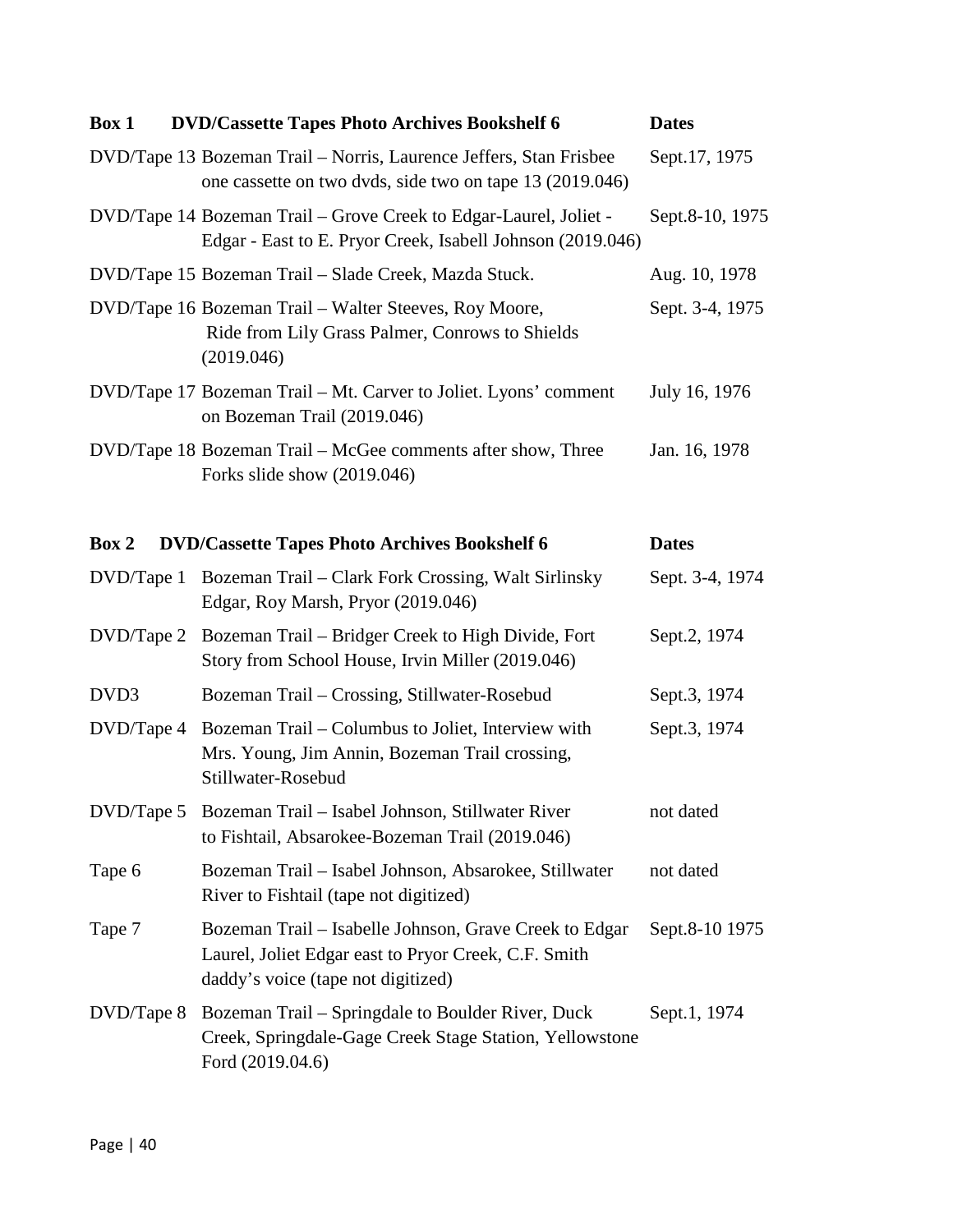| Box 1      | <b>DVD/Cassette Tapes Photo Archives Bookshelf 6</b>                                                                                                 | <b>Dates</b>    |
|------------|------------------------------------------------------------------------------------------------------------------------------------------------------|-----------------|
|            | DVD/Tape 13 Bozeman Trail – Norris, Laurence Jeffers, Stan Frisbee<br>one cassette on two dvds, side two on tape 13 (2019.046)                       | Sept.17, 1975   |
|            | DVD/Tape 14 Bozeman Trail – Grove Creek to Edgar-Laurel, Joliet -<br>Edgar - East to E. Pryor Creek, Isabell Johnson (2019.046)                      | Sept.8-10, 1975 |
|            | DVD/Tape 15 Bozeman Trail - Slade Creek, Mazda Stuck.                                                                                                | Aug. 10, 1978   |
|            | DVD/Tape 16 Bozeman Trail - Walter Steeves, Roy Moore,<br>Ride from Lily Grass Palmer, Conrows to Shields<br>(2019.046)                              | Sept. 3-4, 1975 |
|            | DVD/Tape 17 Bozeman Trail – Mt. Carver to Joliet. Lyons' comment<br>on Bozeman Trail (2019.046)                                                      | July 16, 1976   |
|            | DVD/Tape 18 Bozeman Trail – McGee comments after show, Three<br>Forks slide show $(2019.046)$                                                        | Jan. 16, 1978   |
| Box 2      | <b>DVD/Cassette Tapes Photo Archives Bookshelf 6</b>                                                                                                 | <b>Dates</b>    |
| DVD/Tape 1 | Bozeman Trail – Clark Fork Crossing, Walt Sirlinsky<br>Edgar, Roy Marsh, Pryor (2019.046)                                                            | Sept. 3-4, 1974 |
|            | DVD/Tape 2 Bozeman Trail – Bridger Creek to High Divide, Fort<br>Story from School House, Irvin Miller (2019.046)                                    | Sept.2, 1974    |
| DVD3       | Bozeman Trail – Crossing, Stillwater-Rosebud                                                                                                         | Sept.3, 1974    |
| DVD/Tape 4 | Bozeman Trail – Columbus to Joliet, Interview with<br>Mrs. Young, Jim Annin, Bozeman Trail crossing,<br>Stillwater-Rosebud                           | Sept.3, 1974    |
| DVD/Tape 5 | Bozeman Trail - Isabel Johnson, Stillwater River<br>to Fishtail, Absarokee-Bozeman Trail (2019.046)                                                  | not dated       |
| Tape 6     | Bozeman Trail - Isabel Johnson, Absarokee, Stillwater<br>River to Fishtail (tape not digitized)                                                      | not dated       |
| Tape 7     | Bozeman Trail – Isabelle Johnson, Grave Creek to Edgar<br>Laurel, Joliet Edgar east to Pryor Creek, C.F. Smith<br>daddy's voice (tape not digitized) | Sept.8-10 1975  |
|            | DVD/Tape 8 Bozeman Trail – Springdale to Boulder River, Duck<br>Creek, Springdale-Gage Creek Stage Station, Yellowstone<br>Ford (2019.04.6)          | Sept.1, 1974    |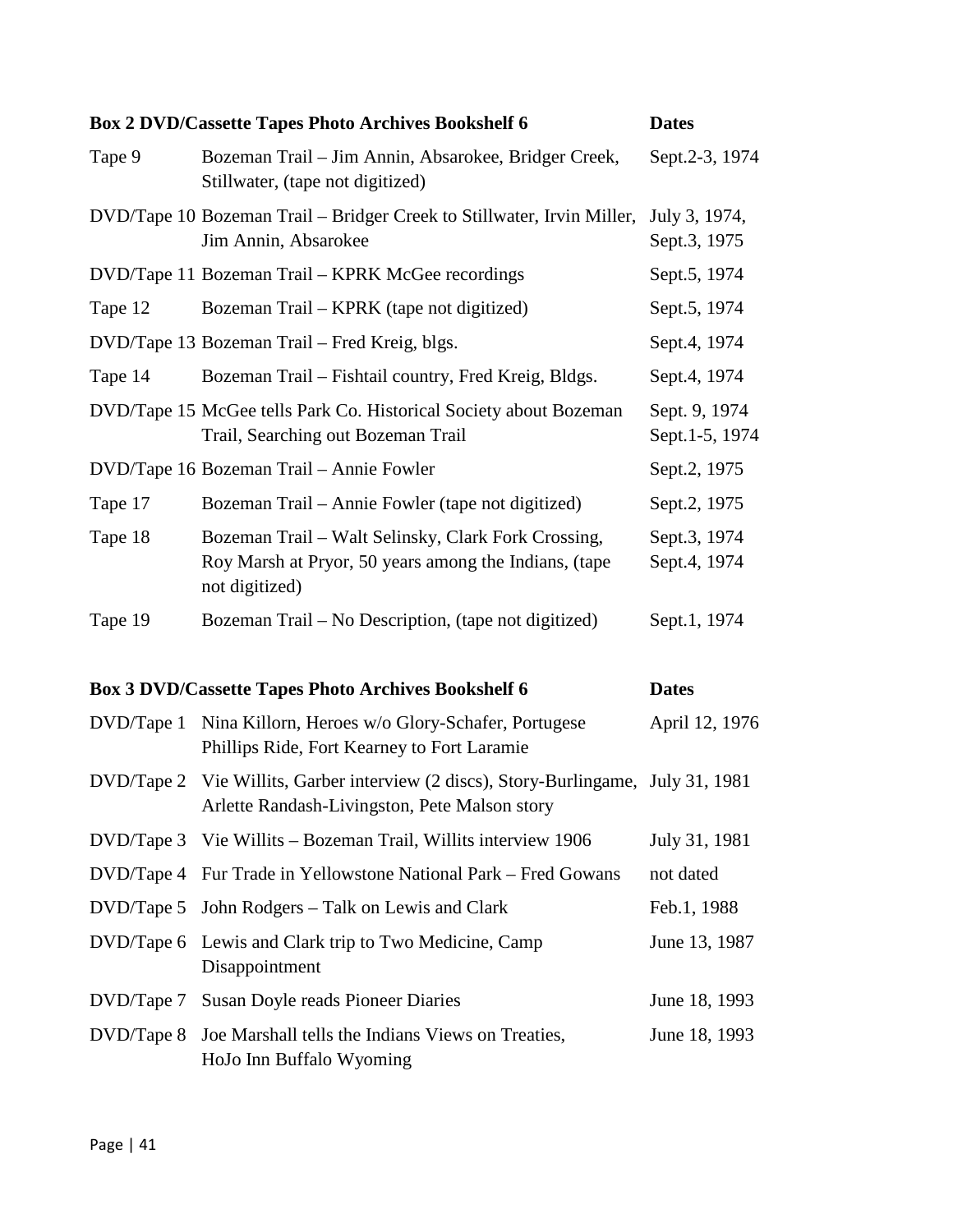|            | <b>Box 2 DVD/Cassette Tapes Photo Archives Bookshelf 6</b>                                                                           | <b>Dates</b>                    |
|------------|--------------------------------------------------------------------------------------------------------------------------------------|---------------------------------|
| Tape 9     | Bozeman Trail – Jim Annin, Absarokee, Bridger Creek,<br>Stillwater, (tape not digitized)                                             | Sept.2-3, 1974                  |
|            | DVD/Tape 10 Bozeman Trail – Bridger Creek to Stillwater, Irvin Miller,<br>Jim Annin, Absarokee                                       | July 3, 1974,<br>Sept.3, 1975   |
|            | DVD/Tape 11 Bozeman Trail - KPRK McGee recordings                                                                                    | Sept.5, 1974                    |
| Tape 12    | Bozeman Trail – KPRK (tape not digitized)                                                                                            | Sept.5, 1974                    |
|            | DVD/Tape 13 Bozeman Trail – Fred Kreig, blgs.                                                                                        | Sept.4, 1974                    |
| Tape 14    | Bozeman Trail – Fishtail country, Fred Kreig, Bldgs.                                                                                 | Sept.4, 1974                    |
|            | DVD/Tape 15 McGee tells Park Co. Historical Society about Bozeman<br>Trail, Searching out Bozeman Trail                              | Sept. 9, 1974<br>Sept.1-5, 1974 |
|            | DVD/Tape 16 Bozeman Trail - Annie Fowler                                                                                             | Sept.2, 1975                    |
| Tape 17    | Bozeman Trail – Annie Fowler (tape not digitized)                                                                                    | Sept.2, 1975                    |
| Tape 18    | Bozeman Trail – Walt Selinsky, Clark Fork Crossing,<br>Roy Marsh at Pryor, 50 years among the Indians, (tape<br>not digitized)       | Sept.3, 1974<br>Sept.4, 1974    |
| Tape 19    | Bozeman Trail – No Description, (tape not digitized)                                                                                 | Sept.1, 1974                    |
|            | <b>Box 3 DVD/Cassette Tapes Photo Archives Bookshelf 6</b>                                                                           | <b>Dates</b>                    |
| DVD/Tape 1 | Nina Killorn, Heroes w/o Glory-Schafer, Portugese<br>Phillips Ride, Fort Kearney to Fort Laramie                                     | April 12, 1976                  |
|            | DVD/Tape 2 Vie Willits, Garber interview (2 discs), Story-Burlingame, July 31, 1981<br>Arlette Randash-Livingston, Pete Malson story |                                 |
| DVD/Tape 3 | Vie Willits – Bozeman Trail, Willits interview 1906                                                                                  | July 31, 1981                   |
| DVD/Tape 4 | Fur Trade in Yellowstone National Park – Fred Gowans                                                                                 | not dated                       |
| DVD/Tape 5 | John Rodgers – Talk on Lewis and Clark                                                                                               | Feb.1, 1988                     |
| DVD/Tape 6 | Lewis and Clark trip to Two Medicine, Camp<br>Disappointment                                                                         | June 13, 1987                   |
| DVD/Tape 7 | Susan Doyle reads Pioneer Diaries                                                                                                    | June 18, 1993                   |
| DVD/Tape 8 | Joe Marshall tells the Indians Views on Treaties,<br>HoJo Inn Buffalo Wyoming                                                        | June 18, 1993                   |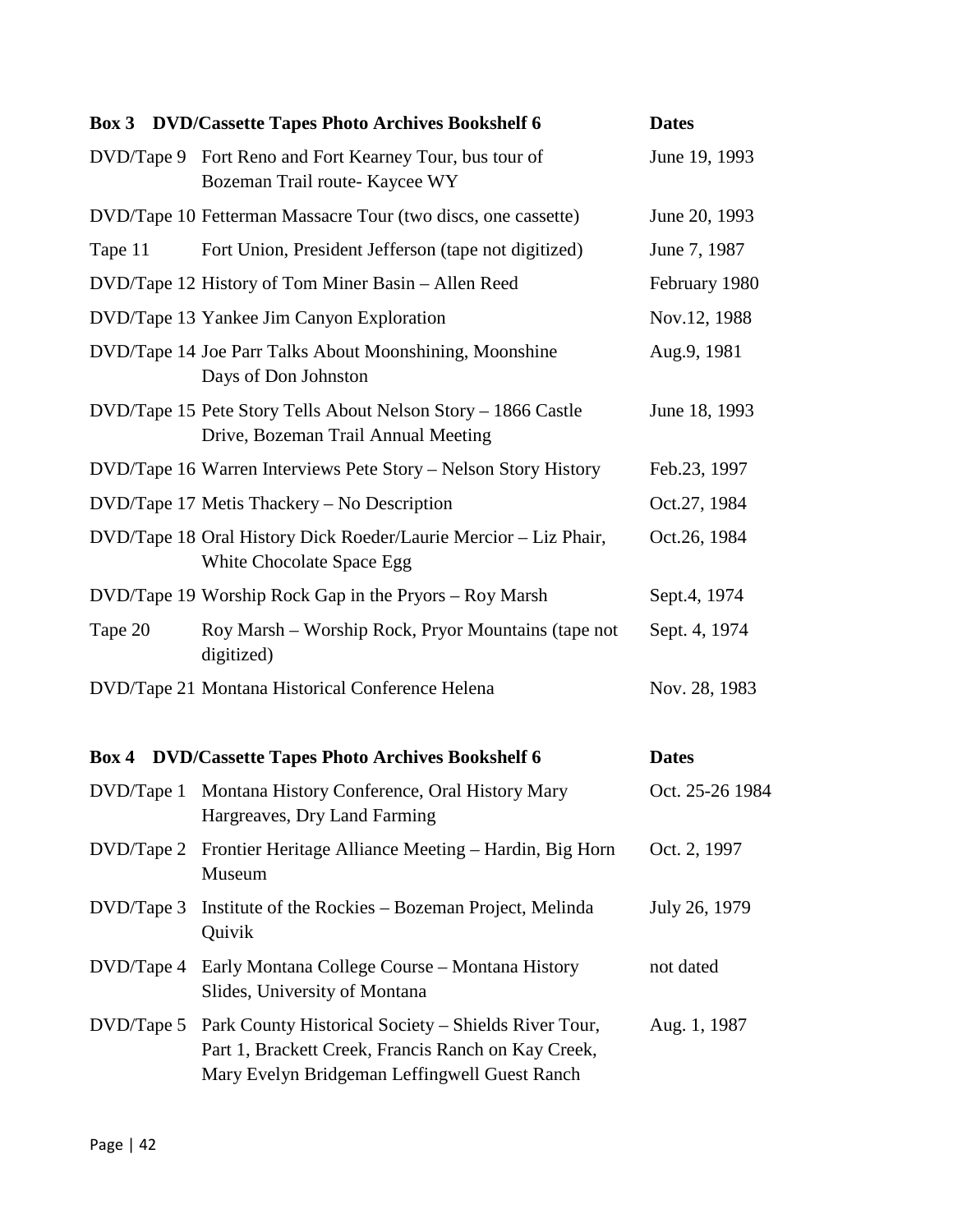|            | <b>Box 3</b> DVD/Cassette Tapes Photo Archives Bookshelf 6                                                                                                   | <b>Dates</b>    |
|------------|--------------------------------------------------------------------------------------------------------------------------------------------------------------|-----------------|
|            | DVD/Tape 9 Fort Reno and Fort Kearney Tour, bus tour of<br>Bozeman Trail route- Kaycee WY                                                                    | June 19, 1993   |
|            | DVD/Tape 10 Fetterman Massacre Tour (two discs, one cassette)                                                                                                | June 20, 1993   |
| Tape 11    | Fort Union, President Jefferson (tape not digitized)                                                                                                         | June 7, 1987    |
|            | DVD/Tape 12 History of Tom Miner Basin – Allen Reed                                                                                                          | February 1980   |
|            | DVD/Tape 13 Yankee Jim Canyon Exploration                                                                                                                    | Nov.12, 1988    |
|            | DVD/Tape 14 Joe Parr Talks About Moonshining, Moonshine<br>Days of Don Johnston                                                                              | Aug.9, 1981     |
|            | DVD/Tape 15 Pete Story Tells About Nelson Story – 1866 Castle<br>Drive, Bozeman Trail Annual Meeting                                                         | June 18, 1993   |
|            | DVD/Tape 16 Warren Interviews Pete Story – Nelson Story History                                                                                              | Feb.23, 1997    |
|            | DVD/Tape 17 Metis Thackery – No Description                                                                                                                  | Oct.27, 1984    |
|            | DVD/Tape 18 Oral History Dick Roeder/Laurie Mercior - Liz Phair,<br>White Chocolate Space Egg                                                                | Oct.26, 1984    |
|            | DVD/Tape 19 Worship Rock Gap in the Pryors – Roy Marsh                                                                                                       | Sept.4, 1974    |
| Tape 20    | Roy Marsh – Worship Rock, Pryor Mountains (tape not<br>digitized)                                                                                            | Sept. 4, 1974   |
|            | DVD/Tape 21 Montana Historical Conference Helena                                                                                                             | Nov. 28, 1983   |
|            | <b>Box 4 DVD/Cassette Tapes Photo Archives Bookshelf 6</b>                                                                                                   | <b>Dates</b>    |
|            | DVD/Tape 1 Montana History Conference, Oral History Mary<br>Hargreaves, Dry Land Farming                                                                     | Oct. 25-26 1984 |
| DVD/Tape 2 | Frontier Heritage Alliance Meeting – Hardin, Big Horn<br>Museum                                                                                              | Oct. 2, 1997    |
| DVD/Tape 3 | Institute of the Rockies - Bozeman Project, Melinda<br>Quivik                                                                                                | July 26, 1979   |
| DVD/Tape 4 | Early Montana College Course - Montana History<br>Slides, University of Montana                                                                              | not dated       |
| DVD/Tape 5 | Park County Historical Society – Shields River Tour,<br>Part 1, Brackett Creek, Francis Ranch on Kay Creek,<br>Mary Evelyn Bridgeman Leffingwell Guest Ranch | Aug. 1, 1987    |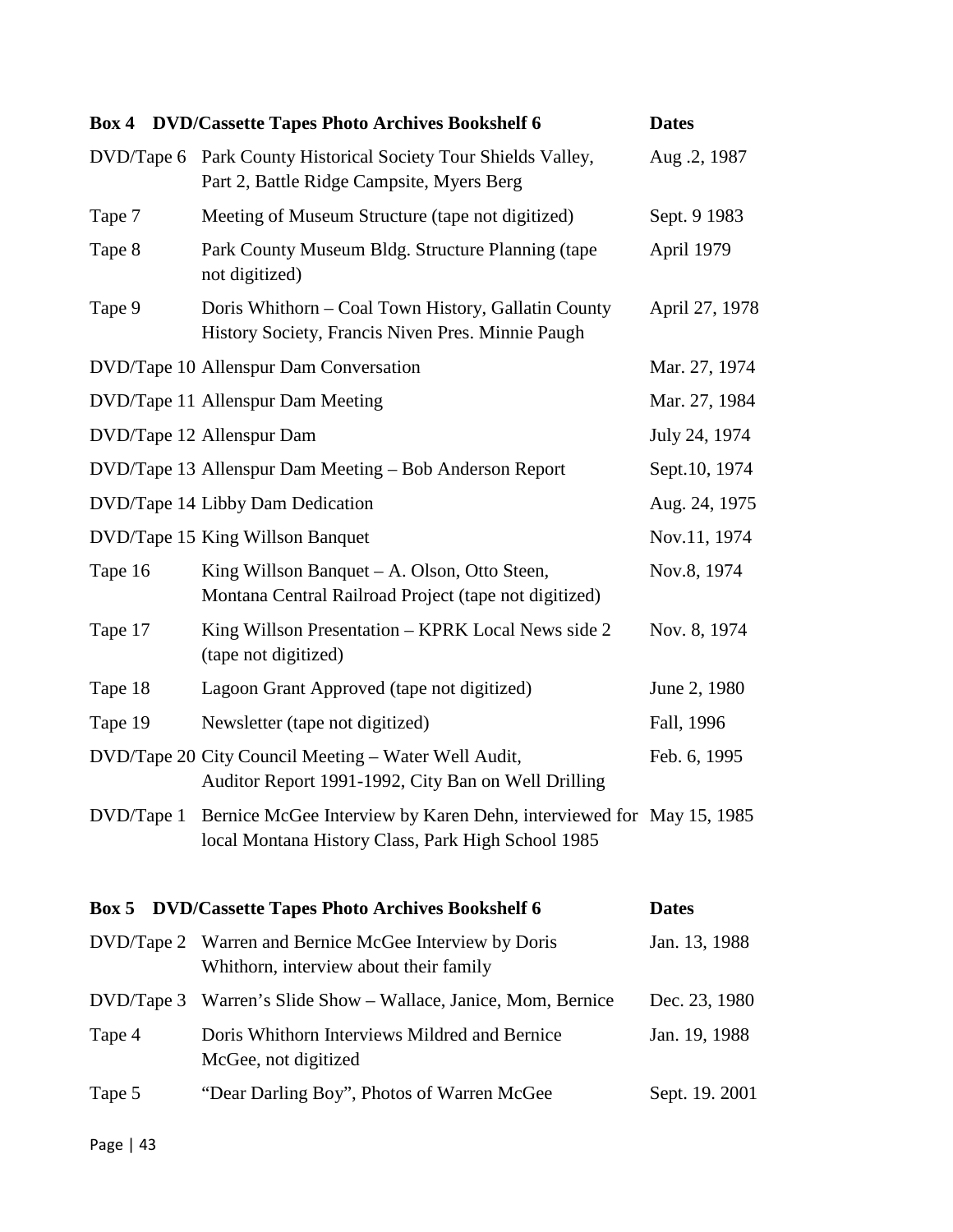|            | <b>Box 4 DVD/Cassette Tapes Photo Archives Bookshelf 6</b>                                                                | <b>Dates</b>   |
|------------|---------------------------------------------------------------------------------------------------------------------------|----------------|
|            | DVD/Tape 6 Park County Historical Society Tour Shields Valley,<br>Part 2, Battle Ridge Campsite, Myers Berg               | Aug. 2, 1987   |
| Tape 7     | Meeting of Museum Structure (tape not digitized)                                                                          | Sept. 9 1983   |
| Tape 8     | Park County Museum Bldg. Structure Planning (tape<br>not digitized)                                                       | April 1979     |
| Tape 9     | Doris Whithorn – Coal Town History, Gallatin County<br>History Society, Francis Niven Pres. Minnie Paugh                  | April 27, 1978 |
|            | DVD/Tape 10 Allenspur Dam Conversation                                                                                    | Mar. 27, 1974  |
|            | DVD/Tape 11 Allenspur Dam Meeting                                                                                         | Mar. 27, 1984  |
|            | DVD/Tape 12 Allenspur Dam                                                                                                 | July 24, 1974  |
|            | DVD/Tape 13 Allenspur Dam Meeting - Bob Anderson Report                                                                   | Sept.10, 1974  |
|            | DVD/Tape 14 Libby Dam Dedication                                                                                          | Aug. 24, 1975  |
|            | DVD/Tape 15 King Willson Banquet                                                                                          | Nov.11, 1974   |
| Tape 16    | King Willson Banquet – A. Olson, Otto Steen,<br>Montana Central Railroad Project (tape not digitized)                     | Nov.8, 1974    |
| Tape 17    | King Willson Presentation – KPRK Local News side 2<br>(tape not digitized)                                                | Nov. 8, 1974   |
| Tape 18    | Lagoon Grant Approved (tape not digitized)                                                                                | June 2, 1980   |
| Tape 19    | Newsletter (tape not digitized)                                                                                           | Fall, 1996     |
|            | DVD/Tape 20 City Council Meeting - Water Well Audit,<br>Auditor Report 1991-1992, City Ban on Well Drilling               | Feb. 6, 1995   |
| DVD/Tape 1 | Bernice McGee Interview by Karen Dehn, interviewed for May 15, 1985<br>local Montana History Class, Park High School 1985 |                |
| Box 5      | <b>DVD/Cassette Tapes Photo Archives Bookshelf 6</b>                                                                      | <b>Dates</b>   |
| DVD/Tape 2 | Warren and Bernice McGee Interview by Doris<br>Whithorn, interview about their family                                     | Jan. 13, 1988  |
| DVD/Tape 3 | Warren's Slide Show – Wallace, Janice, Mom, Bernice                                                                       | Dec. 23, 1980  |
| Tape 4     | Doris Whithorn Interviews Mildred and Bernice<br>McGee, not digitized                                                     | Jan. 19, 1988  |
| Tape 5     | "Dear Darling Boy", Photos of Warren McGee                                                                                | Sept. 19. 2001 |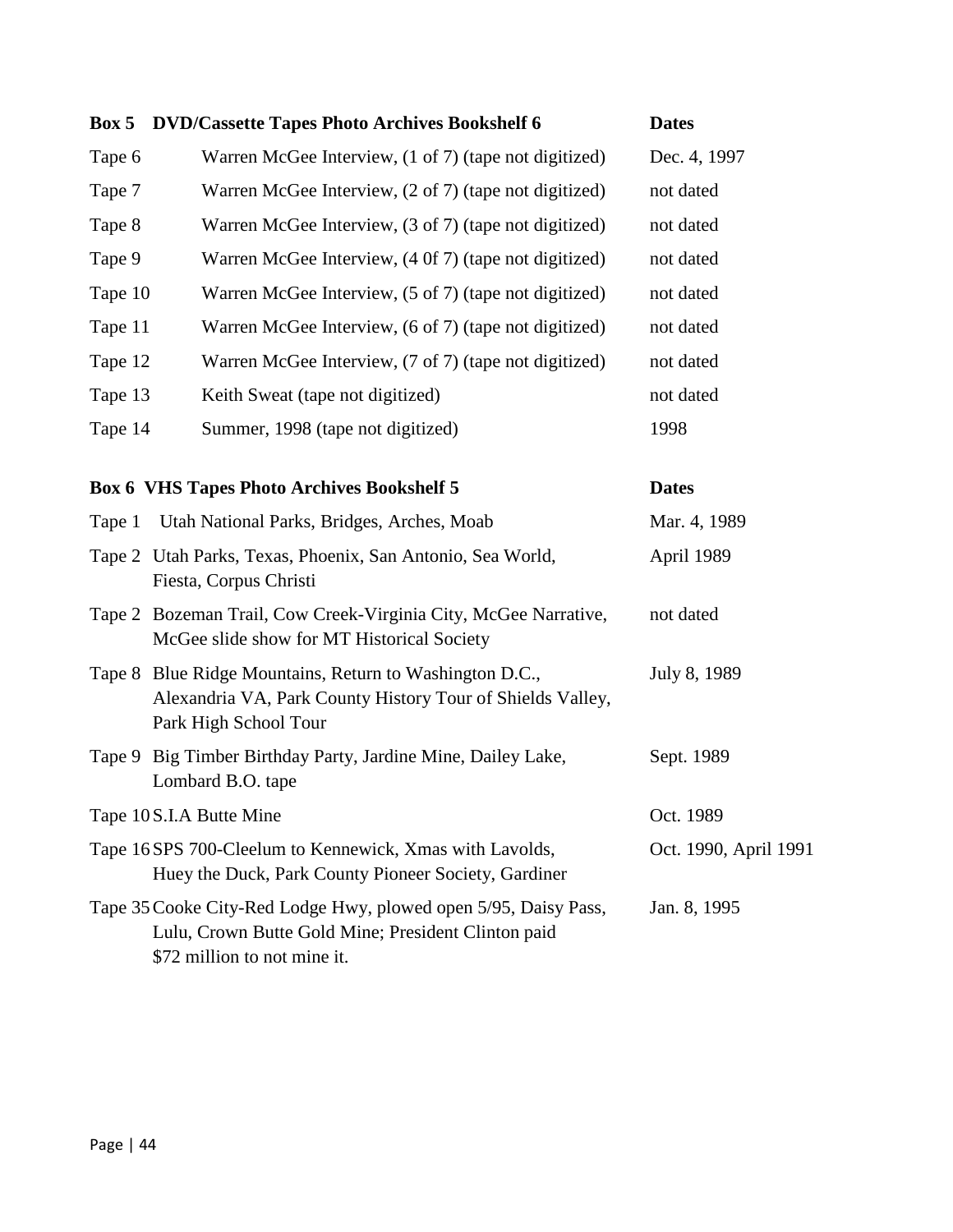| Box 5   | <b>DVD/Cassette Tapes Photo Archives Bookshelf 6</b>                                                                                                   | <b>Dates</b>          |
|---------|--------------------------------------------------------------------------------------------------------------------------------------------------------|-----------------------|
| Tape 6  | Warren McGee Interview, (1 of 7) (tape not digitized)                                                                                                  | Dec. 4, 1997          |
| Tape 7  | Warren McGee Interview, (2 of 7) (tape not digitized)                                                                                                  | not dated             |
| Tape 8  | Warren McGee Interview, (3 of 7) (tape not digitized)                                                                                                  | not dated             |
| Tape 9  | Warren McGee Interview, (4 0f 7) (tape not digitized)                                                                                                  | not dated             |
| Tape 10 | Warren McGee Interview, (5 of 7) (tape not digitized)                                                                                                  | not dated             |
| Tape 11 | Warren McGee Interview, (6 of 7) (tape not digitized)                                                                                                  | not dated             |
| Tape 12 | Warren McGee Interview, (7 of 7) (tape not digitized)                                                                                                  | not dated             |
| Tape 13 | Keith Sweat (tape not digitized)                                                                                                                       | not dated             |
| Tape 14 | Summer, 1998 (tape not digitized)                                                                                                                      | 1998                  |
|         | <b>Box 6 VHS Tapes Photo Archives Bookshelf 5</b>                                                                                                      | <b>Dates</b>          |
| Tape 1  | Utah National Parks, Bridges, Arches, Moab                                                                                                             | Mar. 4, 1989          |
|         | Tape 2 Utah Parks, Texas, Phoenix, San Antonio, Sea World,<br>Fiesta, Corpus Christi                                                                   | April 1989            |
|         | Tape 2 Bozeman Trail, Cow Creek-Virginia City, McGee Narrative,<br>McGee slide show for MT Historical Society                                          | not dated             |
|         | Tape 8 Blue Ridge Mountains, Return to Washington D.C.,<br>Alexandria VA, Park County History Tour of Shields Valley,<br>Park High School Tour         | July 8, 1989          |
|         | Tape 9 Big Timber Birthday Party, Jardine Mine, Dailey Lake,<br>Lombard B.O. tape                                                                      | Sept. 1989            |
|         | Tape 10 S.I.A Butte Mine                                                                                                                               | Oct. 1989             |
|         | Tape 16 SPS 700-Cleelum to Kennewick, Xmas with Lavolds,<br>Huey the Duck, Park County Pioneer Society, Gardiner                                       | Oct. 1990, April 1991 |
|         | Tape 35 Cooke City-Red Lodge Hwy, plowed open 5/95, Daisy Pass,<br>Lulu, Crown Butte Gold Mine; President Clinton paid<br>\$72 million to not mine it. | Jan. 8, 1995          |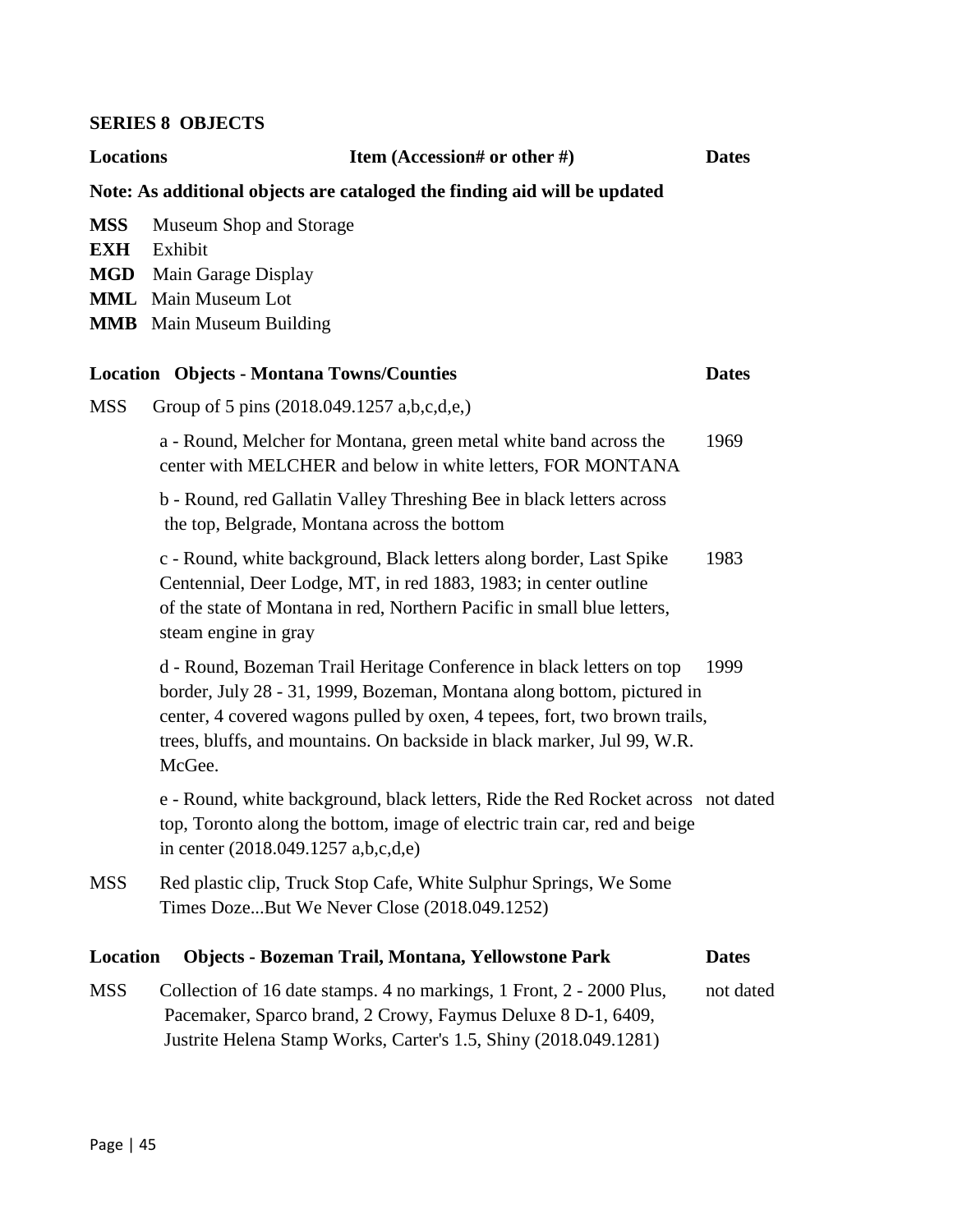## **SERIES 8 OBJECTS**

| <b>Locations</b>                                     | Item (Accession# or other #)                                                                                                                                                                                                                                                                                      | <b>Dates</b> |
|------------------------------------------------------|-------------------------------------------------------------------------------------------------------------------------------------------------------------------------------------------------------------------------------------------------------------------------------------------------------------------|--------------|
|                                                      | Note: As additional objects are cataloged the finding aid will be updated                                                                                                                                                                                                                                         |              |
| <b>MSS</b><br><b>EXH</b><br><b>MGD</b><br><b>MML</b> | <b>Museum Shop and Storage</b><br>Exhibit<br>Main Garage Display<br>Main Museum Lot<br><b>MMB</b> Main Museum Building                                                                                                                                                                                            |              |
|                                                      | <b>Location Objects - Montana Towns/Counties</b>                                                                                                                                                                                                                                                                  | <b>Dates</b> |
| <b>MSS</b>                                           | Group of 5 pins (2018.049.1257 a,b,c,d,e,)                                                                                                                                                                                                                                                                        |              |
|                                                      | a - Round, Melcher for Montana, green metal white band across the<br>center with MELCHER and below in white letters, FOR MONTANA                                                                                                                                                                                  | 1969         |
|                                                      | b - Round, red Gallatin Valley Threshing Bee in black letters across<br>the top, Belgrade, Montana across the bottom                                                                                                                                                                                              |              |
|                                                      | c - Round, white background, Black letters along border, Last Spike<br>Centennial, Deer Lodge, MT, in red 1883, 1983; in center outline<br>of the state of Montana in red, Northern Pacific in small blue letters,<br>steam engine in gray                                                                        | 1983         |
|                                                      | d - Round, Bozeman Trail Heritage Conference in black letters on top<br>border, July 28 - 31, 1999, Bozeman, Montana along bottom, pictured in<br>center, 4 covered wagons pulled by oxen, 4 tepees, fort, two brown trails,<br>trees, bluffs, and mountains. On backside in black marker, Jul 99, W.R.<br>McGee. | 1999         |
|                                                      | e - Round, white background, black letters, Ride the Red Rocket across not dated<br>top, Toronto along the bottom, image of electric train car, red and beige<br>in center $(2018.049.1257 a,b,c,d,e)$                                                                                                            |              |
| <b>MSS</b>                                           | Red plastic clip, Truck Stop Cafe, White Sulphur Springs, We Some<br>Times DozeBut We Never Close (2018.049.1252)                                                                                                                                                                                                 |              |
| Location                                             | <b>Objects - Bozeman Trail, Montana, Yellowstone Park</b>                                                                                                                                                                                                                                                         | <b>Dates</b> |
| <b>MSS</b>                                           | Collection of 16 date stamps. 4 no markings, 1 Front, 2 - 2000 Plus,<br>Pacemaker, Sparco brand, 2 Crowy, Faymus Deluxe 8 D-1, 6409,<br>Justrite Helena Stamp Works, Carter's 1.5, Shiny (2018.049.1281)                                                                                                          | not dated    |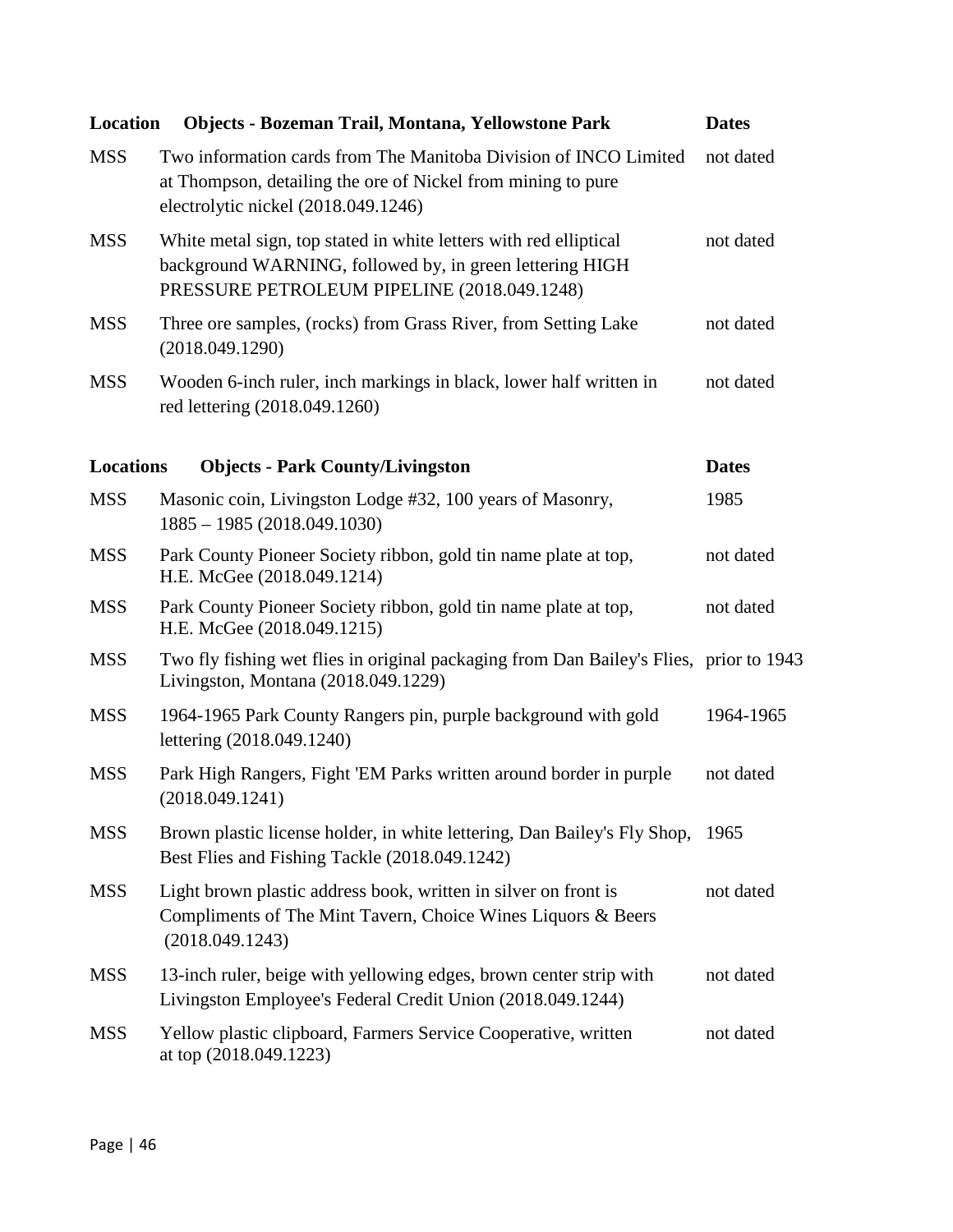| Location         | Objects - Bozeman Trail, Montana, Yellowstone Park                                                                                                                           | <b>Dates</b> |
|------------------|------------------------------------------------------------------------------------------------------------------------------------------------------------------------------|--------------|
| <b>MSS</b>       | Two information cards from The Manitoba Division of INCO Limited<br>at Thompson, detailing the ore of Nickel from mining to pure<br>electrolytic nickel (2018.049.1246)      | not dated    |
| <b>MSS</b>       | White metal sign, top stated in white letters with red elliptical<br>background WARNING, followed by, in green lettering HIGH<br>PRESSURE PETROLEUM PIPELINE (2018.049.1248) | not dated    |
| <b>MSS</b>       | Three ore samples, (rocks) from Grass River, from Setting Lake<br>(2018.049.1290)                                                                                            | not dated    |
| <b>MSS</b>       | Wooden 6-inch ruler, inch markings in black, lower half written in<br>red lettering (2018.049.1260)                                                                          | not dated    |
| <b>Locations</b> | <b>Objects - Park County/Livingston</b>                                                                                                                                      | <b>Dates</b> |
| <b>MSS</b>       | Masonic coin, Livingston Lodge #32, 100 years of Masonry,<br>$1885 - 1985(2018.049.1030)$                                                                                    | 1985         |
| <b>MSS</b>       | Park County Pioneer Society ribbon, gold tin name plate at top,<br>H.E. McGee (2018.049.1214)                                                                                | not dated    |
| <b>MSS</b>       | Park County Pioneer Society ribbon, gold tin name plate at top,<br>H.E. McGee (2018.049.1215)                                                                                | not dated    |
| <b>MSS</b>       | Two fly fishing wet flies in original packaging from Dan Bailey's Flies, prior to 1943<br>Livingston, Montana (2018.049.1229)                                                |              |
| <b>MSS</b>       | 1964-1965 Park County Rangers pin, purple background with gold<br>lettering (2018.049.1240)                                                                                  | 1964-1965    |
| <b>MSS</b>       | Park High Rangers, Fight 'EM Parks written around border in purple<br>(2018.049.1241)                                                                                        | not dated    |
| <b>MSS</b>       | Brown plastic license holder, in white lettering, Dan Bailey's Fly Shop,<br>Best Flies and Fishing Tackle (2018.049.1242)                                                    | 1965         |
| <b>MSS</b>       | Light brown plastic address book, written in silver on front is<br>Compliments of The Mint Tavern, Choice Wines Liquors & Beers<br>(2018.049.1243)                           | not dated    |
| <b>MSS</b>       | 13-inch ruler, beige with yellowing edges, brown center strip with<br>Livingston Employee's Federal Credit Union (2018.049.1244)                                             | not dated    |
| <b>MSS</b>       | Yellow plastic clipboard, Farmers Service Cooperative, written<br>at top (2018.049.1223)                                                                                     | not dated    |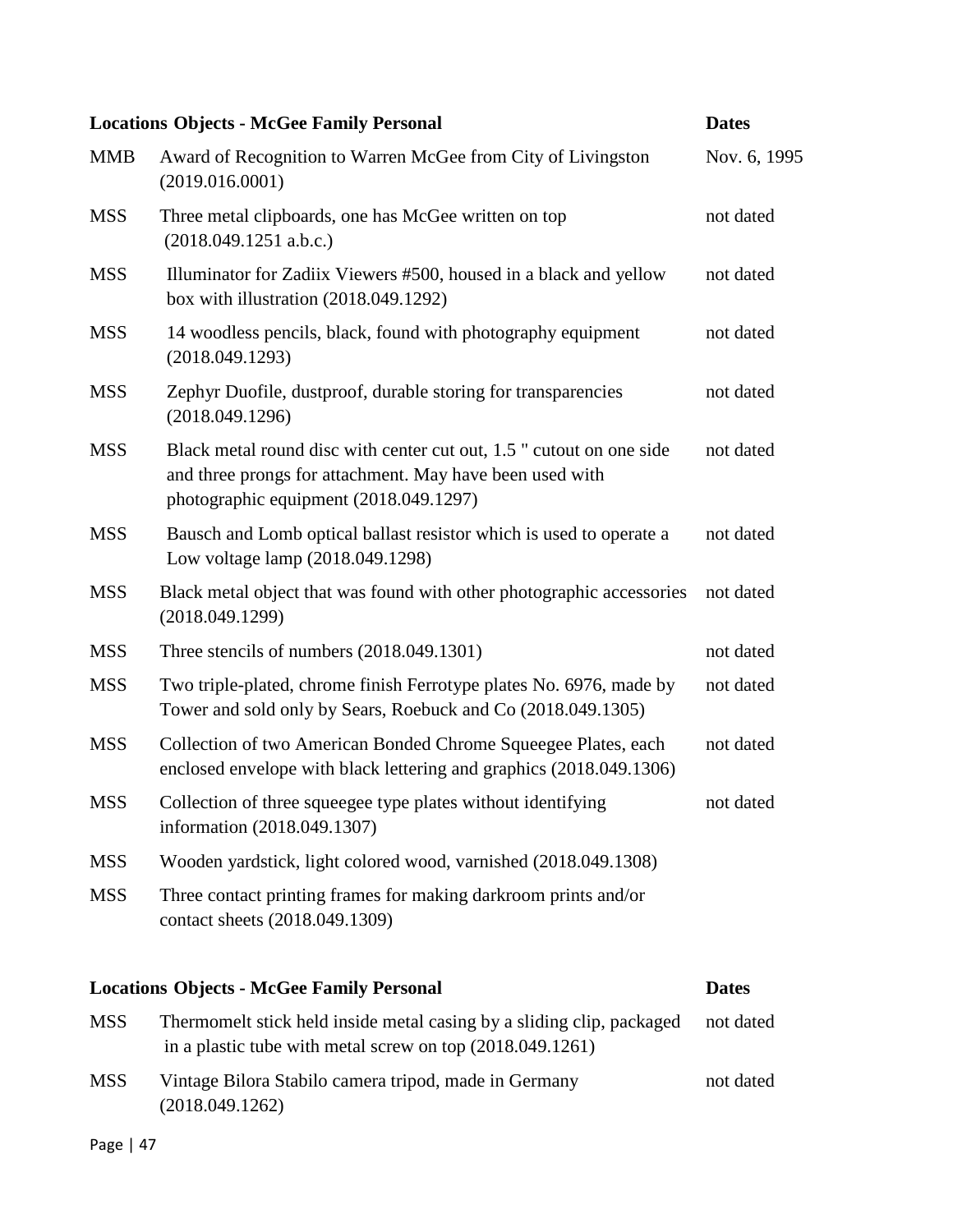|            | <b>Locations Objects - McGee Family Personal</b>                                                                                                                           | <b>Dates</b> |
|------------|----------------------------------------------------------------------------------------------------------------------------------------------------------------------------|--------------|
| <b>MMB</b> | Award of Recognition to Warren McGee from City of Livingston<br>(2019.016.0001)                                                                                            | Nov. 6, 1995 |
| <b>MSS</b> | Three metal clipboards, one has McGee written on top<br>(2018.049.1251 a.b.c.)                                                                                             | not dated    |
| <b>MSS</b> | Illuminator for Zadiix Viewers #500, housed in a black and yellow<br>box with illustration $(2018.049.1292)$                                                               | not dated    |
| <b>MSS</b> | 14 woodless pencils, black, found with photography equipment<br>(2018.049.1293)                                                                                            | not dated    |
| <b>MSS</b> | Zephyr Duofile, dustproof, durable storing for transparencies<br>(2018.049.1296)                                                                                           | not dated    |
| <b>MSS</b> | Black metal round disc with center cut out, 1.5 " cutout on one side<br>and three prongs for attachment. May have been used with<br>photographic equipment (2018.049.1297) | not dated    |
| <b>MSS</b> | Bausch and Lomb optical ballast resistor which is used to operate a<br>Low voltage lamp (2018.049.1298)                                                                    | not dated    |
| <b>MSS</b> | Black metal object that was found with other photographic accessories<br>(2018.049.1299)                                                                                   | not dated    |
| <b>MSS</b> | Three stencils of numbers (2018.049.1301)                                                                                                                                  | not dated    |
| <b>MSS</b> | Two triple-plated, chrome finish Ferrotype plates No. 6976, made by<br>Tower and sold only by Sears, Roebuck and Co (2018.049.1305)                                        | not dated    |
| <b>MSS</b> | Collection of two American Bonded Chrome Squeegee Plates, each<br>enclosed envelope with black lettering and graphics (2018.049.1306)                                      | not dated    |
| <b>MSS</b> | Collection of three squeegee type plates without identifying<br>information (2018.049.1307)                                                                                | not dated    |
| <b>MSS</b> | Wooden yardstick, light colored wood, varnished (2018.049.1308)                                                                                                            |              |
| <b>MSS</b> | Three contact printing frames for making darkroom prints and/or<br>contact sheets (2018.049.1309)                                                                          |              |
|            | <b>Locations Objects - McGee Family Personal</b>                                                                                                                           | <b>Dates</b> |
| <b>MSS</b> | Thermomelt stick held inside metal casing by a sliding clip, packaged<br>in a plastic tube with metal screw on top (2018.049.1261)                                         | not dated    |
| <b>MSS</b> | Vintage Bilora Stabilo camera tripod, made in Germany<br>(2018.049.1262)                                                                                                   | not dated    |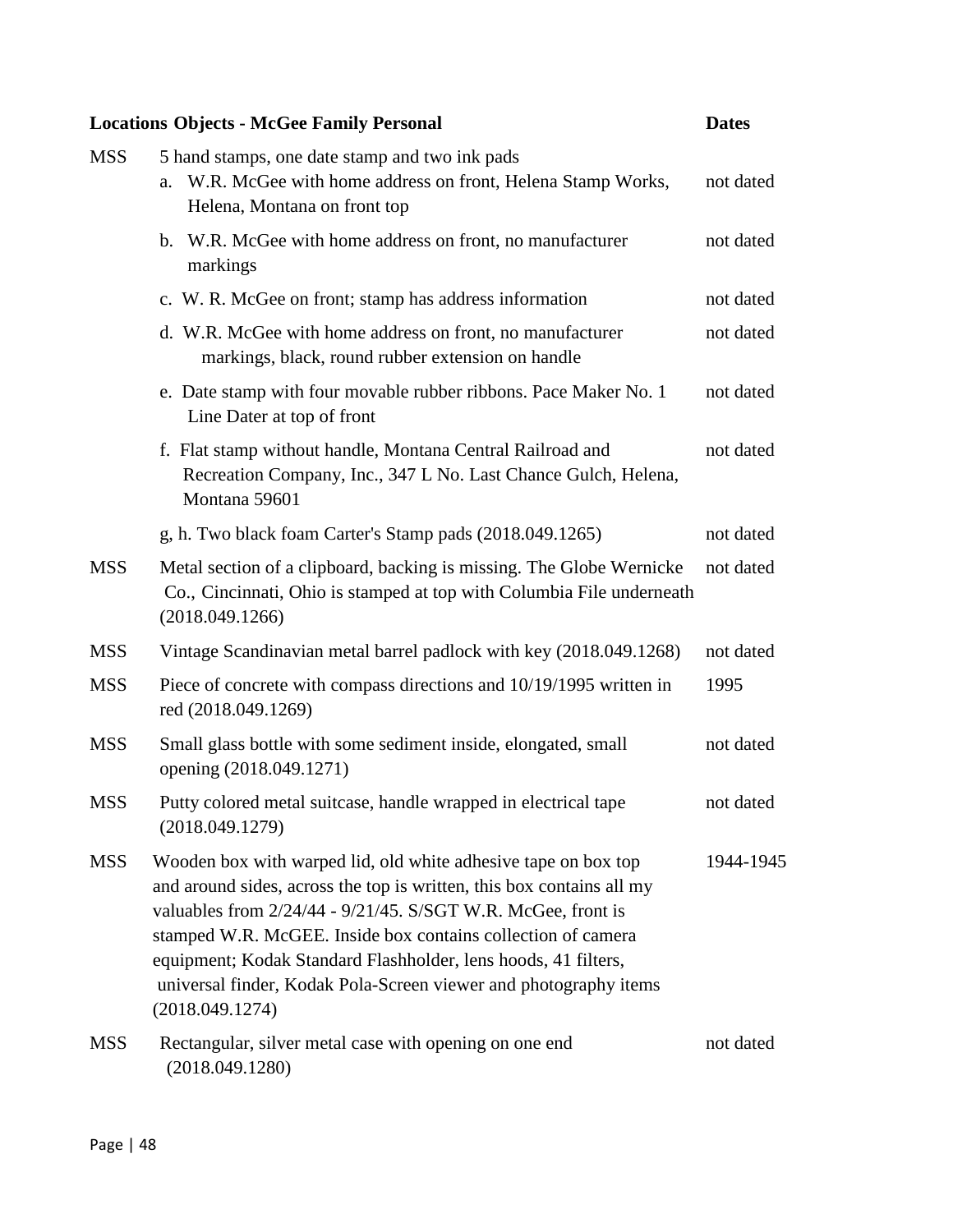## **Locations Objects - McGee Family Personal Dates**

| <b>MSS</b> | 5 hand stamps, one date stamp and two ink pads<br>W.R. McGee with home address on front, Helena Stamp Works,<br>a.<br>Helena, Montana on front top                                                                                                                                                                                                                                                                               | not dated |
|------------|----------------------------------------------------------------------------------------------------------------------------------------------------------------------------------------------------------------------------------------------------------------------------------------------------------------------------------------------------------------------------------------------------------------------------------|-----------|
|            | b. W.R. McGee with home address on front, no manufacturer<br>markings                                                                                                                                                                                                                                                                                                                                                            | not dated |
|            | c. W. R. McGee on front; stamp has address information                                                                                                                                                                                                                                                                                                                                                                           | not dated |
|            | d. W.R. McGee with home address on front, no manufacturer<br>markings, black, round rubber extension on handle                                                                                                                                                                                                                                                                                                                   | not dated |
|            | e. Date stamp with four movable rubber ribbons. Pace Maker No. 1<br>Line Dater at top of front                                                                                                                                                                                                                                                                                                                                   | not dated |
|            | f. Flat stamp without handle, Montana Central Railroad and<br>Recreation Company, Inc., 347 L No. Last Chance Gulch, Helena,<br>Montana 59601                                                                                                                                                                                                                                                                                    | not dated |
|            | g, h. Two black foam Carter's Stamp pads (2018.049.1265)                                                                                                                                                                                                                                                                                                                                                                         | not dated |
| <b>MSS</b> | Metal section of a clipboard, backing is missing. The Globe Wernicke<br>Co., Cincinnati, Ohio is stamped at top with Columbia File underneath<br>(2018.049.1266)                                                                                                                                                                                                                                                                 | not dated |
| <b>MSS</b> | Vintage Scandinavian metal barrel padlock with key (2018.049.1268)                                                                                                                                                                                                                                                                                                                                                               | not dated |
| <b>MSS</b> | Piece of concrete with compass directions and 10/19/1995 written in<br>red (2018.049.1269)                                                                                                                                                                                                                                                                                                                                       | 1995      |
| <b>MSS</b> | Small glass bottle with some sediment inside, elongated, small<br>opening (2018.049.1271)                                                                                                                                                                                                                                                                                                                                        | not dated |
| <b>MSS</b> | Putty colored metal suitcase, handle wrapped in electrical tape<br>(2018.049.1279)                                                                                                                                                                                                                                                                                                                                               | not dated |
| <b>MSS</b> | Wooden box with warped lid, old white adhesive tape on box top<br>and around sides, across the top is written, this box contains all my<br>valuables from 2/24/44 - 9/21/45. S/SGT W.R. McGee, front is<br>stamped W.R. McGEE. Inside box contains collection of camera<br>equipment; Kodak Standard Flashholder, lens hoods, 41 filters,<br>universal finder, Kodak Pola-Screen viewer and photography items<br>(2018.049.1274) | 1944-1945 |
| <b>MSS</b> | Rectangular, silver metal case with opening on one end<br>(2018.049.1280)                                                                                                                                                                                                                                                                                                                                                        | not dated |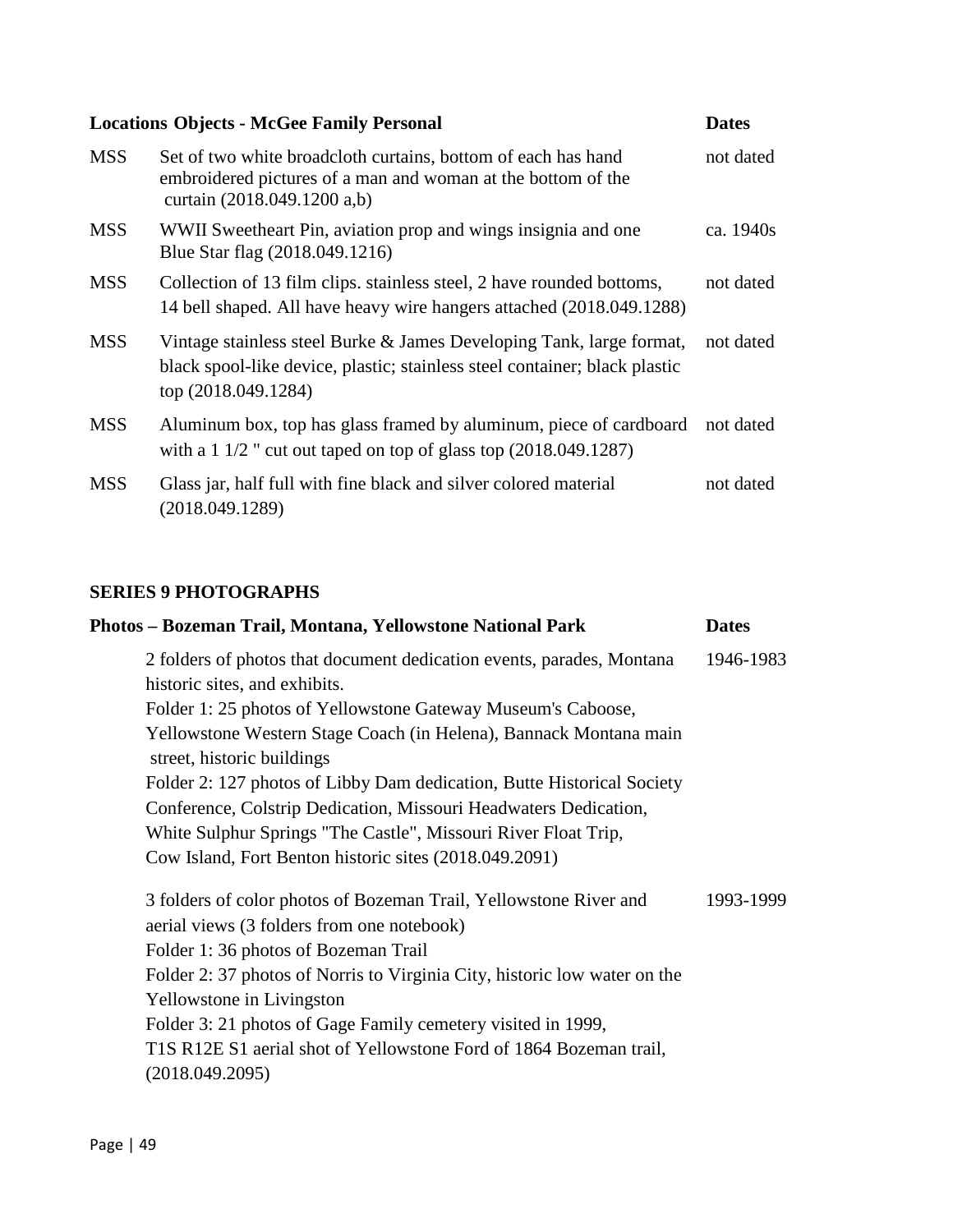|            | <b>Locations Objects - McGee Family Personal</b>                                                                                                                          | <b>Dates</b> |
|------------|---------------------------------------------------------------------------------------------------------------------------------------------------------------------------|--------------|
| <b>MSS</b> | Set of two white broadcloth curtains, bottom of each has hand<br>embroidered pictures of a man and woman at the bottom of the<br>curtain (2018.049.1200 a,b)              | not dated    |
| <b>MSS</b> | WWII Sweetheart Pin, aviation prop and wings insignia and one<br>Blue Star flag (2018.049.1216)                                                                           | ca. 1940s    |
| <b>MSS</b> | Collection of 13 film clips. stainless steel, 2 have rounded bottoms,<br>14 bell shaped. All have heavy wire hangers attached (2018.049.1288)                             | not dated    |
| <b>MSS</b> | Vintage stainless steel Burke & James Developing Tank, large format,<br>black spool-like device, plastic; stainless steel container; black plastic<br>top (2018.049.1284) | not dated    |
| <b>MSS</b> | Aluminum box, top has glass framed by aluminum, piece of cardboard<br>with a 1 $1/2$ " cut out taped on top of glass top $(2018.049.1287)$                                | not dated    |
| <b>MSS</b> | Glass jar, half full with fine black and silver colored material<br>(2018.049.1289)                                                                                       | not dated    |

## **SERIES 9 PHOTOGRAPHS**

| Photos – Bozeman Trail, Montana, Yellowstone National Park                                                      | <b>Dates</b> |
|-----------------------------------------------------------------------------------------------------------------|--------------|
| 2 folders of photos that document dedication events, parades, Montana<br>historic sites, and exhibits.          | 1946-1983    |
| Folder 1: 25 photos of Yellowstone Gateway Museum's Caboose,                                                    |              |
| Yellowstone Western Stage Coach (in Helena), Bannack Montana main<br>street, historic buildings                 |              |
| Folder 2: 127 photos of Libby Dam dedication, Butte Historical Society                                          |              |
| Conference, Colstrip Dedication, Missouri Headwaters Dedication,                                                |              |
| White Sulphur Springs "The Castle", Missouri River Float Trip,                                                  |              |
| Cow Island, Fort Benton historic sites (2018.049.2091)                                                          |              |
| 3 folders of color photos of Bozeman Trail, Yellowstone River and<br>aerial views (3 folders from one notebook) | 1993-1999    |
| Folder 1:36 photos of Bozeman Trail                                                                             |              |
| Folder 2: 37 photos of Norris to Virginia City, historic low water on the                                       |              |
| Yellowstone in Livingston                                                                                       |              |
| Folder 3: 21 photos of Gage Family cemetery visited in 1999,                                                    |              |
| T1S R12E S1 aerial shot of Yellowstone Ford of 1864 Bozeman trail,<br>(2018.049.2095)                           |              |
|                                                                                                                 |              |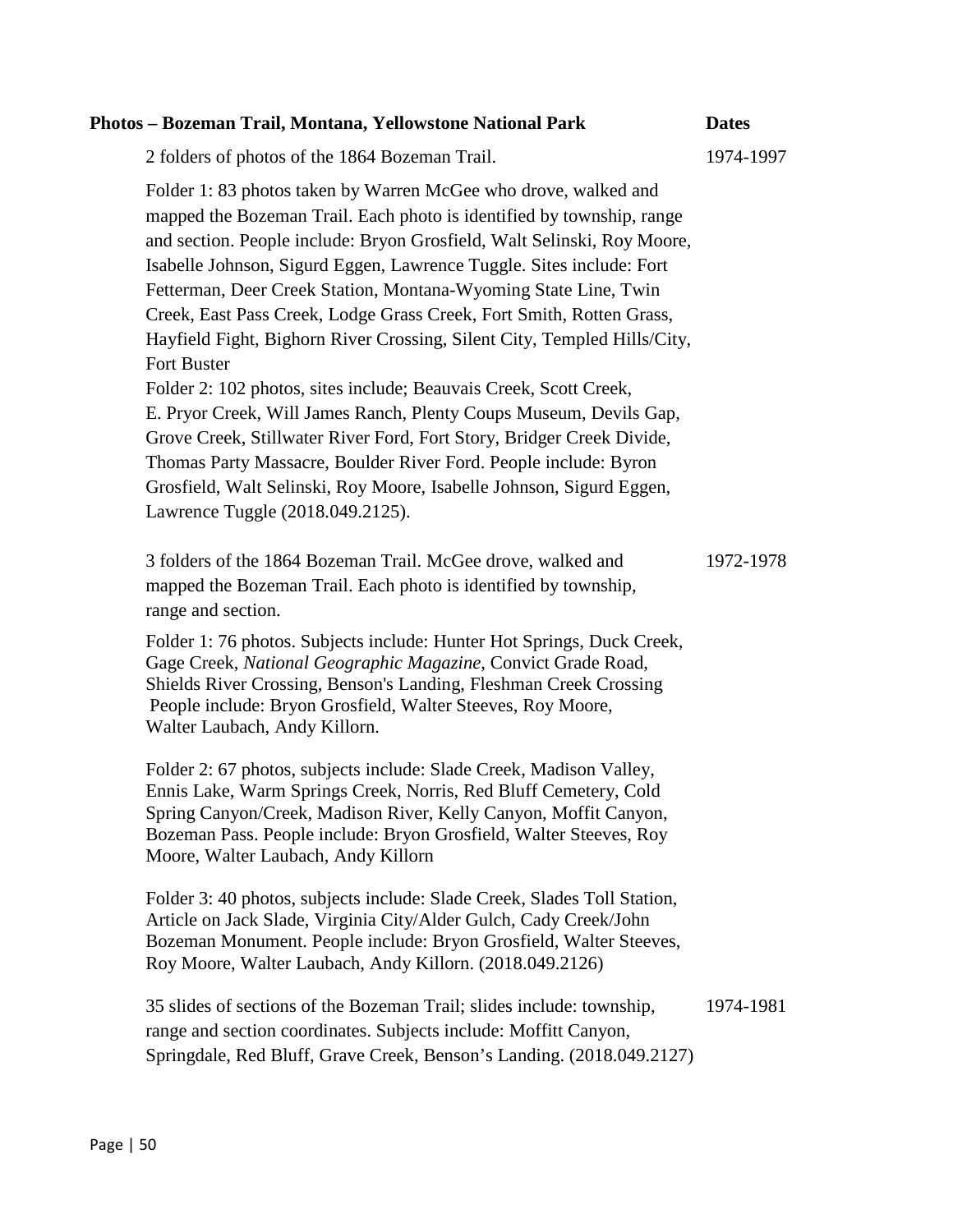| Photos – Bozeman Trail, Montana, Yellowstone National Park                                                                                                                                                                                                                                                                                                                                                                                                                                                                        | <b>Dates</b> |
|-----------------------------------------------------------------------------------------------------------------------------------------------------------------------------------------------------------------------------------------------------------------------------------------------------------------------------------------------------------------------------------------------------------------------------------------------------------------------------------------------------------------------------------|--------------|
| 2 folders of photos of the 1864 Bozeman Trail.                                                                                                                                                                                                                                                                                                                                                                                                                                                                                    | 1974-1997    |
| Folder 1: 83 photos taken by Warren McGee who drove, walked and<br>mapped the Bozeman Trail. Each photo is identified by township, range<br>and section. People include: Bryon Grosfield, Walt Selinski, Roy Moore,<br>Isabelle Johnson, Sigurd Eggen, Lawrence Tuggle. Sites include: Fort<br>Fetterman, Deer Creek Station, Montana-Wyoming State Line, Twin<br>Creek, East Pass Creek, Lodge Grass Creek, Fort Smith, Rotten Grass,<br>Hayfield Fight, Bighorn River Crossing, Silent City, Templed Hills/City,<br>Fort Buster |              |
| Folder 2: 102 photos, sites include; Beauvais Creek, Scott Creek,<br>E. Pryor Creek, Will James Ranch, Plenty Coups Museum, Devils Gap,<br>Grove Creek, Stillwater River Ford, Fort Story, Bridger Creek Divide,<br>Thomas Party Massacre, Boulder River Ford. People include: Byron<br>Grosfield, Walt Selinski, Roy Moore, Isabelle Johnson, Sigurd Eggen,<br>Lawrence Tuggle (2018.049.2125).                                                                                                                                  |              |
| 3 folders of the 1864 Bozeman Trail. McGee drove, walked and<br>mapped the Bozeman Trail. Each photo is identified by township,<br>range and section.                                                                                                                                                                                                                                                                                                                                                                             | 1972-1978    |
| Folder 1: 76 photos. Subjects include: Hunter Hot Springs, Duck Creek,<br>Gage Creek, National Geographic Magazine, Convict Grade Road,<br>Shields River Crossing, Benson's Landing, Fleshman Creek Crossing<br>People include: Bryon Grosfield, Walter Steeves, Roy Moore,<br>Walter Laubach, Andy Killorn.                                                                                                                                                                                                                      |              |
| Folder 2: 67 photos, subjects include: Slade Creek, Madison Valley,<br>Ennis Lake, Warm Springs Creek, Norris, Red Bluff Cemetery, Cold<br>Spring Canyon/Creek, Madison River, Kelly Canyon, Moffit Canyon,<br>Bozeman Pass. People include: Bryon Grosfield, Walter Steeves, Roy<br>Moore, Walter Laubach, Andy Killorn                                                                                                                                                                                                          |              |
| Folder 3: 40 photos, subjects include: Slade Creek, Slades Toll Station,<br>Article on Jack Slade, Virginia City/Alder Gulch, Cady Creek/John<br>Bozeman Monument. People include: Bryon Grosfield, Walter Steeves,<br>Roy Moore, Walter Laubach, Andy Killorn. (2018.049.2126)                                                                                                                                                                                                                                                   |              |
| 35 slides of sections of the Bozeman Trail; slides include: township,<br>range and section coordinates. Subjects include: Moffitt Canyon,<br>Springdale, Red Bluff, Grave Creek, Benson's Landing. (2018.049.2127)                                                                                                                                                                                                                                                                                                                | 1974-1981    |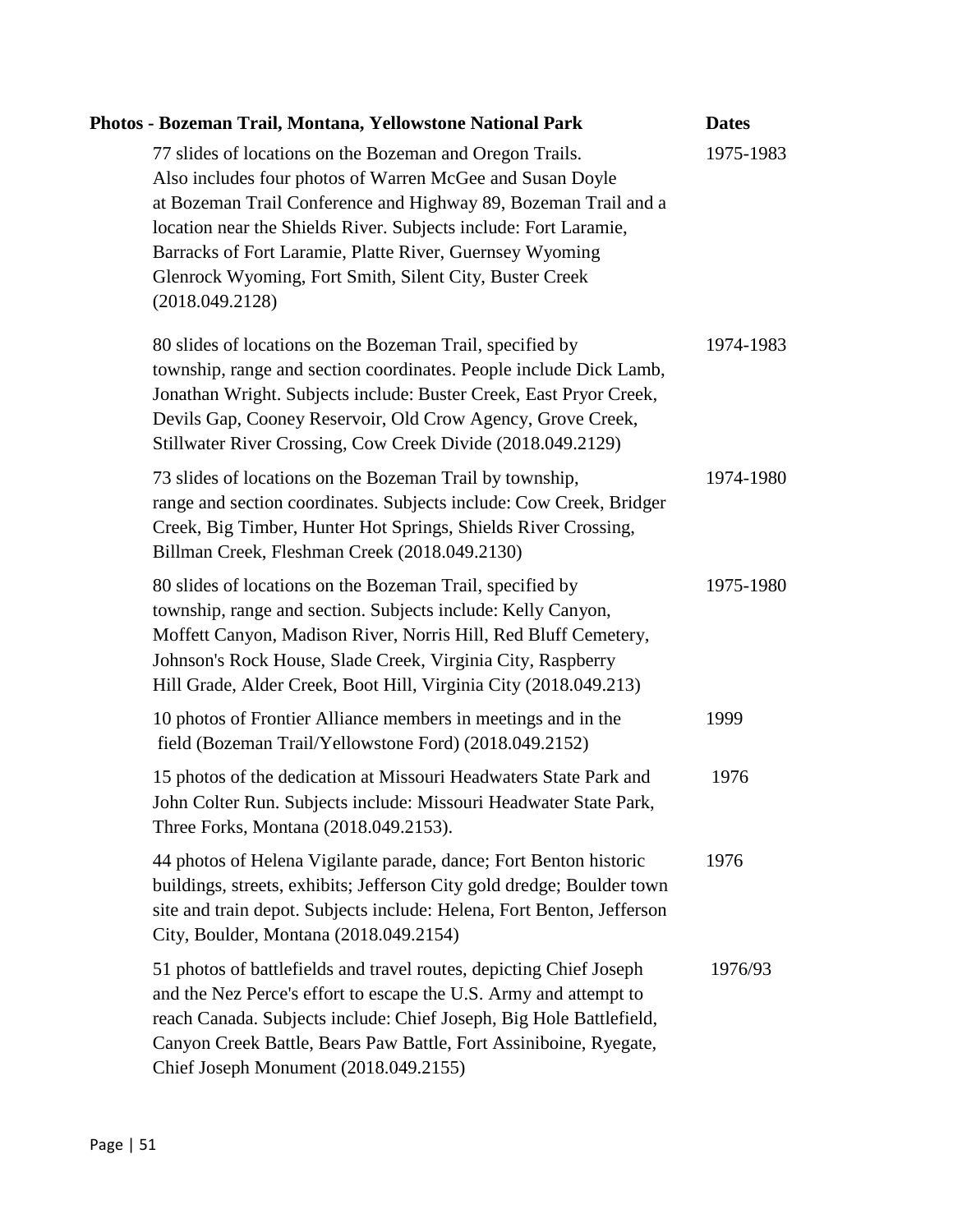| Photos - Bozeman Trail, Montana, Yellowstone National Park                                                                                                                                                                                                                                                                                                                                             | <b>Dates</b> |
|--------------------------------------------------------------------------------------------------------------------------------------------------------------------------------------------------------------------------------------------------------------------------------------------------------------------------------------------------------------------------------------------------------|--------------|
| 77 slides of locations on the Bozeman and Oregon Trails.<br>Also includes four photos of Warren McGee and Susan Doyle<br>at Bozeman Trail Conference and Highway 89, Bozeman Trail and a<br>location near the Shields River. Subjects include: Fort Laramie,<br>Barracks of Fort Laramie, Platte River, Guernsey Wyoming<br>Glenrock Wyoming, Fort Smith, Silent City, Buster Creek<br>(2018.049.2128) | 1975-1983    |
| 80 slides of locations on the Bozeman Trail, specified by<br>township, range and section coordinates. People include Dick Lamb,<br>Jonathan Wright. Subjects include: Buster Creek, East Pryor Creek,<br>Devils Gap, Cooney Reservoir, Old Crow Agency, Grove Creek,<br>Stillwater River Crossing, Cow Creek Divide (2018.049.2129)                                                                    | 1974-1983    |
| 73 slides of locations on the Bozeman Trail by township,<br>range and section coordinates. Subjects include: Cow Creek, Bridger<br>Creek, Big Timber, Hunter Hot Springs, Shields River Crossing,<br>Billman Creek, Fleshman Creek (2018.049.2130)                                                                                                                                                     | 1974-1980    |
| 80 slides of locations on the Bozeman Trail, specified by<br>township, range and section. Subjects include: Kelly Canyon,<br>Moffett Canyon, Madison River, Norris Hill, Red Bluff Cemetery,<br>Johnson's Rock House, Slade Creek, Virginia City, Raspberry<br>Hill Grade, Alder Creek, Boot Hill, Virginia City (2018.049.213)                                                                        | 1975-1980    |
| 10 photos of Frontier Alliance members in meetings and in the<br>field (Bozeman Trail/Yellowstone Ford) (2018.049.2152)                                                                                                                                                                                                                                                                                | 1999         |
| 15 photos of the dedication at Missouri Headwaters State Park and<br>John Colter Run. Subjects include: Missouri Headwater State Park,<br>Three Forks, Montana (2018.049.2153).                                                                                                                                                                                                                        | 1976         |
| 44 photos of Helena Vigilante parade, dance; Fort Benton historic<br>buildings, streets, exhibits; Jefferson City gold dredge; Boulder town<br>site and train depot. Subjects include: Helena, Fort Benton, Jefferson<br>City, Boulder, Montana (2018.049.2154)                                                                                                                                        | 1976         |
| 51 photos of battlefields and travel routes, depicting Chief Joseph<br>and the Nez Perce's effort to escape the U.S. Army and attempt to<br>reach Canada. Subjects include: Chief Joseph, Big Hole Battlefield,<br>Canyon Creek Battle, Bears Paw Battle, Fort Assiniboine, Ryegate,<br>Chief Joseph Monument (2018.049.2155)                                                                          | 1976/93      |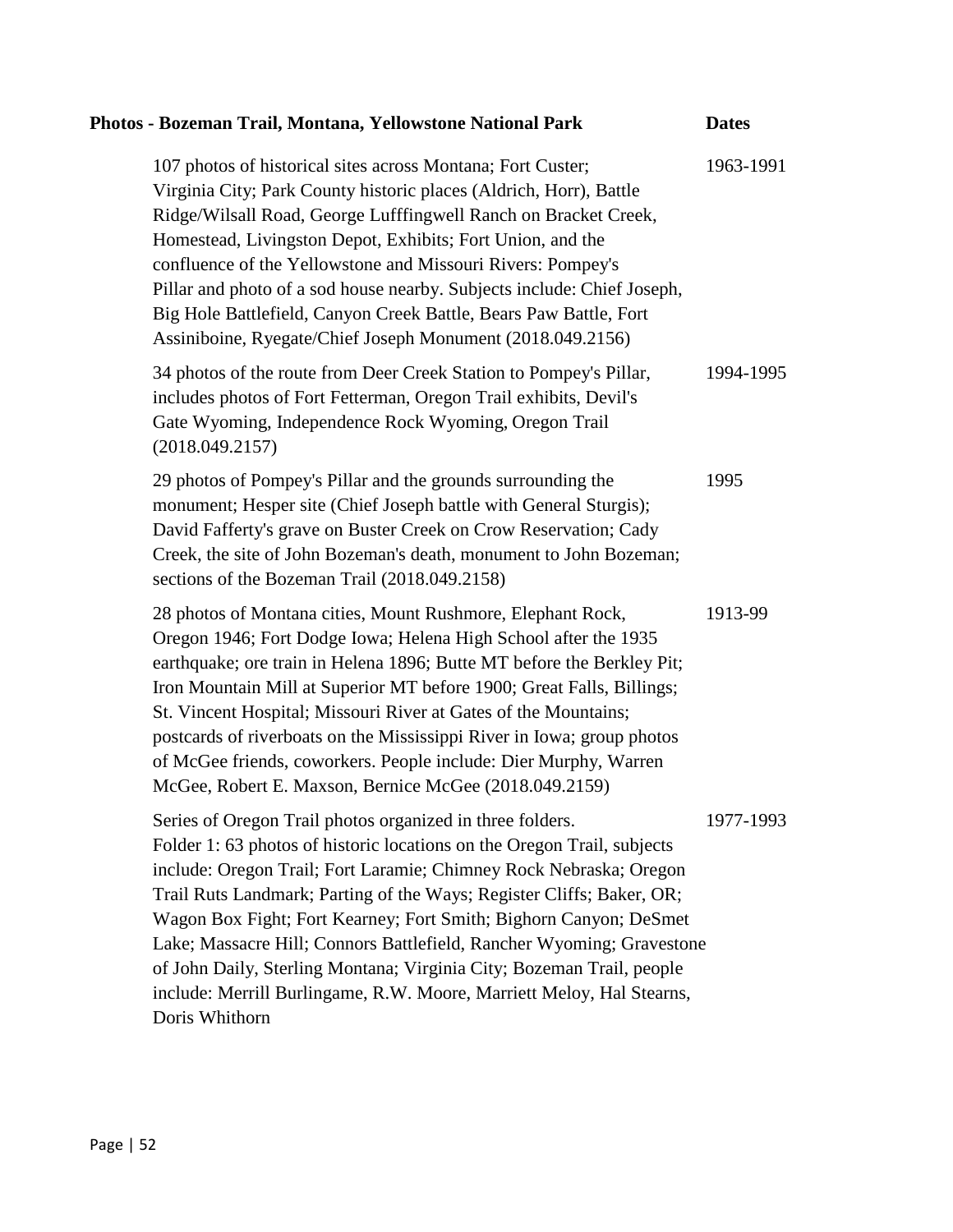| Photos - Bozeman Trail, Montana, Yellowstone National Park                                                                                                                                                                                                                                                                                                                                                                                                                                                                                                                                            | <b>Dates</b> |
|-------------------------------------------------------------------------------------------------------------------------------------------------------------------------------------------------------------------------------------------------------------------------------------------------------------------------------------------------------------------------------------------------------------------------------------------------------------------------------------------------------------------------------------------------------------------------------------------------------|--------------|
| 107 photos of historical sites across Montana; Fort Custer;<br>Virginia City; Park County historic places (Aldrich, Horr), Battle<br>Ridge/Wilsall Road, George Lufffingwell Ranch on Bracket Creek,<br>Homestead, Livingston Depot, Exhibits; Fort Union, and the<br>confluence of the Yellowstone and Missouri Rivers: Pompey's<br>Pillar and photo of a sod house nearby. Subjects include: Chief Joseph,<br>Big Hole Battlefield, Canyon Creek Battle, Bears Paw Battle, Fort<br>Assiniboine, Ryegate/Chief Joseph Monument (2018.049.2156)                                                       | 1963-1991    |
| 34 photos of the route from Deer Creek Station to Pompey's Pillar,<br>includes photos of Fort Fetterman, Oregon Trail exhibits, Devil's<br>Gate Wyoming, Independence Rock Wyoming, Oregon Trail<br>(2018.049.2157)                                                                                                                                                                                                                                                                                                                                                                                   | 1994-1995    |
| 29 photos of Pompey's Pillar and the grounds surrounding the<br>monument; Hesper site (Chief Joseph battle with General Sturgis);<br>David Fafferty's grave on Buster Creek on Crow Reservation; Cady<br>Creek, the site of John Bozeman's death, monument to John Bozeman;<br>sections of the Bozeman Trail (2018.049.2158)                                                                                                                                                                                                                                                                          | 1995         |
| 28 photos of Montana cities, Mount Rushmore, Elephant Rock,<br>Oregon 1946; Fort Dodge Iowa; Helena High School after the 1935<br>earthquake; ore train in Helena 1896; Butte MT before the Berkley Pit;<br>Iron Mountain Mill at Superior MT before 1900; Great Falls, Billings;<br>St. Vincent Hospital; Missouri River at Gates of the Mountains;<br>postcards of riverboats on the Mississippi River in Iowa; group photos<br>of McGee friends, coworkers. People include: Dier Murphy, Warren<br>McGee, Robert E. Maxson, Bernice McGee (2018.049.2159)                                          | 1913-99      |
| Series of Oregon Trail photos organized in three folders.<br>Folder 1: 63 photos of historic locations on the Oregon Trail, subjects<br>include: Oregon Trail; Fort Laramie; Chimney Rock Nebraska; Oregon<br>Trail Ruts Landmark; Parting of the Ways; Register Cliffs; Baker, OR;<br>Wagon Box Fight; Fort Kearney; Fort Smith; Bighorn Canyon; DeSmet<br>Lake; Massacre Hill; Connors Battlefield, Rancher Wyoming; Gravestone<br>of John Daily, Sterling Montana; Virginia City; Bozeman Trail, people<br>include: Merrill Burlingame, R.W. Moore, Marriett Meloy, Hal Stearns,<br>Doris Whithorn | 1977-1993    |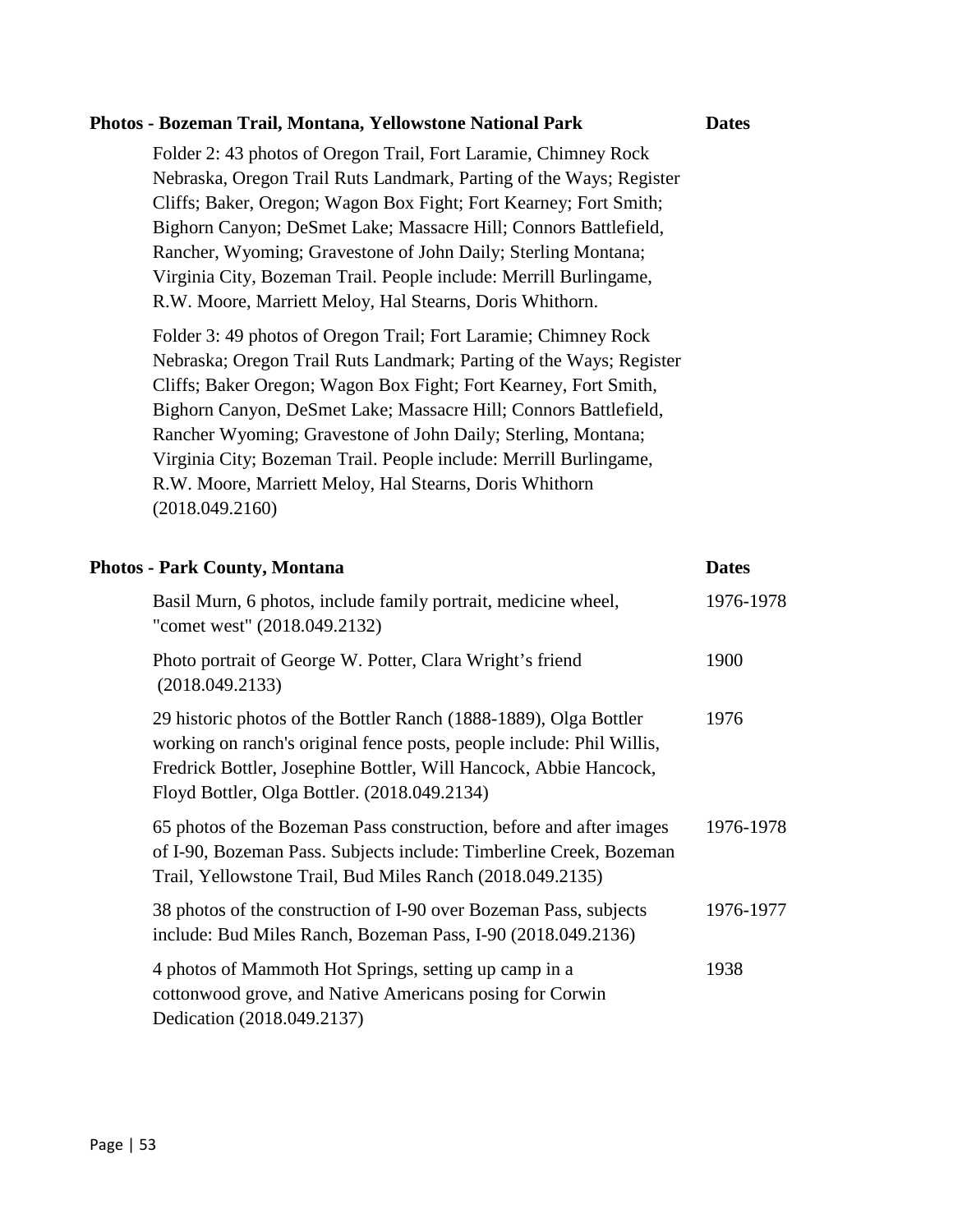| Photos - Bozeman Trail, Montana, Yellowstone National Park                                                                                                                                                                                                                                                                                                                                                                                                                                         | <b>Dates</b> |
|----------------------------------------------------------------------------------------------------------------------------------------------------------------------------------------------------------------------------------------------------------------------------------------------------------------------------------------------------------------------------------------------------------------------------------------------------------------------------------------------------|--------------|
| Folder 2: 43 photos of Oregon Trail, Fort Laramie, Chimney Rock<br>Nebraska, Oregon Trail Ruts Landmark, Parting of the Ways; Register<br>Cliffs; Baker, Oregon; Wagon Box Fight; Fort Kearney; Fort Smith;<br>Bighorn Canyon; DeSmet Lake; Massacre Hill; Connors Battlefield,<br>Rancher, Wyoming; Gravestone of John Daily; Sterling Montana;<br>Virginia City, Bozeman Trail. People include: Merrill Burlingame,<br>R.W. Moore, Marriett Meloy, Hal Stearns, Doris Whithorn.                  |              |
| Folder 3: 49 photos of Oregon Trail; Fort Laramie; Chimney Rock<br>Nebraska; Oregon Trail Ruts Landmark; Parting of the Ways; Register<br>Cliffs; Baker Oregon; Wagon Box Fight; Fort Kearney, Fort Smith,<br>Bighorn Canyon, DeSmet Lake; Massacre Hill; Connors Battlefield,<br>Rancher Wyoming; Gravestone of John Daily; Sterling, Montana;<br>Virginia City; Bozeman Trail. People include: Merrill Burlingame,<br>R.W. Moore, Marriett Meloy, Hal Stearns, Doris Whithorn<br>(2018.049.2160) |              |
| <b>Photos - Park County, Montana</b>                                                                                                                                                                                                                                                                                                                                                                                                                                                               | <b>Dates</b> |
| Basil Murn, 6 photos, include family portrait, medicine wheel,<br>"comet west" (2018.049.2132)                                                                                                                                                                                                                                                                                                                                                                                                     | 1976-1978    |
| Photo portrait of George W. Potter, Clara Wright's friend<br>(2018.049.2133)                                                                                                                                                                                                                                                                                                                                                                                                                       | 1900         |
| 29 historic photos of the Bottler Ranch (1888-1889), Olga Bottler<br>working on ranch's original fence posts, people include: Phil Willis,<br>Fredrick Bottler, Josephine Bottler, Will Hancock, Abbie Hancock,<br>Floyd Bottler, Olga Bottler. (2018.049.2134)                                                                                                                                                                                                                                    | 1976         |
| 65 photos of the Bozeman Pass construction, before and after images<br>of I-90, Bozeman Pass. Subjects include: Timberline Creek, Bozeman<br>Trail, Yellowstone Trail, Bud Miles Ranch (2018.049.2135)                                                                                                                                                                                                                                                                                             | 1976-1978    |
| 38 photos of the construction of I-90 over Bozeman Pass, subjects<br>include: Bud Miles Ranch, Bozeman Pass, I-90 (2018.049.2136)                                                                                                                                                                                                                                                                                                                                                                  | 1976-1977    |
|                                                                                                                                                                                                                                                                                                                                                                                                                                                                                                    |              |

Dedication (2018.049.2137)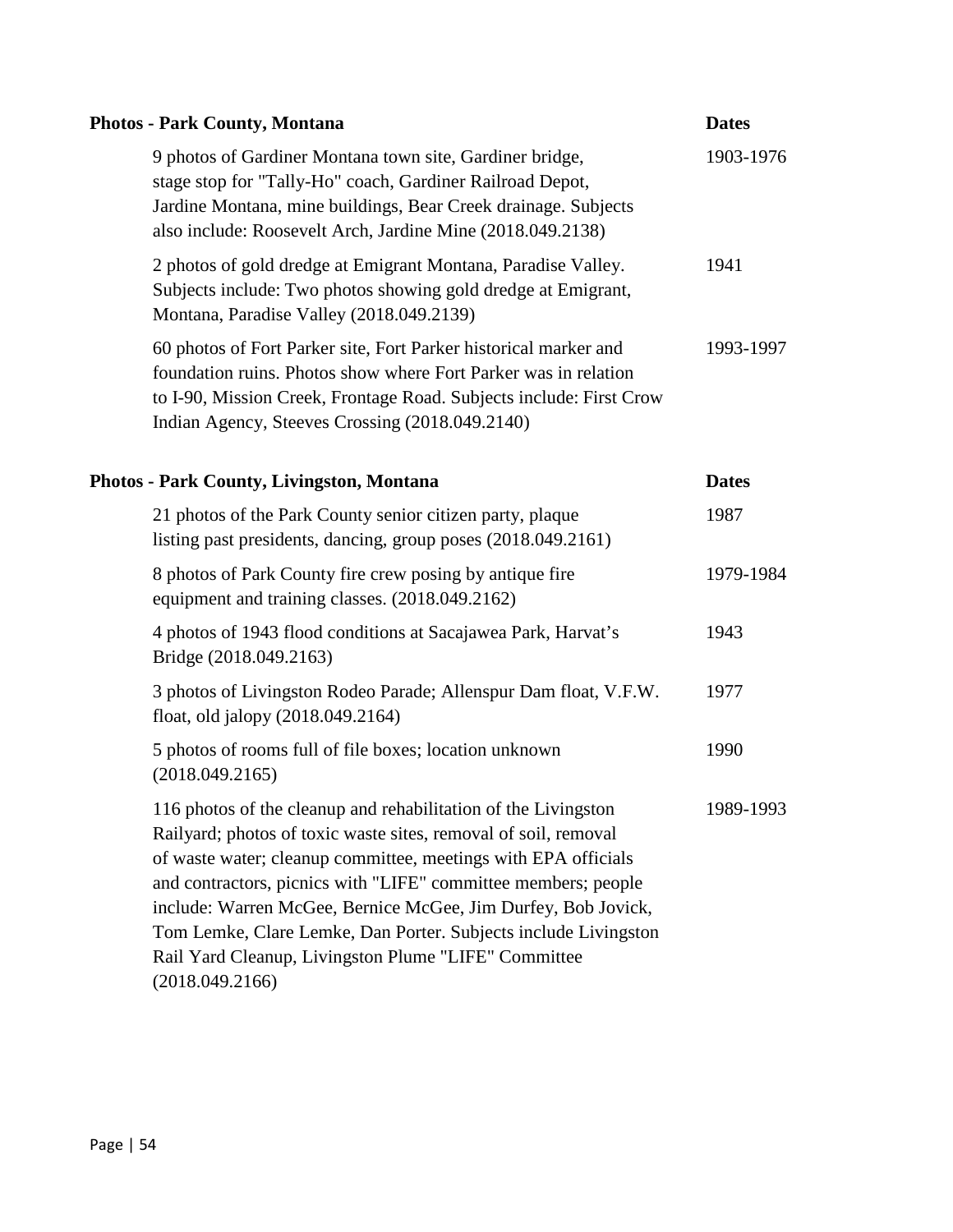| <b>Photos - Park County, Montana</b>                                                                                                                                                                                                                                                                                                                                                                                                                                                 | <b>Dates</b> |
|--------------------------------------------------------------------------------------------------------------------------------------------------------------------------------------------------------------------------------------------------------------------------------------------------------------------------------------------------------------------------------------------------------------------------------------------------------------------------------------|--------------|
| 9 photos of Gardiner Montana town site, Gardiner bridge,<br>stage stop for "Tally-Ho" coach, Gardiner Railroad Depot,<br>Jardine Montana, mine buildings, Bear Creek drainage. Subjects<br>also include: Roosevelt Arch, Jardine Mine (2018.049.2138)                                                                                                                                                                                                                                | 1903-1976    |
| 2 photos of gold dredge at Emigrant Montana, Paradise Valley.<br>Subjects include: Two photos showing gold dredge at Emigrant,<br>Montana, Paradise Valley (2018.049.2139)                                                                                                                                                                                                                                                                                                           | 1941         |
| 60 photos of Fort Parker site, Fort Parker historical marker and<br>foundation ruins. Photos show where Fort Parker was in relation<br>to I-90, Mission Creek, Frontage Road. Subjects include: First Crow<br>Indian Agency, Steeves Crossing (2018.049.2140)                                                                                                                                                                                                                        | 1993-1997    |
| <b>Photos - Park County, Livingston, Montana</b>                                                                                                                                                                                                                                                                                                                                                                                                                                     | <b>Dates</b> |
| 21 photos of the Park County senior citizen party, plaque<br>listing past presidents, dancing, group poses (2018.049.2161)                                                                                                                                                                                                                                                                                                                                                           | 1987         |
| 8 photos of Park County fire crew posing by antique fire<br>equipment and training classes. (2018.049.2162)                                                                                                                                                                                                                                                                                                                                                                          | 1979-1984    |
| 4 photos of 1943 flood conditions at Sacajawea Park, Harvat's<br>Bridge (2018.049.2163)                                                                                                                                                                                                                                                                                                                                                                                              | 1943         |
| 3 photos of Livingston Rodeo Parade; Allenspur Dam float, V.F.W.<br>float, old jalopy (2018.049.2164)                                                                                                                                                                                                                                                                                                                                                                                | 1977         |
| 5 photos of rooms full of file boxes; location unknown<br>(2018.049.2165)                                                                                                                                                                                                                                                                                                                                                                                                            | 1990         |
| 116 photos of the cleanup and rehabilitation of the Livingston<br>Railyard; photos of toxic waste sites, removal of soil, removal<br>of waste water; cleanup committee, meetings with EPA officials<br>and contractors, picnics with "LIFE" committee members; people<br>include: Warren McGee, Bernice McGee, Jim Durfey, Bob Jovick,<br>Tom Lemke, Clare Lemke, Dan Porter. Subjects include Livingston<br>Rail Yard Cleanup, Livingston Plume "LIFE" Committee<br>(2018.049.2166) | 1989-1993    |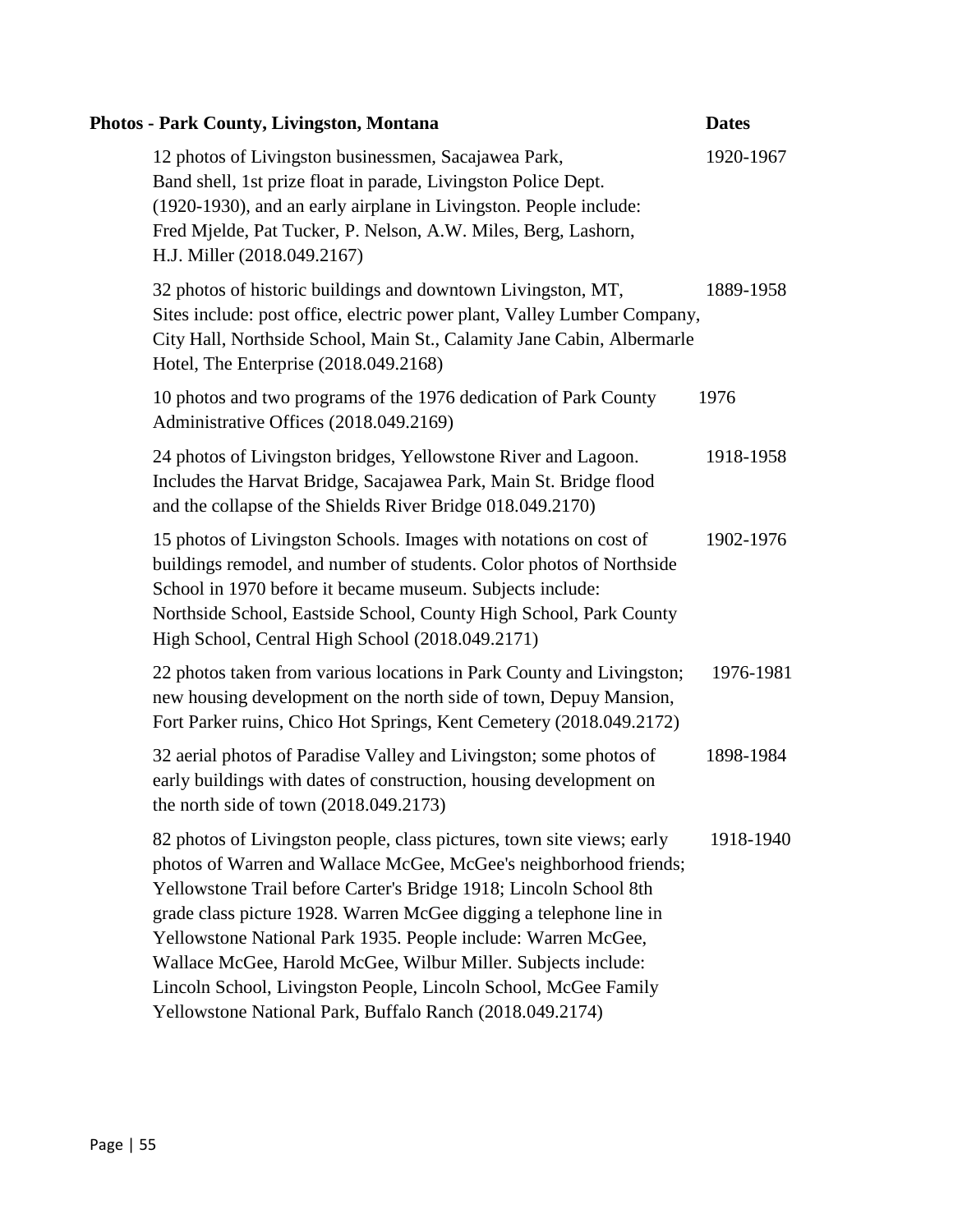| <b>Photos - Park County, Livingston, Montana</b>                                                                                                                                                                                                                                                                                                                                                                                                                                                                                                        | <b>Dates</b> |
|---------------------------------------------------------------------------------------------------------------------------------------------------------------------------------------------------------------------------------------------------------------------------------------------------------------------------------------------------------------------------------------------------------------------------------------------------------------------------------------------------------------------------------------------------------|--------------|
| 12 photos of Livingston businessmen, Sacajawea Park,<br>Band shell, 1st prize float in parade, Livingston Police Dept.<br>(1920-1930), and an early airplane in Livingston. People include:<br>Fred Mjelde, Pat Tucker, P. Nelson, A.W. Miles, Berg, Lashorn,<br>H.J. Miller (2018.049.2167)                                                                                                                                                                                                                                                            | 1920-1967    |
| 32 photos of historic buildings and downtown Livingston, MT,<br>Sites include: post office, electric power plant, Valley Lumber Company,<br>City Hall, Northside School, Main St., Calamity Jane Cabin, Albermarle<br>Hotel, The Enterprise (2018.049.2168)                                                                                                                                                                                                                                                                                             | 1889-1958    |
| 10 photos and two programs of the 1976 dedication of Park County<br>Administrative Offices (2018.049.2169)                                                                                                                                                                                                                                                                                                                                                                                                                                              | 1976         |
| 24 photos of Livingston bridges, Yellowstone River and Lagoon.<br>Includes the Harvat Bridge, Sacajawea Park, Main St. Bridge flood<br>and the collapse of the Shields River Bridge 018.049.2170)                                                                                                                                                                                                                                                                                                                                                       | 1918-1958    |
| 15 photos of Livingston Schools. Images with notations on cost of<br>buildings remodel, and number of students. Color photos of Northside<br>School in 1970 before it became museum. Subjects include:<br>Northside School, Eastside School, County High School, Park County<br>High School, Central High School (2018.049.2171)                                                                                                                                                                                                                        | 1902-1976    |
| 22 photos taken from various locations in Park County and Livingston;<br>new housing development on the north side of town, Depuy Mansion,<br>Fort Parker ruins, Chico Hot Springs, Kent Cemetery (2018.049.2172)                                                                                                                                                                                                                                                                                                                                       | 1976-1981    |
| 32 aerial photos of Paradise Valley and Livingston; some photos of<br>early buildings with dates of construction, housing development on<br>the north side of town $(2018.049.2173)$                                                                                                                                                                                                                                                                                                                                                                    | 1898-1984    |
| 82 photos of Livingston people, class pictures, town site views; early<br>photos of Warren and Wallace McGee, McGee's neighborhood friends;<br>Yellowstone Trail before Carter's Bridge 1918; Lincoln School 8th<br>grade class picture 1928. Warren McGee digging a telephone line in<br>Yellowstone National Park 1935. People include: Warren McGee,<br>Wallace McGee, Harold McGee, Wilbur Miller. Subjects include:<br>Lincoln School, Livingston People, Lincoln School, McGee Family<br>Yellowstone National Park, Buffalo Ranch (2018.049.2174) | 1918-1940    |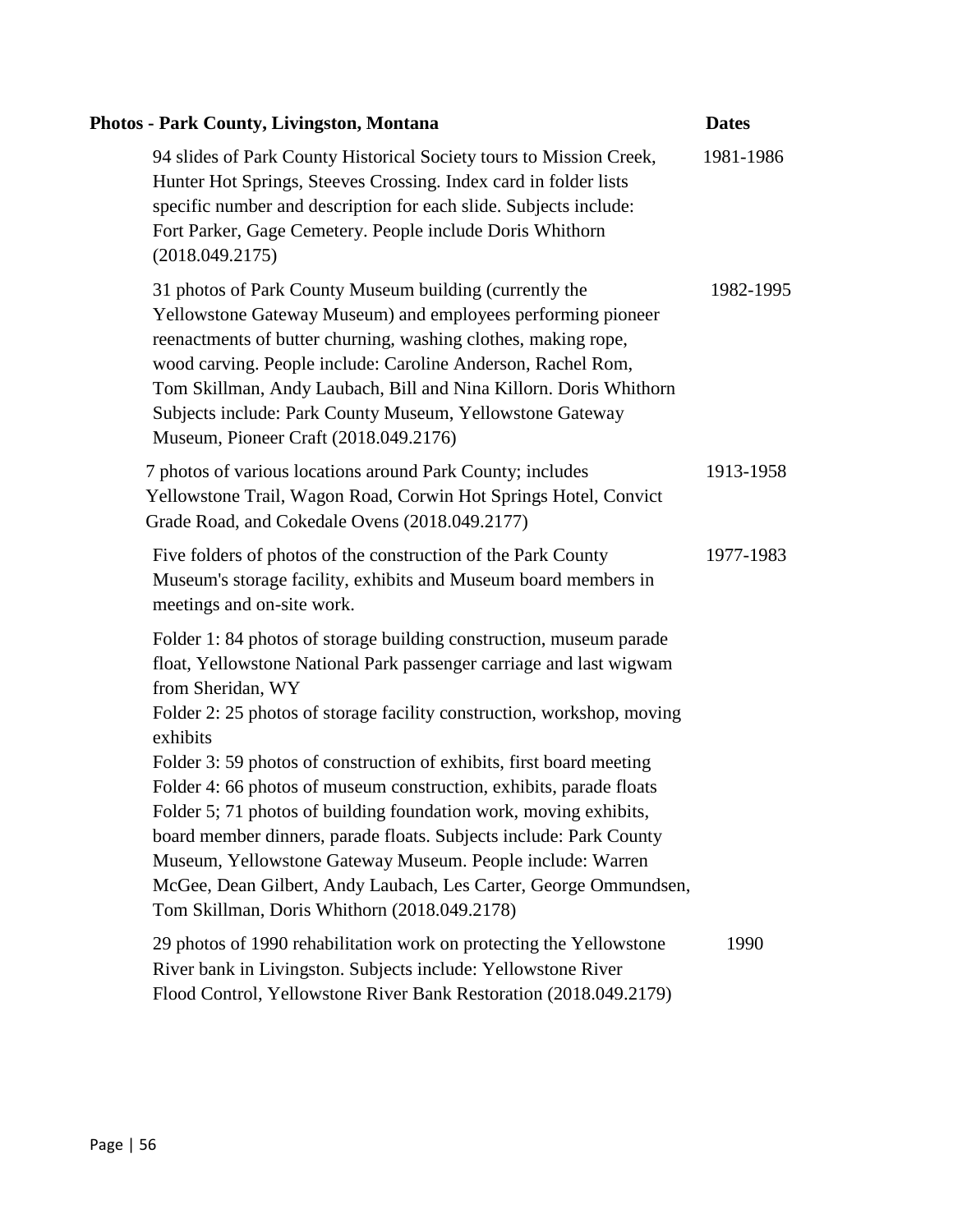| <b>Photos - Park County, Livingston, Montana</b>                                                                                                                                                                                                                                                                                                                                                                                                                         | <b>Dates</b> |
|--------------------------------------------------------------------------------------------------------------------------------------------------------------------------------------------------------------------------------------------------------------------------------------------------------------------------------------------------------------------------------------------------------------------------------------------------------------------------|--------------|
| 94 slides of Park County Historical Society tours to Mission Creek,<br>Hunter Hot Springs, Steeves Crossing. Index card in folder lists<br>specific number and description for each slide. Subjects include:<br>Fort Parker, Gage Cemetery. People include Doris Whithorn<br>(2018.049.2175)                                                                                                                                                                             | 1981-1986    |
| 31 photos of Park County Museum building (currently the<br>Yellowstone Gateway Museum) and employees performing pioneer<br>reenactments of butter churning, washing clothes, making rope,<br>wood carving. People include: Caroline Anderson, Rachel Rom,<br>Tom Skillman, Andy Laubach, Bill and Nina Killorn. Doris Whithorn<br>Subjects include: Park County Museum, Yellowstone Gateway<br>Museum, Pioneer Craft (2018.049.2176)                                     | 1982-1995    |
| 7 photos of various locations around Park County; includes<br>Yellowstone Trail, Wagon Road, Corwin Hot Springs Hotel, Convict<br>Grade Road, and Cokedale Ovens (2018.049.2177)                                                                                                                                                                                                                                                                                         | 1913-1958    |
| Five folders of photos of the construction of the Park County<br>Museum's storage facility, exhibits and Museum board members in<br>meetings and on-site work.                                                                                                                                                                                                                                                                                                           | 1977-1983    |
| Folder 1: 84 photos of storage building construction, museum parade<br>float, Yellowstone National Park passenger carriage and last wigwam<br>from Sheridan, WY<br>Folder 2: 25 photos of storage facility construction, workshop, moving<br>exhibits                                                                                                                                                                                                                    |              |
| Folder 3: 59 photos of construction of exhibits, first board meeting<br>Folder 4: 66 photos of museum construction, exhibits, parade floats<br>Folder 5; 71 photos of building foundation work, moving exhibits,<br>board member dinners, parade floats. Subjects include: Park County<br>Museum, Yellowstone Gateway Museum. People include: Warren<br>McGee, Dean Gilbert, Andy Laubach, Les Carter, George Ommundsen,<br>Tom Skillman, Doris Whithorn (2018.049.2178) |              |
| 29 photos of 1990 rehabilitation work on protecting the Yellowstone<br>River bank in Livingston. Subjects include: Yellowstone River<br>Flood Control, Yellowstone River Bank Restoration (2018.049.2179)                                                                                                                                                                                                                                                                | 1990         |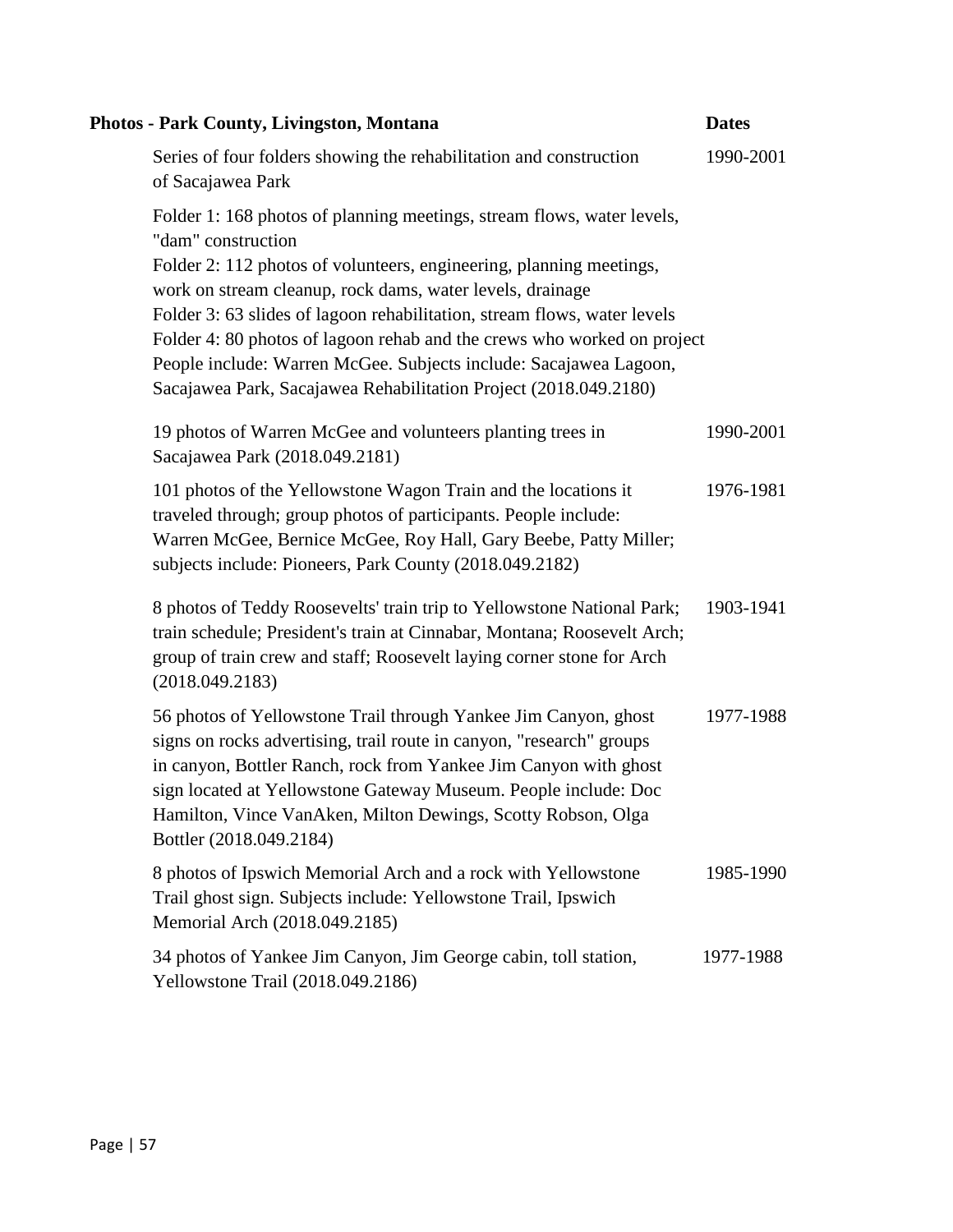| Photos - Park County, Livingston, Montana                                                                                                                                                                                                                                                                                                                                                                                                                                                                                        | <b>Dates</b> |
|----------------------------------------------------------------------------------------------------------------------------------------------------------------------------------------------------------------------------------------------------------------------------------------------------------------------------------------------------------------------------------------------------------------------------------------------------------------------------------------------------------------------------------|--------------|
| Series of four folders showing the rehabilitation and construction<br>of Sacajawea Park                                                                                                                                                                                                                                                                                                                                                                                                                                          | 1990-2001    |
| Folder 1: 168 photos of planning meetings, stream flows, water levels,<br>"dam" construction<br>Folder 2: 112 photos of volunteers, engineering, planning meetings,<br>work on stream cleanup, rock dams, water levels, drainage<br>Folder 3: 63 slides of lagoon rehabilitation, stream flows, water levels<br>Folder 4: 80 photos of lagoon rehab and the crews who worked on project<br>People include: Warren McGee. Subjects include: Sacajawea Lagoon,<br>Sacajawea Park, Sacajawea Rehabilitation Project (2018.049.2180) |              |
| 19 photos of Warren McGee and volunteers planting trees in<br>Sacajawea Park (2018.049.2181)                                                                                                                                                                                                                                                                                                                                                                                                                                     | 1990-2001    |
| 101 photos of the Yellowstone Wagon Train and the locations it<br>traveled through; group photos of participants. People include:<br>Warren McGee, Bernice McGee, Roy Hall, Gary Beebe, Patty Miller;<br>subjects include: Pioneers, Park County (2018.049.2182)                                                                                                                                                                                                                                                                 | 1976-1981    |
| 8 photos of Teddy Roosevelts' train trip to Yellowstone National Park;<br>train schedule; President's train at Cinnabar, Montana; Roosevelt Arch;<br>group of train crew and staff; Roosevelt laying corner stone for Arch<br>(2018.049.2183)                                                                                                                                                                                                                                                                                    | 1903-1941    |
| 56 photos of Yellowstone Trail through Yankee Jim Canyon, ghost<br>signs on rocks advertising, trail route in canyon, "research" groups<br>in canyon, Bottler Ranch, rock from Yankee Jim Canyon with ghost<br>sign located at Yellowstone Gateway Museum. People include: Doc<br>Hamilton, Vince VanAken, Milton Dewings, Scotty Robson, Olga<br>Bottler (2018.049.2184)                                                                                                                                                        | 1977-1988    |
| 8 photos of Ipswich Memorial Arch and a rock with Yellowstone<br>Trail ghost sign. Subjects include: Yellowstone Trail, Ipswich<br>Memorial Arch (2018.049.2185)                                                                                                                                                                                                                                                                                                                                                                 | 1985-1990    |
| 34 photos of Yankee Jim Canyon, Jim George cabin, toll station,<br>Yellowstone Trail (2018.049.2186)                                                                                                                                                                                                                                                                                                                                                                                                                             | 1977-1988    |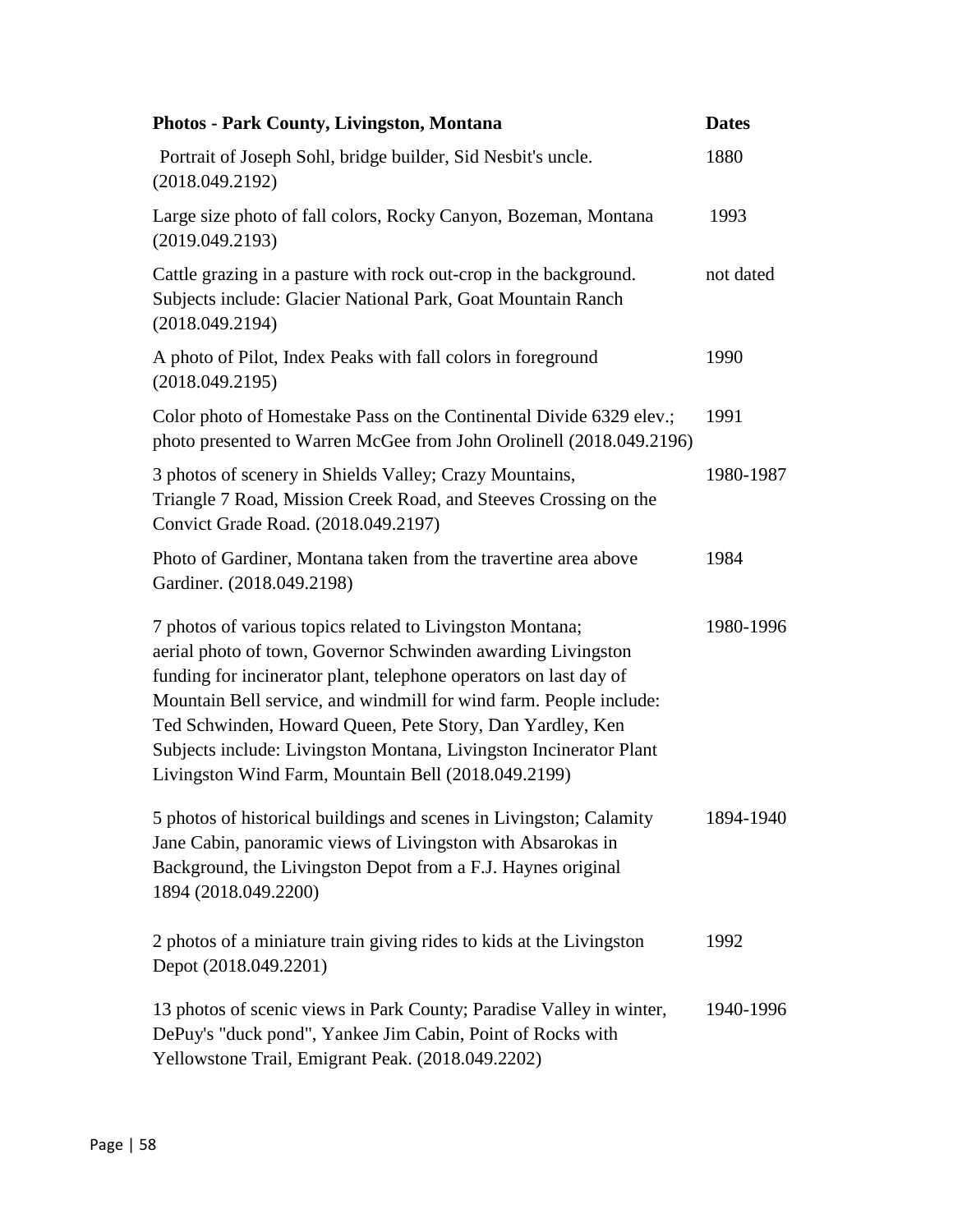| <b>Photos - Park County, Livingston, Montana</b>                                                                                                                                                                                                                                                                                                                                                                                                               | <b>Dates</b> |
|----------------------------------------------------------------------------------------------------------------------------------------------------------------------------------------------------------------------------------------------------------------------------------------------------------------------------------------------------------------------------------------------------------------------------------------------------------------|--------------|
| Portrait of Joseph Sohl, bridge builder, Sid Nesbit's uncle.<br>(2018.049.2192)                                                                                                                                                                                                                                                                                                                                                                                | 1880         |
| Large size photo of fall colors, Rocky Canyon, Bozeman, Montana<br>(2019.049.2193)                                                                                                                                                                                                                                                                                                                                                                             | 1993         |
| Cattle grazing in a pasture with rock out-crop in the background.<br>Subjects include: Glacier National Park, Goat Mountain Ranch<br>(2018.049.2194)                                                                                                                                                                                                                                                                                                           | not dated    |
| A photo of Pilot, Index Peaks with fall colors in foreground<br>(2018.049.2195)                                                                                                                                                                                                                                                                                                                                                                                | 1990         |
| Color photo of Homestake Pass on the Continental Divide 6329 elev.;<br>photo presented to Warren McGee from John Orolinell (2018.049.2196)                                                                                                                                                                                                                                                                                                                     | 1991         |
| 3 photos of scenery in Shields Valley; Crazy Mountains,<br>Triangle 7 Road, Mission Creek Road, and Steeves Crossing on the<br>Convict Grade Road. (2018.049.2197)                                                                                                                                                                                                                                                                                             | 1980-1987    |
| Photo of Gardiner, Montana taken from the travertine area above<br>Gardiner. (2018.049.2198)                                                                                                                                                                                                                                                                                                                                                                   | 1984         |
| 7 photos of various topics related to Livingston Montana;<br>aerial photo of town, Governor Schwinden awarding Livingston<br>funding for incinerator plant, telephone operators on last day of<br>Mountain Bell service, and windmill for wind farm. People include:<br>Ted Schwinden, Howard Queen, Pete Story, Dan Yardley, Ken<br>Subjects include: Livingston Montana, Livingston Incinerator Plant<br>Livingston Wind Farm, Mountain Bell (2018.049.2199) | 1980-1996    |
| 5 photos of historical buildings and scenes in Livingston; Calamity<br>Jane Cabin, panoramic views of Livingston with Absarokas in<br>Background, the Livingston Depot from a F.J. Haynes original<br>1894 (2018.049.2200)                                                                                                                                                                                                                                     | 1894-1940    |
| 2 photos of a miniature train giving rides to kids at the Livingston<br>Depot (2018.049.2201)                                                                                                                                                                                                                                                                                                                                                                  | 1992         |
| 13 photos of scenic views in Park County; Paradise Valley in winter,<br>DePuy's "duck pond", Yankee Jim Cabin, Point of Rocks with<br>Yellowstone Trail, Emigrant Peak. (2018.049.2202)                                                                                                                                                                                                                                                                        | 1940-1996    |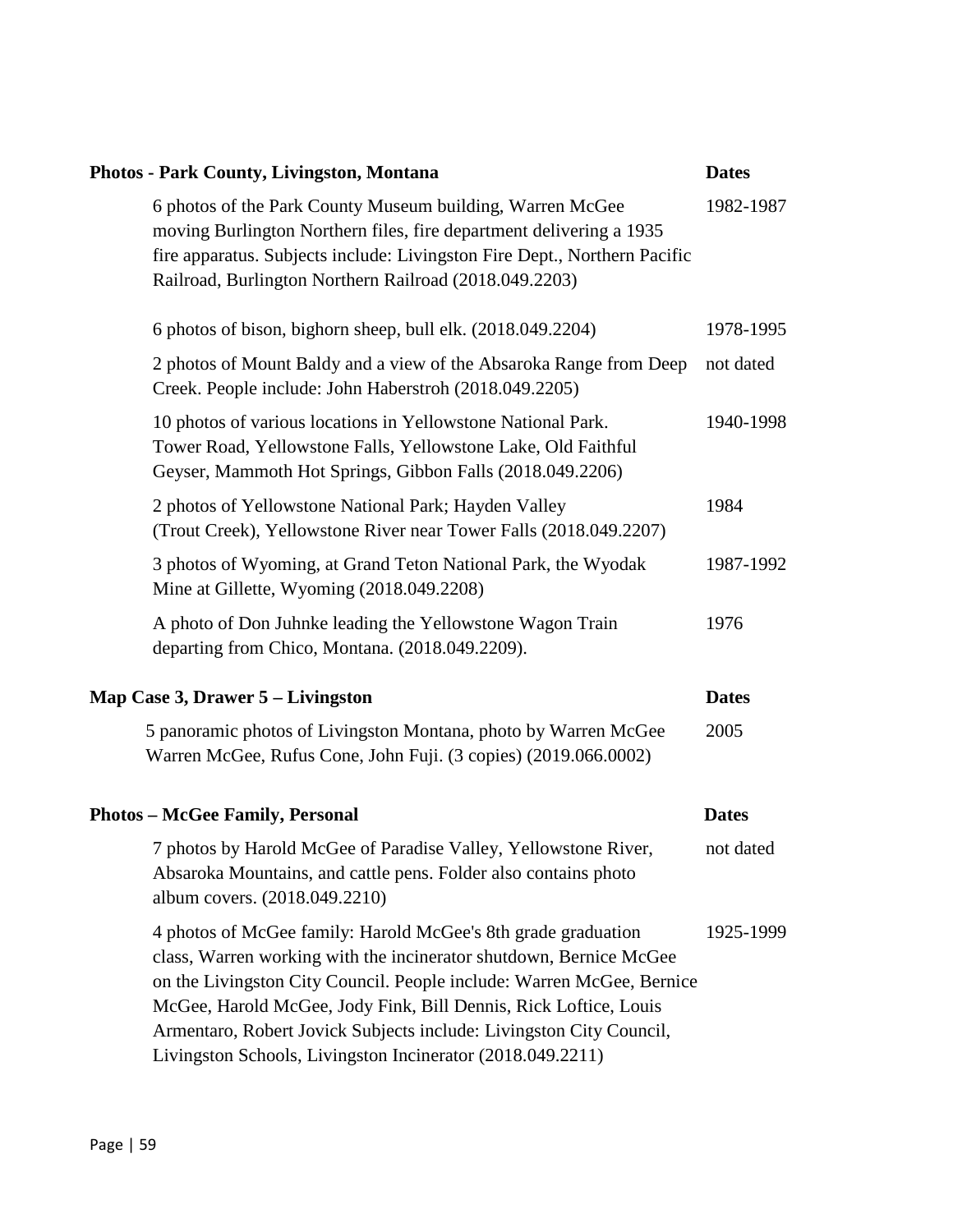|                                          | <b>Photos - Park County, Livingston, Montana</b>                                                                                                                                                                                                                                                                                                                                                                      | <b>Dates</b> |
|------------------------------------------|-----------------------------------------------------------------------------------------------------------------------------------------------------------------------------------------------------------------------------------------------------------------------------------------------------------------------------------------------------------------------------------------------------------------------|--------------|
|                                          | 6 photos of the Park County Museum building, Warren McGee<br>moving Burlington Northern files, fire department delivering a 1935<br>fire apparatus. Subjects include: Livingston Fire Dept., Northern Pacific<br>Railroad, Burlington Northern Railroad (2018.049.2203)                                                                                                                                               | 1982-1987    |
|                                          | 6 photos of bison, bighorn sheep, bull elk. (2018.049.2204)                                                                                                                                                                                                                                                                                                                                                           | 1978-1995    |
|                                          | 2 photos of Mount Baldy and a view of the Absaroka Range from Deep<br>Creek. People include: John Haberstroh (2018.049.2205)                                                                                                                                                                                                                                                                                          | not dated    |
|                                          | 10 photos of various locations in Yellowstone National Park.<br>Tower Road, Yellowstone Falls, Yellowstone Lake, Old Faithful<br>Geyser, Mammoth Hot Springs, Gibbon Falls (2018.049.2206)                                                                                                                                                                                                                            | 1940-1998    |
|                                          | 2 photos of Yellowstone National Park; Hayden Valley<br>(Trout Creek), Yellowstone River near Tower Falls (2018.049.2207)                                                                                                                                                                                                                                                                                             | 1984         |
|                                          | 3 photos of Wyoming, at Grand Teton National Park, the Wyodak<br>Mine at Gillette, Wyoming (2018.049.2208)                                                                                                                                                                                                                                                                                                            | 1987-1992    |
|                                          | A photo of Don Juhnke leading the Yellowstone Wagon Train<br>departing from Chico, Montana. (2018.049.2209).                                                                                                                                                                                                                                                                                                          | 1976         |
| <b>Map Case 3, Drawer 5 – Livingston</b> |                                                                                                                                                                                                                                                                                                                                                                                                                       | <b>Dates</b> |
|                                          | 5 panoramic photos of Livingston Montana, photo by Warren McGee<br>Warren McGee, Rufus Cone, John Fuji. (3 copies) (2019.066.0002)                                                                                                                                                                                                                                                                                    | 2005         |
|                                          | <b>Photos - McGee Family, Personal</b>                                                                                                                                                                                                                                                                                                                                                                                | <b>Dates</b> |
|                                          | 7 photos by Harold McGee of Paradise Valley, Yellowstone River,<br>Absaroka Mountains, and cattle pens. Folder also contains photo<br>album covers. (2018.049.2210)                                                                                                                                                                                                                                                   | not dated    |
|                                          | 4 photos of McGee family: Harold McGee's 8th grade graduation<br>class, Warren working with the incinerator shutdown, Bernice McGee<br>on the Livingston City Council. People include: Warren McGee, Bernice<br>McGee, Harold McGee, Jody Fink, Bill Dennis, Rick Loftice, Louis<br>Armentaro, Robert Jovick Subjects include: Livingston City Council,<br>Livingston Schools, Livingston Incinerator (2018.049.2211) | 1925-1999    |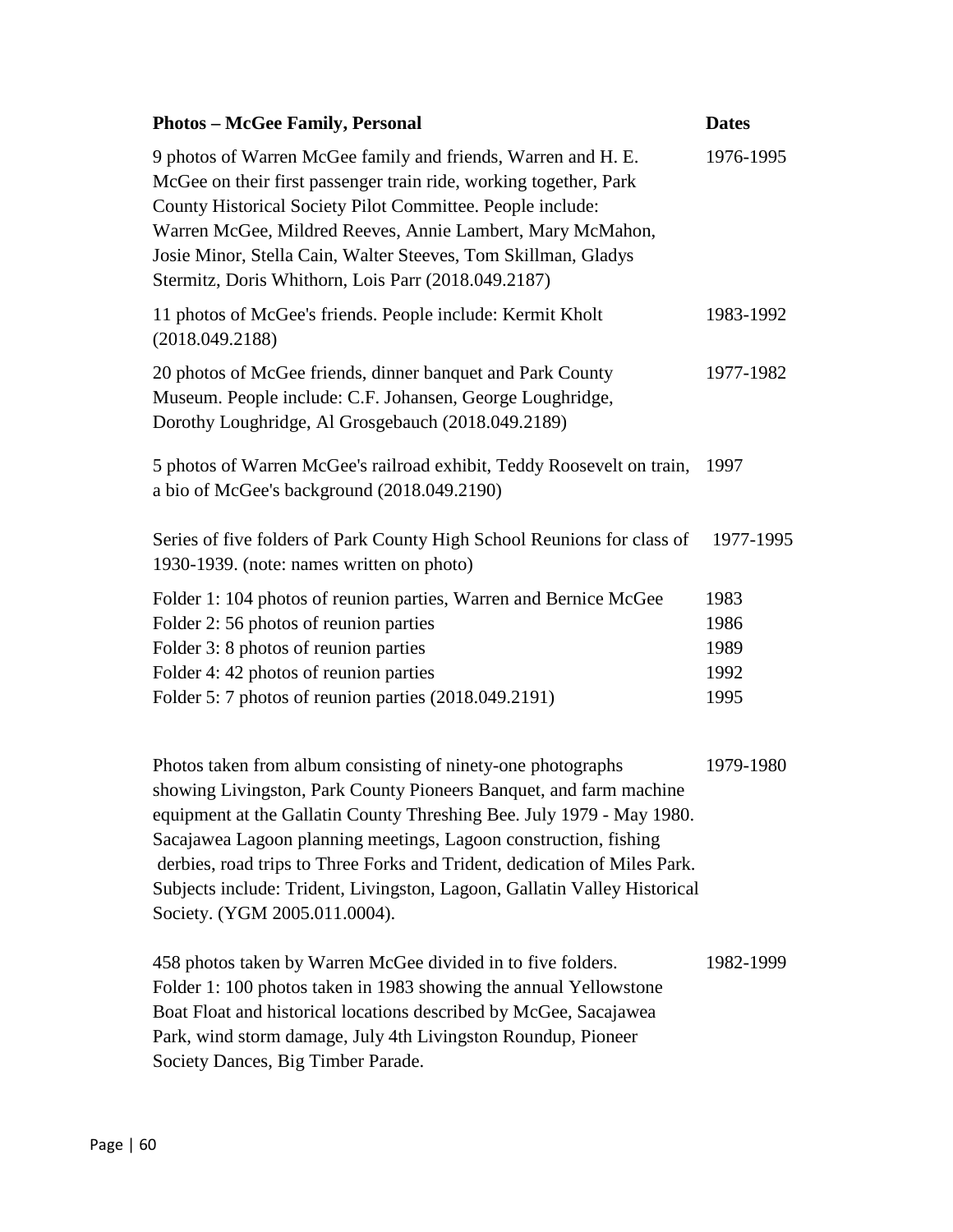| <b>Photos - McGee Family, Personal</b>                                                                                                                                                                                                                                                                                                                                                                                                                                     | <b>Dates</b> |
|----------------------------------------------------------------------------------------------------------------------------------------------------------------------------------------------------------------------------------------------------------------------------------------------------------------------------------------------------------------------------------------------------------------------------------------------------------------------------|--------------|
| 9 photos of Warren McGee family and friends, Warren and H. E.<br>McGee on their first passenger train ride, working together, Park<br>County Historical Society Pilot Committee. People include:<br>Warren McGee, Mildred Reeves, Annie Lambert, Mary McMahon,<br>Josie Minor, Stella Cain, Walter Steeves, Tom Skillman, Gladys<br>Stermitz, Doris Whithorn, Lois Parr (2018.049.2187)                                                                                    | 1976-1995    |
| 11 photos of McGee's friends. People include: Kermit Kholt<br>(2018.049.2188)                                                                                                                                                                                                                                                                                                                                                                                              | 1983-1992    |
| 20 photos of McGee friends, dinner banquet and Park County<br>Museum. People include: C.F. Johansen, George Loughridge,<br>Dorothy Loughridge, Al Grosgebauch (2018.049.2189)                                                                                                                                                                                                                                                                                              | 1977-1982    |
| 5 photos of Warren McGee's railroad exhibit, Teddy Roosevelt on train,<br>a bio of McGee's background (2018.049.2190)                                                                                                                                                                                                                                                                                                                                                      | 1997         |
| Series of five folders of Park County High School Reunions for class of<br>1930-1939. (note: names written on photo)                                                                                                                                                                                                                                                                                                                                                       | 1977-1995    |
| Folder 1: 104 photos of reunion parties, Warren and Bernice McGee                                                                                                                                                                                                                                                                                                                                                                                                          | 1983         |
| Folder 2: 56 photos of reunion parties                                                                                                                                                                                                                                                                                                                                                                                                                                     | 1986         |
| Folder 3: 8 photos of reunion parties                                                                                                                                                                                                                                                                                                                                                                                                                                      | 1989         |
| Folder 4: 42 photos of reunion parties                                                                                                                                                                                                                                                                                                                                                                                                                                     | 1992         |
| Folder 5: 7 photos of reunion parties (2018.049.2191)                                                                                                                                                                                                                                                                                                                                                                                                                      | 1995         |
| Photos taken from album consisting of ninety-one photographs<br>showing Livingston, Park County Pioneers Banquet, and farm machine<br>equipment at the Gallatin County Threshing Bee. July 1979 - May 1980.<br>Sacajawea Lagoon planning meetings, Lagoon construction, fishing<br>derbies, road trips to Three Forks and Trident, dedication of Miles Park.<br>Subjects include: Trident, Livingston, Lagoon, Gallatin Valley Historical<br>Society. (YGM 2005.011.0004). | 1979-1980    |
| 458 photos taken by Warren McGee divided in to five folders.<br>Folder 1: 100 photos taken in 1983 showing the annual Yellowstone<br>Boat Float and historical locations described by McGee, Sacajawea<br>Park, wind storm damage, July 4th Livingston Roundup, Pioneer<br>Society Dances, Big Timber Parade.                                                                                                                                                              | 1982-1999    |